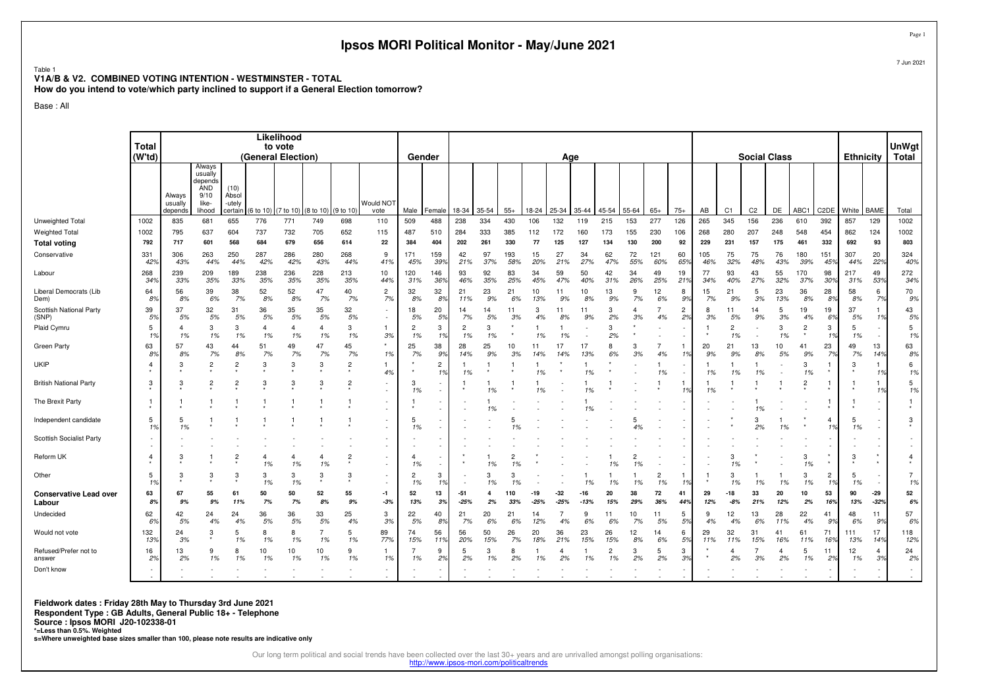|                                                                                                                                                                   |                                                      |                              |                                                                       |                                   |                               |                                             |                      |                | Ipsos MORI Political Monitor - May/June 2021 |                               |                |                      |                      |                      |               |                      |               |                      |                      |                       |                                    |            |                      |                |                     |                |                      |                  |                                                      | Page                  |
|-------------------------------------------------------------------------------------------------------------------------------------------------------------------|------------------------------------------------------|------------------------------|-----------------------------------------------------------------------|-----------------------------------|-------------------------------|---------------------------------------------|----------------------|----------------|----------------------------------------------|-------------------------------|----------------|----------------------|----------------------|----------------------|---------------|----------------------|---------------|----------------------|----------------------|-----------------------|------------------------------------|------------|----------------------|----------------|---------------------|----------------|----------------------|------------------|------------------------------------------------------|-----------------------|
| Table<br>V1A/B & V2. COMBINED VOTING INTENTION - WESTMINSTER - TOTAL<br>How do you intend to vote/which party inclined to support if a General Election tomorrow? |                                                      |                              |                                                                       |                                   |                               |                                             |                      |                |                                              |                               |                |                      |                      |                      |               |                      |               |                      |                      |                       |                                    |            |                      |                |                     |                |                      |                  |                                                      | 7 Jun 2021            |
| Base: All                                                                                                                                                         |                                                      |                              |                                                                       |                                   |                               |                                             |                      |                |                                              |                               |                |                      |                      |                      |               |                      |               |                      |                      |                       |                                    |            |                      |                |                     |                |                      |                  |                                                      |                       |
|                                                                                                                                                                   |                                                      |                              |                                                                       |                                   |                               |                                             |                      |                |                                              |                               |                |                      |                      |                      |               |                      |               |                      |                      |                       |                                    |            |                      |                |                     |                |                      |                  |                                                      |                       |
|                                                                                                                                                                   | <b>Total</b><br>(W'td)                               |                              |                                                                       |                                   |                               | Likelihood<br>to vote<br>(General Election) |                      |                |                                              | Gender                        |                |                      |                      |                      |               | Age                  |               |                      |                      |                       |                                    |            |                      |                | <b>Social Class</b> |                |                      | <b>Ethnicity</b> |                                                      | <b>UnWgt</b><br>Total |
|                                                                                                                                                                   |                                                      | Always<br>usually<br>depends | Always<br>usually<br>depends<br><b>AND</b><br>9/10<br>like-<br>lihood | (10)<br>Absol<br>-utely<br>ertain | 6 to 10                       | (7 to 10)                                   | 8 to 10)             | (9 to 10)      | Would NOT<br>vote                            | Male                          | Femal          | 18-34                | 35-54                | $55+$                | 18-24         | 25-34                | 35-44         | 45-54                | 55-64                | $65+$                 | $75+$                              | AB         | C <sub>1</sub>       | C <sub>2</sub> | DE                  | ABC1           | C <sub>2</sub> DE    | White            | <b>BAME</b>                                          | Total                 |
| Unweighted Total                                                                                                                                                  | 1002                                                 | 835                          | 681                                                                   | 655                               | 776                           | 771                                         | 749                  | 698            | 110                                          | 509                           | 488            | 238                  | 334                  | 430                  | 106           | 132                  | 119           | 215                  | 153                  | 277                   | 126                                | 265        | 345                  | 156            | 236                 | 610            | 392                  | 857              | 129                                                  | 1002                  |
| <b>Weighted Total</b>                                                                                                                                             | 1002                                                 | 795                          | 637                                                                   | 604                               | 737                           | 732                                         | 705                  | 652            | 115                                          | 487                           | 510            | 284                  | 333                  | 385                  | 112           | 172                  | 160           | 173                  | 155                  | 230                   | 106                                | 268        | 280                  | 207            | 248                 | 548            | 454                  | 862              | 124                                                  | 1002                  |
| <b>Total voting</b>                                                                                                                                               | 792                                                  | 717                          | 601                                                                   | 568                               | 684                           | 679                                         | 656                  | 614            | 22                                           | 384                           | 404            | 202                  | 261                  | 330                  | 77            | 125                  | 127           | 134                  | 130                  | 200                   | 92                                 | 229        | 231                  | 157            | 175                 | 461            | 332                  | 692              | 93                                                   | 803                   |
| Conservative                                                                                                                                                      | 331<br>42%                                           | 306<br>43%                   | 263<br>44%                                                            | 250<br>44%                        | 287<br>42%                    | 286<br>42%                                  | 280<br>43%           | 268<br>44%     | 9<br>41%                                     | 171<br>45%                    | 159<br>399     | 42<br>21%            | 97<br>37%            | 193<br>58%           | 15<br>20%     | 27<br>21%            | 34<br>27%     | 62<br>47%            | 72<br>55%            | 121<br>60%            | 60<br>65 <sup>°</sup>              | 105<br>46% | 75<br>32%            | 75<br>48%      | 76<br>43%           | 180<br>39%     | 151<br>45%           | 307<br>44%       | 20<br>22%                                            | 324<br>40%            |
| Labour                                                                                                                                                            | 268<br>349                                           | 239<br>33%                   | 209<br>35%                                                            | 189<br>33%                        | 238<br>35%                    | 236<br>35%                                  | 228<br>35%           | 213<br>35%     | 10<br>44%                                    | 120<br>31%                    | 146<br>369     | 93<br>46%            | 92<br>35%            | 83<br>25%            | 34<br>45%     | 59<br>47%            | 50<br>40%     | 42<br>31%            | 34<br>26%            | 49<br>25%             | 19<br>219                          | 77<br>34%  | 93<br>40%            | 43<br>27%      | 55<br>32%           | 170<br>37%     | 98<br>30%            | 217<br>31%       | 49<br>539                                            | 272<br>34%            |
| Liberal Democrats (Lib<br>Dem)                                                                                                                                    | 64<br>8%                                             | 56<br>8%                     | 39<br>6%                                                              | 38<br>7%                          | 52<br>8%                      | 52<br>8%                                    | 47<br>7%             | 40<br>7%       | $\overline{c}$<br>7%                         | 32<br>8%                      | 32<br>89       | 21<br>11%            | 23<br>9%             | 21<br>6%             | 10<br>13%     | 11<br>9%             | 10<br>8%      | 13<br>9%             | 9<br>7%              | 12 <sup>°</sup><br>6% | 8<br>99                            | 15<br>7%   | 21<br>9%             | 5<br>3%        | 23<br>13%           | 36<br>8%       | 28<br>89             | 58<br>8%         | 6<br>7%                                              | 70<br>9%              |
| Scottish National Party<br>(SNP)                                                                                                                                  | 39<br>5%                                             | 37<br>5%                     | 32<br>$5%$                                                            | 31<br>5%                          | 36<br>5%                      | 35<br>5%                                    | 35<br>5%             | 32<br>5%       | $\sim$                                       | 18<br>5%                      | 20<br>5%       | 14<br>7%             | 14<br>5%             | 11<br>3%             | 3<br>4%       | 11<br>8%             | 11<br>9%      | 3<br>2%              | $\overline{4}$<br>3% | $\overline{7}$<br>4%  | $\overline{2}$<br>2%               | 8<br>3%    | 11<br>5%             | 14<br>9%       | 5<br>3%             | 19<br>4%       | 19<br>6%             | 37<br>5%         | 1<br>1%                                              | 43<br>5%              |
| Plaid Cymru                                                                                                                                                       | 5<br>1%                                              | $\overline{4}$<br>1%         | 3<br>1%                                                               | 3<br>1%                           | $\overline{\mathbf{4}}$<br>1% | $\overline{4}$<br>1%                        | $\overline{4}$<br>1% | 3<br>1%        | -1.<br>3%                                    | $\overline{c}$<br>1%          | 3<br>1%        | $\overline{c}$<br>1% | 3<br>1%              |                      | 1%            | 1%                   |               | 3<br>2%              |                      |                       |                                    |            | $\overline{c}$<br>1% |                | 3<br>1%             | $\overline{c}$ | 3<br>1%              | 5<br>1%          | $\overline{\phantom{a}}$<br>$\overline{\phantom{a}}$ | $\overline{5}$<br>1%  |
| Green Party                                                                                                                                                       | 63<br>8%                                             | 57<br>8%                     | 43<br>7%                                                              | 44<br>8%                          | 51<br>7%                      | 49<br>7%                                    | 47<br>7%             | 45<br>7%       | 1%                                           | 25<br>7%                      | 38<br>9%       | 28<br>14%            | 25<br>9%             | 10<br>3%             | 11<br>14%     | 17<br>14%            | 17<br>13%     | 8<br>6%              | 3<br>3%              | $\overline{7}$<br>4%  | -1<br>1 <sup>c</sup>               | 20<br>9%   | 21<br>9%             | 13<br>8%       | 10<br>5%            | 41<br>9%       | 23<br>7%             | 49<br>7%         | 13<br>149                                            | 63<br>8%              |
| <b>UKIP</b>                                                                                                                                                       | $\overline{4}$                                       | 3                            | $\overline{c}$                                                        | $\overline{c}$                    | 3                             | 3                                           | 3                    | $\overline{2}$ | 1<br>4%                                      |                               | $\overline{c}$ | 1<br>1%              |                      |                      | 1%            |                      | 1%            |                      |                      | 1%                    |                                    | 1%         | 1%                   | 1%             |                     | 3<br>1%        |                      | 3                | 19                                                   | 6<br>1%               |
| <b>British National Party</b>                                                                                                                                     | 3                                                    | 3                            | $\overline{2}$                                                        | $\overline{2}$                    | 3                             | -3                                          | 3                    | $\overline{2}$ | ×,                                           | 3<br>1%                       |                |                      | 1%                   |                      | 1%            |                      | 1%            |                      |                      |                       | -1<br>$\mathcal{I}^{\mathfrak{c}}$ | 1%         |                      |                |                     | $\overline{2}$ |                      |                  | $\mathbf{1}$<br>1%                                   | 5<br>1%               |
| The Brexit Party                                                                                                                                                  | $\mathbf{1}$                                         | 1                            |                                                                       |                                   |                               |                                             |                      |                |                                              |                               |                |                      | 1%                   |                      |               |                      |               |                      |                      |                       |                                    |            |                      | 1%             |                     |                |                      |                  | $\overline{\phantom{a}}$<br>$\overline{\phantom{a}}$ | -1                    |
| Independent candidate                                                                                                                                             | 5<br>1%                                              | 5<br>1%                      |                                                                       |                                   |                               |                                             |                      |                | $\overline{\phantom{a}}$<br>$\sim$           | 5<br>1%                       | ×.             |                      |                      | 5                    |               |                      |               |                      | 5<br>4%              |                       |                                    |            |                      | 3<br>2%        | 1%                  |                | $\overline{4}$<br>1% | 5<br>1%          | $\overline{\phantom{a}}$<br>$\overline{\phantom{a}}$ | $\mathbf{3}$          |
| Scottish Socialist Party                                                                                                                                          | $\overline{\phantom{a}}$<br>$\overline{\phantom{a}}$ |                              |                                                                       |                                   |                               |                                             |                      |                | ä,                                           |                               |                |                      |                      |                      |               |                      |               |                      |                      |                       |                                    |            |                      |                |                     |                |                      |                  | $\overline{\phantom{a}}$                             |                       |
| Reform UK                                                                                                                                                         | $\overline{4}$                                       | 3                            |                                                                       | $\overline{c}$                    | $\overline{4}$<br>1%          | $\overline{4}$<br>1%                        | $\overline{4}$<br>1% | $\overline{2}$ | ×                                            | $\overline{\mathbf{4}}$<br>1% | ×,             |                      | 1%                   | $\overline{2}$<br>1% |               |                      |               | 1%                   | $\overline{2}$<br>1% |                       |                                    |            | 3<br>1%              |                |                     | 3<br>1%        |                      | 3                | ×.                                                   | $\overline{4}$        |
| Other                                                                                                                                                             | $\overline{5}$<br>19                                 | 3                            | 3                                                                     | 3                                 | 3<br>1%                       | 3<br>1%                                     | 3                    | 3              | ٠<br>×,                                      | $\overline{2}$<br>1%          | 3<br>1%        |                      | 3<br>1%              | з<br>1%              |               |                      | 1%            | 1%                   | 1%                   | $\overline{2}$<br>1%  | 19                                 |            | 3<br>1%              | 1%             | 1%                  | 3<br>1%        | $\overline{2}$<br>1% | -5<br>1%         | ×.                                                   | $\overline{7}$<br>1%  |
| <b>Conservative Lead over</b><br>Labour                                                                                                                           | 63<br>8%                                             | 67<br>9%                     | 55<br>9%                                                              | 61<br>11%                         | 50<br>7%                      | 50<br>7%                                    | 52<br>8%             | 55<br>9%       | $-1$<br>$-3%$                                | 52<br>13%                     | 13<br>3%       | $-51$<br>$-25%$      | $\overline{a}$<br>2% | 110<br>33%           | -19<br>$-25%$ | $-32$<br>$-25%$      | -16<br>$-13%$ | 20<br>15%            | 38<br>29%            | 72<br>36%             | 41<br>44%                          | 29<br>12%  | $-18$<br>$-8%$       | 33<br>21%      | 20<br>12%           | 10<br>2%       | 53<br>16%            | 90<br>13%        | $-29$<br>$-329$                                      | 52<br>6%              |
| Undecided                                                                                                                                                         | 62<br>6%                                             | 42<br>5%                     | 24<br>4%                                                              | 24<br>4%                          | 36<br>5%                      | 36<br>5%                                    | 33<br>5%             | 25<br>4%       | 3<br>3%                                      | 22<br>$5\%$                   | 40<br>8%       | 21<br>7%             | 20<br>6%             | 21<br>6%             | 14<br>12%     | $\overline{7}$<br>4% | 9<br>6%       | 11<br>6%             | 10<br>7%             | 11<br>5%              | 5<br>59                            | 9<br>4%    | 12<br>4%             | 13<br>6%       | 28<br>11%           | 22<br>4%       | 41<br>9%             | 48<br>6%         | 11<br>9%                                             | 57<br>6%              |
| Would not vote                                                                                                                                                    | 132<br>13%                                           | 24<br>3%                     | 3                                                                     | $\overline{5}$<br>1%              | 8<br>1%                       | 8<br>1%                                     | $\overline{7}$<br>1% | 5<br>1%        | 89<br>77%                                    | 74<br>15%                     | 56<br>11%      | 56<br>20%            | 50<br>15%            | 26<br>7%             | 20<br>18%     | 36<br>21%            | 23<br>15%     | 26<br>15%            | 12<br>8%             | 14<br>6%              | 6<br>59                            | 29<br>11%  | 32<br>11%            | 31<br>15%      | 41<br>16%           | 61<br>11%      | 71<br>169            | 111<br>13%       | 17<br>149                                            | 118<br>12%            |
| Refused/Prefer not to<br>answer                                                                                                                                   | 16<br>2%                                             | 13<br>2%                     | 9<br>1%                                                               | 8<br>1%                           | 10<br>1%                      | 10<br>1%                                    | 10<br>1%             | 9<br>1%        | 1%                                           | 7<br>1%                       | 9<br>2%        | 5<br>2%              | 3<br>1%              | 8<br>2%              | 1%            | 2%                   | 1%            | $\overline{2}$<br>1% | 3<br>2%              | 5<br>2%               | 3<br>3 <sup>o</sup>                |            | 4<br>2%              | 3%             | 4<br>2%             | 5<br>1%        | 11<br>2%             | 12<br>1%         | 4<br>3%                                              | 24<br>2%              |
| Don't know                                                                                                                                                        | $\sim$                                               |                              |                                                                       |                                   |                               |                                             |                      |                |                                              |                               |                |                      |                      |                      |               |                      |               |                      |                      |                       |                                    |            |                      |                |                     |                |                      |                  | $\overline{\phantom{a}}$                             | $\sim$                |

### **Fieldwork dates : Friday 28th May to Thursday 3rd June 2021**

**Respondent Type : GB Adults, General Public 18+ - Telephone**

### **Source : Ipsos MORI J20-102338-01**

**\*=Less than 0.5%. Weighted s=Where unweighted base sizes smaller than 100, please note results are indicative only**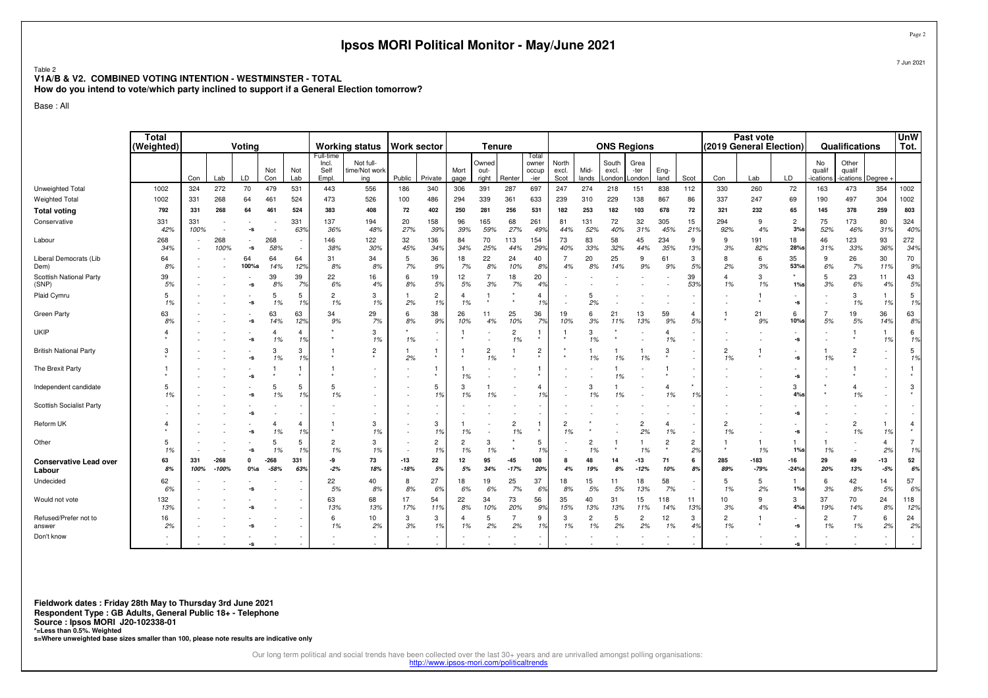|                                                                                                                                                                     |                     |             |                   |                         |                      |                                                      |                            | Ipsos MORI Political Monitor - May/June 2021 |                 |                          |                      |                      |                      |                                |                      |                      |                    |                      |                      |                      |                         |                |                                                        |                      |                                    |                                    | Page               |
|---------------------------------------------------------------------------------------------------------------------------------------------------------------------|---------------------|-------------|-------------------|-------------------------|----------------------|------------------------------------------------------|----------------------------|----------------------------------------------|-----------------|--------------------------|----------------------|----------------------|----------------------|--------------------------------|----------------------|----------------------|--------------------|----------------------|----------------------|----------------------|-------------------------|----------------|--------------------------------------------------------|----------------------|------------------------------------|------------------------------------|--------------------|
| Table 2<br>V1A/B & V2. COMBINED VOTING INTENTION - WESTMINSTER - TOTAL<br>How do you intend to vote/which party inclined to support if a General Election tomorrow? |                     |             |                   |                         |                      |                                                      |                            |                                              |                 |                          |                      |                      |                      |                                |                      |                      |                    |                      |                      |                      |                         |                |                                                        |                      |                                    |                                    | 7 Jun 2021         |
| Base: All                                                                                                                                                           |                     |             |                   |                         |                      |                                                      |                            |                                              |                 |                          |                      |                      |                      |                                |                      |                      |                    |                      |                      |                      |                         |                |                                                        |                      |                                    |                                    |                    |
|                                                                                                                                                                     | Total<br>(Weighted) |             |                   | Voting                  |                      |                                                      |                            | <b>Working status</b>                        | Work sector     |                          |                      | <b>Tenure</b>        |                      |                                |                      |                      | <b>ONS Regions</b> |                      |                      |                      | (2019 General Election) | Past vote      |                                                        |                      | Qualifications                     |                                    | <b>UnW</b><br>Tot. |
|                                                                                                                                                                     |                     |             |                   |                         | Not                  | Not                                                  | Full-time<br>Incl.<br>Self | Not full-<br>time/Not worl                   |                 |                          | Mort                 | Owned<br>out-        |                      | Total<br>owner<br>occup        | North<br>excl.       | Mid-                 | South<br>excl.     | Grea<br>-ter         | Eng-                 |                      |                         |                |                                                        | No<br>qualif         | Other<br>qualif                    |                                    |                    |
| Unweighted Total                                                                                                                                                    | 1002                | Con<br>324  | Lab<br>272        | LD<br>70                | Con<br>479           | Lab<br>531                                           | Empl.<br>443               | ing<br>556                                   | Public<br>186   | Private<br>340           | gage<br>306          | right<br>391         | Renter<br>287        | -ier<br>697                    | Scot<br>247          | lands<br>274         | London<br>218      | London<br>151        | land<br>838          | Scot<br>112          | Con<br>330              | Lab<br>260     | LD<br>72                                               | ications<br>163      | ications Degree<br>473             | 354                                | 1002               |
| <b>Weighted Total</b>                                                                                                                                               | 1002                | 331         | 268               | 64                      | 461                  | 524                                                  | 473                        | 526                                          | 100             | 486                      | 294                  | 339                  | 361                  | 633                            | 239                  | 310                  | 229                | 138                  | 867                  | 86                   | 337                     | 247            | 69                                                     | 190                  | 497                                | 304                                | 1002               |
| <b>Total voting</b>                                                                                                                                                 | 792                 | 331         | 268               | 64                      | 461                  | 524                                                  | 383                        | 408                                          | 72              | 402                      | 250                  | 281                  | 256                  | 531                            | 182                  | 253                  | 182                | 103                  | 678                  | 72                   | 321                     | 232            | 65                                                     | 145                  | 378                                | 259                                | 803                |
| Conservative                                                                                                                                                        | 331<br>42%          | 331<br>100% |                   | -s                      |                      | 331<br>639                                           | 137<br>36%                 | 194<br>48%                                   | 20<br>27%       | 158<br>39%               | 96<br>39%            | 165<br>59%           | 68<br>27%            | 261<br>499                     | 81<br>44%            | 131<br>52%           | 72<br>40%          | 32<br>31%            | 305<br>45%           | 15<br>21%            | 294<br>92%              | 9<br>4%        | $\overline{2}$<br>3%                                   | 75<br>52%            | 173<br>46%                         | 80<br>319                          | 324<br>40%         |
| Labour                                                                                                                                                              | 268<br>34%          |             | 268<br>100%       | -s                      | 268<br>58%           | ٠.<br>$\overline{\phantom{a}}$                       | 146<br>38%                 | 122<br>30%                                   | 32<br>45%       | 136<br>34%               | 84<br>34%            | 70<br>25%            | 113<br>44%           | 154<br>299                     | 73<br>40%            | 83<br>33%            | 58<br>32%          | 45<br>44%            | 234<br>35%           | -9<br>13%            | 9<br>3%                 | 191<br>82%     | 18<br>28%s                                             | 46<br>31%            | 123<br>33%                         | 93<br>36%                          | 272<br>34%         |
| Liberal Democrats (Lib<br>Dem)                                                                                                                                      | 64<br>8%            |             |                   | 64<br>100%s             | 64<br>14%            | 64<br>12%                                            | 31<br>8%                   | 34<br>8%                                     | 5<br>7%         | 36<br>9%                 | 18<br>7%             | 22<br>8%             | 24<br>10%            | 40<br>89                       | $\overline{7}$<br>4% | 20<br>8%             | 25<br>14%          | 9<br>9%              | 61<br>9%             | 3<br>5%              | 8<br>2%                 | 6<br>3%        | 35<br>53%s                                             | 9<br>6%              | 26<br>7%                           | 30<br>119                          | 70<br>9%           |
| Scottish National Party<br>(SNP)                                                                                                                                    | 39<br>5%            |             |                   | -s                      | 39<br>8%             | 39<br>7 <sup>o</sup>                                 | 22<br>6%                   | 16<br>4%                                     | 6<br>8%         | 19<br>5%                 | 12<br>5%             | 7<br>3%              | 18<br>7%             | 20<br>4 <sup>°</sup>           |                      |                      |                    |                      |                      | 39<br>53%            | $\overline{4}$<br>1%    | 3<br>1%        | 1%                                                     | 5<br>3%              | 23<br>6%                           | 11<br>4%                           | 43<br>5%           |
| Plaid Cymru                                                                                                                                                         | -5<br>1%            |             |                   | -s                      | 5<br>1%              | 5<br>1%                                              | $\overline{2}$<br>1%       | 3<br>1%                                      | 2%              | $\overline{2}$<br>1%     | $\overline{4}$<br>1% |                      |                      | $\overline{4}$<br>1%           |                      | 2%                   |                    |                      |                      |                      |                         |                | -s                                                     |                      | 3<br>1%                            | 1<br>1%                            | 5<br>1%            |
| Green Party                                                                                                                                                         | 63<br>8%            |             |                   | -s                      | 63<br>14%            | 63<br>12 <sub>7</sub>                                | 34<br>9%                   | 29<br>7%                                     | 6<br>8%         | 38<br>9%                 | 26<br>10%            | 11<br>4%             | 25<br>10%            | 36<br>7%                       | 19<br>10%            | 6<br>3%              | 21<br>11%          | 13<br>13%            | 59<br>9%             | 4<br>5%              |                         | 21<br>9%       | 6<br>10%s                                              | $\overline{7}$<br>5% | 19<br>5%                           | 36<br>14%                          | 63<br>8%           |
| <b>UKIP</b>                                                                                                                                                         | $\overline{4}$      |             |                   | -S                      | $\overline{a}$<br>1% | $\overline{4}$<br>19                                 |                            | 3<br>1%                                      | 1%              | $\overline{\phantom{a}}$ |                      |                      | $\overline{c}$<br>1% | $\overline{1}$<br>$\pmb{\ast}$ |                      | 3<br>1%              |                    |                      | $\overline{4}$<br>1% | ٠                    |                         |                | $\overline{\phantom{a}}$<br>$\textnormal{\texttt{-S}}$ |                      |                                    | 1 <sup>9</sup>                     | 6<br>1%            |
| <b>British National Party</b>                                                                                                                                       | 3                   |             |                   | -S                      | 3<br>1%              | 3<br>1%                                              |                            | $\overline{2}$                               | 2%              |                          |                      | $\overline{2}$<br>1% |                      | $\overline{c}$                 |                      | 1%                   | 1%                 | 1%                   | 3                    |                      | $\overline{c}$<br>1%    |                | $\textnormal{\texttt{-S}}$                             | 1%                   | $\overline{2}$                     |                                    | 5<br>1%            |
| The Brexit Party                                                                                                                                                    |                     |             |                   | -S                      |                      | $\mathbf{1}$                                         |                            |                                              |                 |                          | 1%                   |                      | ٠                    | -1                             |                      |                      | 1%                 |                      |                      |                      |                         |                | $\overline{\phantom{a}}$<br>-s                         |                      |                                    | $\overline{\phantom{a}}$<br>$\sim$ |                    |
| Independent candidate                                                                                                                                               | 5<br>1%             |             |                   | -s                      | -5<br>1%             | 5<br>1%                                              | 5<br>1%                    |                                              |                 | 5<br>1%                  | 3<br>1%              | -1<br>1%             |                      | $\overline{4}$<br>1%           |                      | 3<br>1%              | 1<br>1%            |                      | $\overline{4}$<br>1% | 1%                   |                         |                | 3<br>$4%$ s                                            |                      | $\overline{4}$<br>1%               | $\sim$                             | 3                  |
| Scottish Socialist Party                                                                                                                                            |                     |             |                   | -s                      |                      |                                                      |                            |                                              |                 | $\overline{\phantom{a}}$ |                      |                      |                      |                                |                      |                      |                    |                      |                      |                      |                         |                | $\textnormal{\texttt{-S}}$                             |                      |                                    |                                    |                    |
| Reform UK                                                                                                                                                           |                     |             |                   | -s                      | 4<br>1%              | $\overline{4}$<br>$\mathbf{1}^{\mathbf{c}}$          |                            | 3<br>1%                                      |                 | 3<br>1%                  | 1%                   |                      | $\overline{2}$<br>1% | -1                             | $\overline{2}$<br>1% |                      |                    | $\overline{2}$<br>2% | $\overline{4}$<br>1% | $\sim$               | $\overline{2}$<br>1%    |                | $\overline{\phantom{a}}$<br>$\textnormal{\texttt{-S}}$ |                      | $\overline{c}$<br>1%               | 1<br>1 <sup>9</sup>                | $\overline{4}$     |
| Other                                                                                                                                                               | 5<br>1%             |             |                   | -s                      | 5<br>1%              | 5<br>1%                                              | $\overline{2}$<br>1%       | 3<br>1%                                      |                 | $\overline{c}$<br>1%     | $\overline{2}$<br>1% | 3<br>1%              | $\star$              | 5<br>1%                        |                      | 2<br>1%              | -1                 | 1%                   | $\overline{c}$       | $\overline{2}$<br>2% |                         | 1<br>1%        | 1%                                                     | 1%                   | $\overline{\phantom{a}}$<br>$\sim$ | $\overline{4}$<br>2%               | 7<br>1%            |
| <b>Conservative Lead over</b><br>Labour                                                                                                                             | 63<br>8%            | 331<br>100% | $-268$<br>$-100%$ | $\mathbf{0}$<br>$0\%$ s | $-268$<br>$-58%$     | 331<br>639                                           | -9<br>$-2%$                | 73<br>18%                                    | $-13$<br>$-18%$ | 22<br>5%                 | 12<br>5%             | 95<br>34%            | $-45$<br>$-17%$      | 108<br>20%                     | 8<br>4%              | 48<br>19%            | 14<br>8%           | $-13$<br>$-12%$      | 71<br>10%            | 6<br>8%              | 285<br>89%              | -183<br>$-79%$ | $-16$<br>$-24%$                                        | 29<br>20%            | 49<br>13%                          | $-13$<br>$-5%$                     | 52<br>6%           |
| Undecided                                                                                                                                                           | 62<br>6%            |             |                   | -s                      |                      | $\overline{\phantom{a}}$                             | 22<br>5%                   | 40<br>8%                                     | 8<br>8%         | 27<br>6%                 | 18<br>6%             | 19<br>6%             | 25<br>7%             | 37<br>69                       | 18<br>8%             | 15<br>5%             | 11<br>5%           | 18<br>13%            | 58<br>7%             | ×,                   | -5<br>1%                | 5<br>2%        | $1\%$ s                                                | 6<br>3%              | 42<br>8%                           | 14<br>5%                           | 57<br>6%           |
| Would not vote                                                                                                                                                      | 132<br>13%          |             |                   | -S                      |                      | $\overline{\phantom{a}}$<br>$\overline{\phantom{a}}$ | 63<br>13%                  | 68<br>13%                                    | 17<br>17%       | 54<br>11%                | 22<br>8%             | 34<br>10%            | 73<br>20%            | 56<br>99                       | 35<br>15%            | 40<br>13%            | 31<br>13%          | 15<br>11%            | 118<br>14%           | 11<br>13%            | 10<br>3%                | 9<br>4%        | 3<br>$4%$ s                                            | 37<br>19%            | 70<br>14%                          | 24<br>8%                           | 118<br>12%         |
| Refused/Prefer not to<br>answer                                                                                                                                     | 16<br>2%            |             |                   | ۰s                      |                      | $\overline{\phantom{a}}$<br>$\overline{\phantom{a}}$ | 6<br>1%                    | 10<br>2%                                     | 3<br>3%         | 3<br>1%                  | $\overline{4}$<br>1% | 5<br>2%              | 2%                   | 9<br>1%                        | 3<br>1%              | $\overline{2}$<br>1% | 5<br>2%            | $\overline{2}$<br>2% | 12<br>1%             | 3<br>4%              | $\overline{2}$<br>1%    |                | $\overline{\phantom{a}}$<br>-s                         | $\overline{2}$<br>1% | 1%                                 | 6<br>2%                            | 24<br>2%           |
| Don't know                                                                                                                                                          |                     |             |                   | -S                      |                      |                                                      |                            |                                              |                 |                          |                      |                      |                      |                                |                      |                      |                    |                      |                      |                      |                         |                | $\textnormal{\texttt{-S}}$                             |                      |                                    |                                    |                    |

**Fieldwork dates : Friday 28th May to Thursday 3rd June 2021**

**Respondent Type : GB Adults, General Public 18+ - Telephone**

### **Source : Ipsos MORI J20-102338-01**

**\*=Less than 0.5%. Weighted s=Where unweighted base sizes smaller than 100, please note results are indicative only**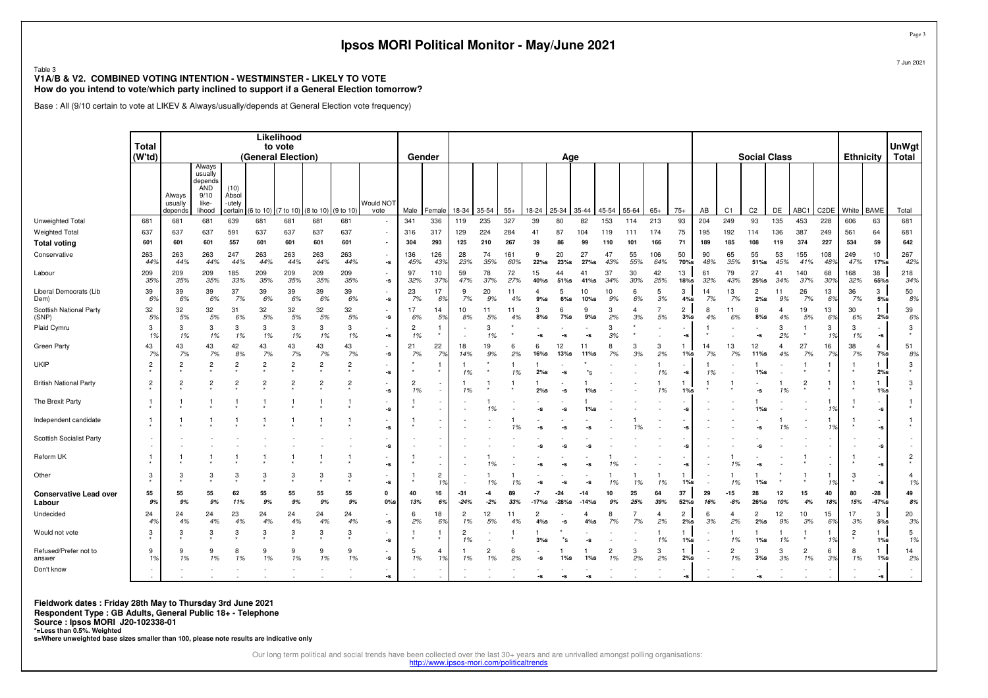|                                                                                                                                                                              |                        |                              |                                                                |                                    |                |                                             |                    |                | Ipsos MORI Political Monitor - May/June 2021 |                      |                      |                      |             |            |                          |              |                |                      |                      |                      |                          |           |                      |                          |                      |                      |                       |                  |                                                        | Page                      |
|------------------------------------------------------------------------------------------------------------------------------------------------------------------------------|------------------------|------------------------------|----------------------------------------------------------------|------------------------------------|----------------|---------------------------------------------|--------------------|----------------|----------------------------------------------|----------------------|----------------------|----------------------|-------------|------------|--------------------------|--------------|----------------|----------------------|----------------------|----------------------|--------------------------|-----------|----------------------|--------------------------|----------------------|----------------------|-----------------------|------------------|--------------------------------------------------------|---------------------------|
| Table 3<br>V1A/B & V2. COMBINED VOTING INTENTION - WESTMINSTER - LIKELY TO VOTE<br>How do you intend to vote/which party inclined to support if a General Election tomorrow? |                        |                              |                                                                |                                    |                |                                             |                    |                |                                              |                      |                      |                      |             |            |                          |              |                |                      |                      |                      |                          |           |                      |                          |                      |                      |                       |                  |                                                        | 7 Jun 2021                |
| Base : All (9/10 certain to vote at LIKEV & Always/usually/depends at General Election vote frequency)                                                                       |                        |                              |                                                                |                                    |                |                                             |                    |                |                                              |                      |                      |                      |             |            |                          |              |                |                      |                      |                      |                          |           |                      |                          |                      |                      |                       |                  |                                                        |                           |
|                                                                                                                                                                              |                        |                              |                                                                |                                    |                |                                             |                    |                |                                              |                      |                      |                      |             |            |                          |              |                |                      |                      |                      |                          |           |                      |                          |                      |                      |                       |                  |                                                        |                           |
|                                                                                                                                                                              | <b>Total</b><br>(W'td) |                              |                                                                |                                    |                | Likelihood<br>to vote<br>(General Election) |                    |                |                                              | Gender               |                      |                      |             |            |                          |              | Age            |                      |                      |                      |                          |           |                      |                          | <b>Social Class</b>  |                      |                       | <b>Ethnicity</b> |                                                        | <b>UnWgt</b><br>Total     |
|                                                                                                                                                                              |                        | Always<br>usually<br>depends | Always<br>usually<br>depends<br>AND<br>9/10<br>like-<br>lihood | (10)<br>Absol<br>-utely<br>certain | 6 to 10)       | (7 to 10)                                   | (8 to 10)          | 9 to 10        | Would NOT<br>vote                            | Male                 | Female               | 18-34                | 35-54       | $55+$      | 18-24                    | 25-34        | $35 - 44$      | 45-54                | 55-64                | $65+$                | $75+$                    | AB        | C <sub>1</sub>       | C <sub>2</sub>           | DE                   | ABC1                 | C <sub>2</sub> DE     | White            | <b>BAME</b>                                            | Total                     |
| Unweighted Tota                                                                                                                                                              | 681                    | 681                          | 681                                                            | 639                                | 681            | 681                                         | 681                | 681            |                                              | 341                  | 336                  | 119                  | 235         | 327        | 39                       | 80           | 82             | 153                  | 114                  | 213                  | 93                       | 204       | 249                  | 93                       | 135                  | 453                  | 228                   | 606              | 63                                                     | 681                       |
| <b>Weighted Total</b>                                                                                                                                                        | 637                    | 637                          | 637                                                            | 591                                | 637            | 637                                         | 637                | 637            |                                              | 316                  | 317                  | 129                  | 224         | 284        | 41                       | 87           | 104            | 119                  | 111                  | 174                  | 75                       | 195       | 192                  | 114                      | 136                  | 387                  | 249                   | 561              | 64                                                     | 681                       |
| <b>Total voting</b>                                                                                                                                                          | 601                    | 601                          | 601                                                            | 557                                | 601            | 601                                         | 601                | 601            |                                              | 304                  | 293                  | 125                  | 210         | 267        | 39<br><b>Q</b>           | 86<br>20     | 99<br>27       | 110<br>47            | 101                  | 166                  | 71                       | 189<br>90 | 185                  | 108                      | 119                  | 374                  | 227                   | 534              | 59                                                     | 642                       |
| Conservative                                                                                                                                                                 | 263<br>44%             | 263<br>44%                   | 263<br>44%                                                     | 247<br>44%                         | 263<br>44%     | 263<br>44%                                  | 263<br>44%         | 263<br>44%     | -s                                           | 136<br>45%           | 126<br>43%           | 28<br>23%            | 74<br>35%   | 161<br>60% | $22%$ s                  | $23%$ s      | $27%$ s        | 43%                  | 55<br>55%            | 106<br>64%           | 50<br>70%s               | 48%       | 65<br>35%            | 55<br>51%s               | 53<br>45%            | 155<br>41%           | 108<br>489            | 249<br>47%       | 10<br>17%s                                             | 267<br>42%                |
| Labour                                                                                                                                                                       | 209<br>359             | 209<br>35%                   | 209<br>35%                                                     | 185<br>33%                         | 209<br>35%     | 209<br>35%                                  | 209<br>35%         | 209<br>35%     | -s                                           | 97<br>32%            | 110<br>379           | 59<br>47%            | 78<br>37%   | 72<br>27%  | 15<br>40%s               | 44<br>51%s   | 41<br>$41\%$ s | 37<br>.34%           | 30<br>30%            | 42<br>25%            | 13<br>18%s               | 61<br>32% | 79<br>43%            | 27<br>$25%$ s            | 41<br>34%            | 140<br>37%           | 68<br>30 <sup>9</sup> | 168<br>32%       | 38<br>65%s                                             | 218<br>34%                |
| Liberal Democrats (Lib<br>Dem)                                                                                                                                               | 39<br>6%               | 39<br>6%                     | 39<br>6%                                                       | 37<br>7%                           | 39<br>6%       | 39<br>6%                                    | 39<br>6%           | 39<br>6%       | -s                                           | 23<br>7%             | 17<br>6%             | 9<br>7%              | 20<br>9%    | 11<br>4%   | $\overline{a}$<br>$9%$ s | 5<br>$6\%s$  | 10<br>$10\%$ s | 10<br>9%             | 6<br>6%              | 5<br>3%              | 3<br>$4\%$ s             | 14<br>7%  | 13<br>7%             | $\overline{2}$<br>2%s    | 11<br>9%             | 26<br>7%             | 13<br>6 <sup>c</sup>  | 36<br>7%         | 3<br>$5\%$ s                                           | 50<br>8%                  |
| Scottish National Party<br>(SNP)                                                                                                                                             | 32<br>5%               | 32<br>5%                     | 32<br>5%                                                       | 31<br>6%                           | 32<br>5%       | 32<br>5%                                    | 32<br>5%           | 32<br>5%       | -s                                           | 17<br>6%             | 14<br>5%             | 10<br>8%             | 11<br>5%    | 11<br>4%   | з<br>$8%$ s              | 6<br>$7\%$ s | 9<br>$9\%$ s   | 3<br>2%              | $\overline{4}$<br>3% | $\overline{7}$<br>5% | $\overline{2}$<br>$3%$ s | 8<br>4%   | 11<br>6%             | 8<br>$8\%$ s             | $\overline{4}$<br>4% | 19<br>5%             | 13<br>6%              | 30<br>6%         | $\mathbf{1}$<br>$2\%s$                                 | 39<br>6%                  |
| Plaid Cymru                                                                                                                                                                  | 3<br>1%                | 3<br>1%                      | 3<br>1%                                                        | 3<br>1%                            | 3<br>1%        | 3<br>1%                                     | 3<br>1%            | 3<br>1%        | -s                                           | $\overline{c}$<br>1% |                      |                      | з<br>1%     |            | -s                       | -s           | -S             | 3<br>3%              |                      |                      | -s                       |           |                      | -S                       | 3<br>2%              |                      | 3<br>1%               | 3<br>1%          | $\overline{\phantom{a}}$<br>-s                         | $\mathbf{3}$              |
| Green Party                                                                                                                                                                  | 43<br>7%               | 43<br>7%                     | 43<br>7%                                                       | 42<br>8%                           | 43<br>7%       | 43<br>7%                                    | 43<br>7%           | 43<br>7%       | $\textnormal{\texttt{-S}}$                   | 21<br>7%             | 22<br>7%             | 18<br>14%            | 19<br>9%    | 6<br>2%    | 6<br>$16%$ s             | 12<br>13%s   | 11<br>$11\%$ s | 8<br>7%              | 3<br>3%              | 3<br>2%              | $1\%$ s                  | 14<br>7%  | 13<br>7%             | 12<br>11%s               | $\overline{4}$<br>4% | 27<br>7%             | 16<br>7%              | 38<br>7%         | $\overline{4}$<br>$7\%s$                               | 51<br>8%                  |
| <b>UKIP</b>                                                                                                                                                                  | $\overline{2}$         | $\overline{2}$               | $\overline{c}$                                                 | $\overline{2}$                     | $\overline{2}$ | $\overline{2}$                              | $\overline{2}$     | $\overline{c}$ | -s                                           |                      | $\mathbf{1}$         | 1%                   |             | 1%         | $2\%$ s                  | -s           |                |                      |                      | 1%                   | -s                       | 1%        |                      | 1%s                      |                      |                      |                       |                  | 1<br>$2\%s$                                            | $\ensuremath{\mathsf{3}}$ |
| <b>British National Party</b>                                                                                                                                                | $\overline{c}$         | $\overline{c}$               | $\overline{2}$                                                 | $\overline{2}$                     | $\overline{2}$ | $\overline{2}$                              | $\overline{2}$     | $\overline{2}$ | -s                                           | $\overline{c}$<br>1% | $\sim$<br>×,         | 1%                   |             |            | 2%s                      | -s           | $1\%$ s        |                      |                      | 1%                   | $1\%$ s                  |           |                      | -s                       | 1%                   | $\overline{2}$       |                       |                  | $\mathbf{1}$<br>$1\%$ s                                | $\mathbf{3}$              |
| The Brexit Party                                                                                                                                                             | 1                      |                              |                                                                |                                    |                |                                             | 1                  |                | -s                                           |                      |                      |                      |             |            | -s                       | -S           |                |                      |                      |                      | -S                       |           |                      | $1\%$ s                  |                      |                      | 19                    |                  | $\overline{\phantom{a}}$<br>$\textnormal{\texttt{-S}}$ |                           |
| Independent candidate                                                                                                                                                        |                        |                              |                                                                |                                    |                |                                             |                    |                | -s                                           |                      |                      |                      |             | 1%         | -S                       |              |                |                      | 1%                   |                      | -S                       |           |                      | -S                       | 1%                   |                      | 1%                    |                  | $\overline{\phantom{a}}$<br>-s                         | -1                        |
| Scottish Socialist Party                                                                                                                                                     |                        |                              |                                                                |                                    |                |                                             |                    |                | -s                                           |                      |                      |                      |             |            |                          |              |                |                      |                      |                      |                          |           |                      | -S                       |                      |                      |                       |                  | $\sim$<br>-s                                           | $\overline{\phantom{a}}$  |
| Reform UK                                                                                                                                                                    | 1                      |                              |                                                                |                                    |                |                                             |                    | $\overline{1}$ | $\textnormal{\texttt{-S}}$                   |                      |                      |                      |             |            |                          |              |                |                      |                      |                      | -s                       |           | 1%                   | -S                       |                      |                      |                       |                  | $\overline{\phantom{a}}$<br>-s                         | $\frac{2}{x}$             |
| Other                                                                                                                                                                        | 3                      | 3                            | 3                                                              | 3                                  | 3              | 3                                           | 3                  | 3              | -s                                           |                      | $\overline{c}$<br>1% |                      | 1%          | 1%         |                          |              | -S             | 1%                   | 1%                   | 1%                   | $1%$ s                   |           | 1%                   |                          |                      |                      | 19                    |                  | $\overline{\phantom{a}}$<br>-s                         | $\overline{4}$<br>1%      |
| <b>Conservative Lead over</b><br>Labour                                                                                                                                      | 55<br>9%               | 55<br>9%                     | 55<br>9%                                                       | 62<br>11%                          | 55<br>9%       | 55<br>9%                                    | 55<br>9%           | 55<br>9%       | $\mathbf{0}$<br>$0\%$ s                      | 40<br>13%            | 16<br>6%             | $-31$<br>$-24%$      | -4<br>$-2%$ | 89<br>33%  |                          | $-24$        | $-14$          | 10                   | 25<br>25%            | 64<br>39%            | 37<br>52%s               | 29<br>16% | -15<br>$-8%$         | 28<br>26%s               | 12<br>10%            | 15<br>4%             | 40<br>18%             | 80<br>15%        | $-28$<br>$-47%$ s                                      | 49<br>$8\%$               |
| Undecided                                                                                                                                                                    | 24<br>4%               | 24<br>4%                     | 24<br>4%                                                       | 23<br>4%                           | 24<br>4%       | 24<br>4%                                    | 24<br>4%           | 24<br>4%       | $\textnormal{\texttt{-S}}$                   | 6<br>2%              | 18<br>6%             | $\overline{2}$<br>1% | 12<br>5%    | 11<br>4%   | 2<br>4%s                 | -s           | $4\%$ s        | 8<br>7%              | $\overline{7}$<br>7% | $\overline{4}$<br>2% | $\overline{2}$<br>2%s    | 6<br>3%   | $\overline{4}$<br>2% | $\overline{2}$<br>$2\%s$ | 12<br>9%             | 10<br>3%             | 15<br>6%              | 17<br>3%         | 3<br>5%s                                               | 20<br>3%                  |
| Would not vote                                                                                                                                                               | 3                      | 3                            | 3                                                              | 3                                  | 3              | 3                                           | 3                  | 3              | $\textnormal{\texttt{-S}}$                   |                      |                      | $\overline{2}$<br>1% |             |            | $3%$ s                   | *s           | -S             |                      |                      | 1%                   | $1\%$ s                  |           | 1%                   | $1\%$ s                  | 1%                   |                      | 1%                    | $\overline{2}$   | 1.<br>$1\%s$                                           | $\sqrt{5}$<br>1%          |
| Refused/Prefer not to<br>answer                                                                                                                                              | 9<br>1%                | 9<br>1%                      | 9<br>1%                                                        | 8<br>1%                            | 9<br>1%        | g<br>1%                                     | $\mathbf{q}$<br>1% | 9<br>1%        | -s                                           | 5<br>1%              | $\overline{a}$<br>1% | 1%                   | 2<br>1%     | 6<br>2%    | -S                       | $1\%$ s      | $1\%$ s        | $\overline{c}$<br>1% | 3<br>2%              | 3<br>2%              | 2%s                      |           | $\overline{2}$<br>1% | 3<br>3%s                 | 3<br>3%              | $\overline{2}$<br>1% | 6<br>3%               | 8<br>1%          | $\mathbf{1}$<br>$1\%s$                                 | 14<br>2%                  |
| Don't know                                                                                                                                                                   | $\sim$                 |                              |                                                                |                                    |                |                                             |                    |                | $\textnormal{\texttt{-S}}$                   |                      |                      |                      |             |            | -S                       | -s           | -5             |                      |                      |                      | -S                       |           |                      | -s                       |                      |                      |                       |                  | $\overline{\phantom{a}}$<br>$-S$                       |                           |

**Fieldwork dates : Friday 28th May to Thursday 3rd June 2021**

**Respondent Type : GB Adults, General Public 18+ - Telephone**

**Source : Ipsos MORI J20-102338-01** 

**\*=Less than 0.5%. Weighted s=Where unweighted base sizes smaller than 100, please note results are indicative only**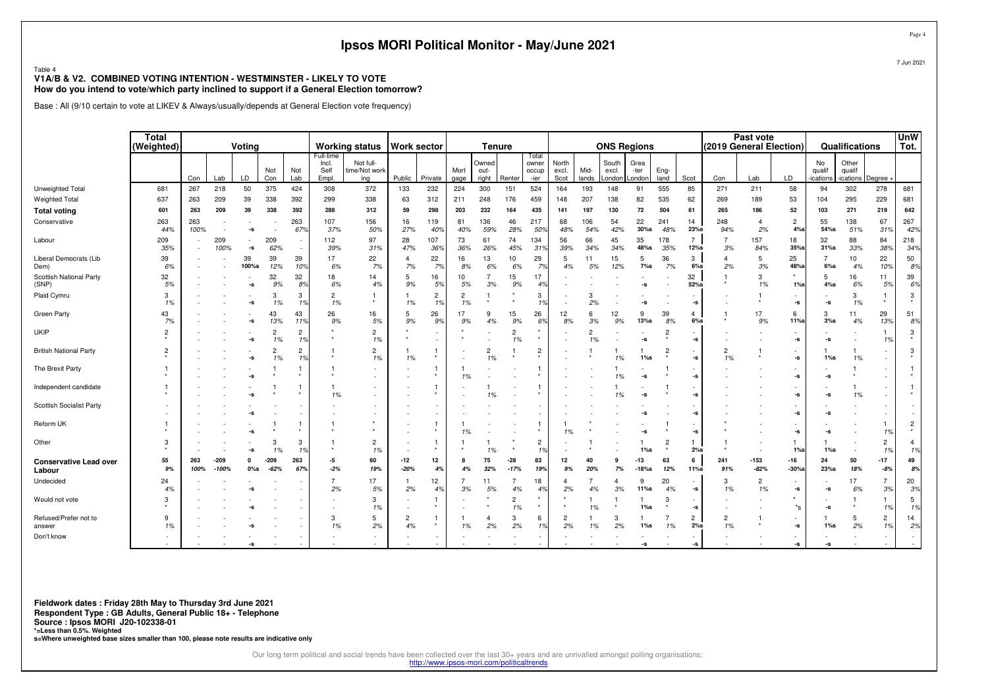|                                                                                                                                                                              |                |             |                 |              |                      |                           |                            | Ipsos MORI Political Monitor - May/June 2021       |                      |                                    |                      |                                |                      |                         |                      |                      |                                      |                   |                      |                                |                         |                       |                                                        |                            |                                   |                          | Page                 |
|------------------------------------------------------------------------------------------------------------------------------------------------------------------------------|----------------|-------------|-----------------|--------------|----------------------|---------------------------|----------------------------|----------------------------------------------------|----------------------|------------------------------------|----------------------|--------------------------------|----------------------|-------------------------|----------------------|----------------------|--------------------------------------|-------------------|----------------------|--------------------------------|-------------------------|-----------------------|--------------------------------------------------------|----------------------------|-----------------------------------|--------------------------|----------------------|
| Table 4<br>V1A/B & V2. COMBINED VOTING INTENTION - WESTMINSTER - LIKELY TO VOTE<br>How do you intend to vote/which party inclined to support if a General Election tomorrow? |                |             |                 |              |                      |                           |                            |                                                    |                      |                                    |                      |                                |                      |                         |                      |                      |                                      |                   |                      |                                |                         |                       |                                                        |                            |                                   |                          | 7 Jun 2021           |
| Base : All (9/10 certain to vote at LIKEV & Always/usually/depends at General Election vote frequency)                                                                       |                |             |                 |              |                      |                           |                            |                                                    |                      |                                    |                      |                                |                      |                         |                      |                      |                                      |                   |                      |                                |                         |                       |                                                        |                            |                                   |                          |                      |
|                                                                                                                                                                              | Total          |             |                 |              |                      |                           |                            |                                                    |                      |                                    |                      |                                |                      |                         |                      |                      |                                      |                   |                      |                                |                         | Past vote             |                                                        |                            |                                   |                          | <b>UnW</b>           |
|                                                                                                                                                                              | (Weighted)     |             |                 | Voting       | Not                  | Not                       | Full-time<br>Incl.<br>Self | <b>Working status</b><br>Not full-<br>ime/Not work | Work sector          |                                    | Mort                 | <b>Tenure</b><br>Owned<br>out- |                      | Total<br>owner<br>occup | North<br>excl.       | Mid-                 | <b>ONS Regions</b><br>South<br>excl. | Grea<br>-ter      | Eng-                 |                                | (2019 General Election) |                       |                                                        | No<br>qualif               | Qualifications<br>Other<br>qualif |                          | Tot.                 |
|                                                                                                                                                                              |                | Con         | Lab             | LD.          | Con                  | Lab                       | Empl.                      | ing                                                | Public               | Private                            | gage                 | right                          | Renter               | -ier                    | Scot                 | lands                | London                               | London            | land                 | Scot                           | Con                     | Lab                   | LD                                                     | ications                   | ications Degree                   |                          |                      |
| Unweighted Total                                                                                                                                                             | 681            | 267         | 218             | 50           | 375                  | 424                       | 308                        | 372                                                | 133                  | 232                                | 224                  | 300                            | 151                  | 524                     | 164                  | 193                  | 148                                  | 91                | 555                  | 85                             | 271                     | 211                   | 58                                                     | 94                         | 302                               | 278                      | 681                  |
| <b>Weighted Total</b>                                                                                                                                                        | 637            | 263         | 209             | 39           | 338                  | 392                       | 299                        | 338                                                | 63                   | 312                                | 211                  | 248                            | 176                  | 459                     | 148                  | 207                  | 138                                  | 82                | 535                  | 62<br>61                       | 269                     | 189                   | 53                                                     | 104                        | 295<br>271                        | 229                      | 681<br>642           |
| <b>Total voting</b>                                                                                                                                                          | 601            | 263         | 209             | 39           | 338                  | 392                       | 288                        | 312                                                | 59                   | 298                                | 203<br>81            | 232                            | 164<br>46            | 435                     | 141                  | 197                  | 130<br>54                            | 72                | 504                  | 14                             | 265                     | 186<br>$\overline{4}$ | 52<br>$\overline{2}$                                   | 103                        |                                   | 219<br>67                |                      |
| Conservative                                                                                                                                                                 | 263<br>44%     | 263<br>100% |                 | $-S$         |                      | 263<br>67                 | 107<br>37%                 | 156<br>50%                                         | 16<br>27%            | 119<br>40%                         | 40%                  | 136<br>59%                     | 28%                  | 217<br>50°              | 68<br>48%            | 106<br>54%           | 42%                                  | 22<br>30%s        | 241<br>48%           | 23%s                           | 248<br>94%              | 2%                    | $4%$ s                                                 | 55<br>54%s                 | 138<br>51%                        | 319                      | 267<br>42%           |
| Labour                                                                                                                                                                       | 209<br>35%     |             | 209<br>100%     | $-S$         | 209<br>62%           | $\overline{\phantom{a}}$  | 112<br>39%                 | 97<br>31%                                          | 28<br>47%            | 107<br>36%                         | 73<br>36%            | 61<br>26%                      | 74<br>45%            | 134<br>31'              | 56<br>39%            | 66<br>34%            | 45<br>34%                            | 35<br>48%s        | 178<br>35%           | 7<br>12%s                      | 7<br>3%                 | 157<br>84%            | 18<br>35%                                              | 32<br>$31%$ s              | 88<br>33%                         | 84<br>38%                | 218<br>34%           |
| Liberal Democrats (Lib<br>Dem)                                                                                                                                               | 39<br>6%       |             |                 | 39<br>100%s  | 39<br>12%            | 39<br>10 <sub>9</sub>     | 17<br>6%                   | 22<br>7%                                           | $\overline{4}$<br>7% | 22<br>7%                           | 16<br>8%             | 13<br>6%                       | 10<br>6%             | 29<br>7 <sup>o</sup>    | 5<br>4%              | 11<br>5%             | 15<br>12%                            | 5<br>7%s          | 36<br>7%             | 3<br>$6%$ s                    | $\overline{4}$<br>2%    | 5<br>3%               | 25<br>48%s                                             | $\overline{7}$<br>$6\%$ s  | 10<br>4%                          | 22<br>10%                | 50<br>8%             |
| Scottish National Party<br>(SNP)                                                                                                                                             | 32<br>5%       |             |                 | -s           | 32<br>9%             | 32<br>8 <sup>o</sup>      | 18<br>6%                   | 14<br>4%                                           | 5<br>9%              | 16<br>5%                           | 10<br>5%             | $\overline{7}$<br>3%           | 15<br>9%             | 17<br>4%                |                      |                      |                                      | -S                |                      | 32<br>52%s                     |                         | 3<br>1%               | 1%                                                     | 5<br>$4\%$ s               | 16<br>6%                          | 11<br>5%                 | 39<br>6%             |
| Plaid Cymru                                                                                                                                                                  | 3<br>1%        |             |                 | -s           | 3<br>1%              | 3<br>1%                   | $\overline{2}$<br>1%       | -1                                                 | -1<br>1%             | $\overline{c}$<br>1%               | $\overline{c}$<br>1% | -1                             |                      | 3<br>1%                 |                      | 3<br>2%              |                                      | -s                |                      | -s                             |                         |                       | -s                                                     | $\textnormal{\texttt{-S}}$ | 3<br>1%                           | 1<br>$\ast$              | 3                    |
| Green Party                                                                                                                                                                  | 43<br>7%       |             |                 | -s           | 43<br>13%            | 43<br>119                 | 26<br>9%                   | 16<br>5%                                           | 5<br>9%              | 26<br>9%                           | 17<br>9%             | 9<br>4%                        | 15<br>9%             | 26<br>6%                | 12<br>8%             | 6<br>3%              | 12<br>9%                             | 9<br>$13%$ s      | 39<br>8%             | $\overline{\mathbf{4}}$<br>6%s |                         | 17<br>9%              | 6<br>11%s                                              | 3<br>$3%$ s                | 11<br>4%                          | 29<br>13%                | 51<br>8%             |
| <b>UKIP</b>                                                                                                                                                                  | $\overline{2}$ |             |                 | -s           | $\overline{2}$<br>1% | $\overline{c}$<br>1%      |                            | $\overline{c}$<br>1%                               |                      | $\overline{\phantom{a}}$<br>$\sim$ |                      |                                | $\overline{c}$<br>1% | $\star$<br>$\pmb{\ast}$ |                      | $\overline{2}$<br>1% |                                      | -s                | $\overline{c}$       | -s                             |                         |                       | $\textnormal{\texttt{-S}}$                             | $\textnormal{\texttt{-S}}$ | $\overline{\phantom{a}}$          | 1 <sup>9</sup>           | 3                    |
| <b>British National Party</b>                                                                                                                                                | $\overline{2}$ |             |                 | ۰s           | $\overline{2}$<br>1% | $\overline{c}$<br>1%      |                            | $\overline{c}$<br>1%                               | 1%                   |                                    |                      | $\overline{2}$<br>1%           |                      | $\overline{c}$          |                      |                      | 1%                                   | $1\%s$            | $\overline{c}$       | -s                             | $\overline{c}$<br>1%    |                       | $\textnormal{\texttt{-S}}$                             | $1\%s$                     | 1%                                |                          | 3                    |
| The Brexit Party                                                                                                                                                             |                |             |                 | -s           |                      | -1                        |                            |                                                    |                      |                                    | -1<br>1%             |                                |                      | -1                      |                      |                      | 1%                                   | -s                |                      | -s                             |                         |                       | $\overline{\phantom{a}}$<br>-s                         | -s                         |                                   | $\overline{\phantom{a}}$ |                      |
| Independent candidate                                                                                                                                                        |                |             |                 | -s           |                      | $\overline{1}$<br>$\star$ | $\mathbf{1}$<br>1%         |                                                    |                      | 1<br>$\star$                       |                      | -1<br>1%                       |                      |                         |                      |                      | 1%                                   | -S                |                      | -S                             |                         |                       | -s                                                     | $\textnormal{\texttt{-S}}$ | 1%                                | $\sim$<br>٠.             |                      |
| Scottish Socialist Party                                                                                                                                                     |                |             |                 | -s           |                      |                           |                            |                                                    |                      | ÷.<br>$\sim$                       |                      |                                |                      |                         |                      |                      |                                      | -S                |                      | -s                             |                         |                       | $\textnormal{\texttt{-S}}$                             | -s                         |                                   |                          |                      |
| Reform UK                                                                                                                                                                    |                |             |                 | -s           |                      | -1                        |                            | $\star$                                            |                      | 1                                  | 1%                   |                                |                      | -1                      | 1%                   |                      |                                      | -s                |                      | -s                             |                         |                       | $\overline{\phantom{a}}$<br>$\textnormal{\texttt{-S}}$ | -s                         |                                   | 1<br>1 <sup>9</sup>      | $\overline{c}$       |
| Other                                                                                                                                                                        | 3              |             |                 | -s           | 3<br>1%              | 3<br>1%                   |                            | $\overline{c}$<br>1%                               |                      | 1<br>$\star$                       |                      | 1%                             | $\star$              | $\overline{c}$<br>1%    |                      |                      |                                      | $1\%s$            | $\overline{c}$       | $2%$ s                         |                         |                       | $1%$ s                                                 | $1\%$ s                    | $\overline{\phantom{a}}$<br>÷.    | $\overline{c}$<br>1%     | $\overline{4}$<br>1% |
| <b>Conservative Lead over</b><br>Labour                                                                                                                                      | 55<br>9%       | 263<br>100% | -209<br>$-100%$ | n<br>$0\%$ s | $-209$<br>$-62%$     | 263<br>679                | -5<br>$-2%$                | 60<br>19%                                          | $-12$<br>$-20%$      | 12<br>4%                           | -8<br>4%             | 75<br>32%                      | $-28$<br>$-17%$      | 83<br>19%               | 12<br>9%             | 40<br>20%            | 9<br>7%                              | $-13$<br>$-18%$ s | 63<br>12%            | 6<br>$11\%$ s                  | 241<br>91%              | -153<br>$-82%$        | $-16$<br>$-30%$                                        | 24<br>$23%$ s              | 50<br>18%                         | $-17$<br>$-8%$           | 49<br>8%             |
| Undecided                                                                                                                                                                    | 24<br>4%       |             |                 | -s           |                      |                           | $\overline{7}$<br>2%       | 17<br>5%                                           | -1<br>2%             | 12<br>4%                           | 3%                   | 11<br>5%                       | 7<br>4%              | 18<br>4 <sup>°</sup>    | 4<br>2%              | 4%                   | $\overline{4}$<br>3%                 | 9<br>11%s         | 20<br>4%             | -s                             | 3<br>1%                 | $\overline{2}$<br>1%  | -s                                                     | $\textnormal{\texttt{-S}}$ | 17<br>6%                          | $\overline{7}$<br>3%     | 20<br>3%             |
| Would not vote                                                                                                                                                               | 3              |             |                 | ۰S           |                      |                           |                            | 3<br>1%                                            |                      | 1                                  |                      |                                | $\overline{c}$<br>1% | $\star$                 |                      | 1%                   |                                      | $1\%s$            | 3                    | -s                             |                         |                       | $\star$<br>$^*$ s                                      | -s                         |                                   | 1<br>1 <sup>9</sup>      | 5<br>1%              |
| Refused/Prefer not to<br>answer                                                                                                                                              | 9<br>1%        |             |                 | ۰s           |                      |                           | 3<br>1%                    | 5<br>2%                                            | $\overline{c}$<br>4% | 1                                  | 1%                   | $\overline{4}$<br>2%           | 3<br>2%              | 6<br>1%                 | $\overline{2}$<br>2% | 1%                   | 3<br>2%                              | 1%s               | $\overline{7}$<br>1% | $\overline{c}$<br>2%s          | $\overline{c}$<br>1%    |                       | $\overline{\phantom{a}}$<br>$\textnormal{\texttt{-S}}$ | $1\%s$                     | 5<br>2%                           | $\overline{2}$<br>1%     | 14<br>2%             |
| Don't know                                                                                                                                                                   |                |             |                 |              |                      |                           |                            |                                                    |                      | $\sim$                             |                      |                                |                      |                         |                      |                      |                                      | -s                |                      | -s                             |                         |                       | $\textnormal{\texttt{-S}}$                             | -S                         |                                   |                          |                      |

**Fieldwork dates : Friday 28th May to Thursday 3rd June 2021**

**Respondent Type : GB Adults, General Public 18+ - Telephone**

**Source : Ipsos MORI J20-102338-01** 

**\*=Less than 0.5%. Weighted s=Where unweighted base sizes smaller than 100, please note results are indicative only**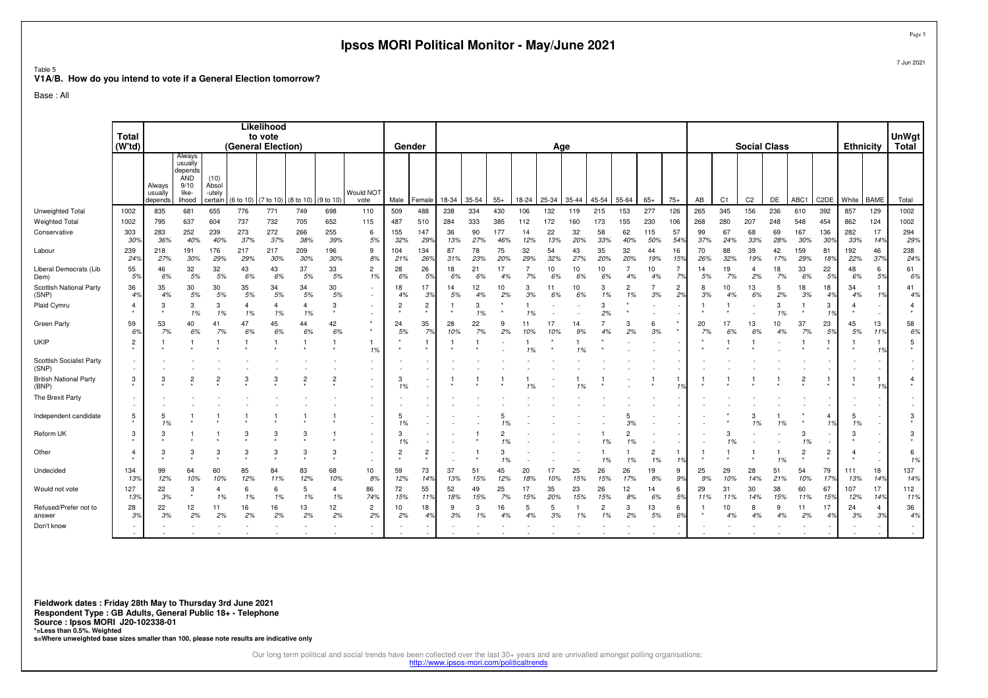|                                                                             |                |                              |                                                                       |                                    |                      |                       |                               |                       | Ipsos MORI Political Monitor - May/June 2021 |                |                          |           |           |            |           |           |           |                      |                      |                      |                      |           |                |                      |                     |                           |                      |                  |                                    | Page             |
|-----------------------------------------------------------------------------|----------------|------------------------------|-----------------------------------------------------------------------|------------------------------------|----------------------|-----------------------|-------------------------------|-----------------------|----------------------------------------------|----------------|--------------------------|-----------|-----------|------------|-----------|-----------|-----------|----------------------|----------------------|----------------------|----------------------|-----------|----------------|----------------------|---------------------|---------------------------|----------------------|------------------|------------------------------------|------------------|
| Table 5<br>V1A/B. How do you intend to vote if a General Election tomorrow? |                |                              |                                                                       |                                    |                      |                       |                               |                       |                                              |                |                          |           |           |            |           |           |           |                      |                      |                      |                      |           |                |                      |                     |                           |                      |                  |                                    | 7 Jun 2021       |
| Base: All                                                                   |                |                              |                                                                       |                                    |                      |                       |                               |                       |                                              |                |                          |           |           |            |           |           |           |                      |                      |                      |                      |           |                |                      |                     |                           |                      |                  |                                    |                  |
|                                                                             | Total          |                              |                                                                       |                                    |                      | Likelihood<br>to vote |                               |                       |                                              |                |                          |           |           |            |           |           |           |                      |                      |                      |                      |           |                |                      |                     |                           |                      |                  |                                    | <b>UnWgt</b>     |
|                                                                             | (W'td)         |                              |                                                                       |                                    |                      | (General Election)    |                               |                       |                                              | Gender         |                          |           |           |            |           | Age       |           |                      |                      |                      |                      |           |                |                      | <b>Social Class</b> |                           |                      | <b>Ethnicity</b> |                                    | Total            |
|                                                                             |                | Always<br>usually<br>depends | Always<br>usually<br>depends<br><b>AND</b><br>9/10<br>like-<br>lihood | (10)<br>Absol<br>-utely<br>certain | (6 to 10)            | $(7 to 10)$ (8 to 10) |                               | (9 to 10)             | Would NO <sub>1</sub><br>vote                | Male           | Female                   | 18-34     | 35-54     | $55+$      | 18-24     | 25-34     | 35-44     | 45-54                | 55-64                | $65+$                | $75+$                | AB        | C <sub>1</sub> | C <sub>2</sub>       | DE                  | ABC1                      | C <sub>2</sub> DE    | White            | <b>BAME</b>                        | Total            |
| Unweighted Total                                                            | 1002           | 835                          | 681                                                                   | 655                                | 776                  | 771                   | 749                           | 698                   | 110                                          | 509            | 488                      | 238       | 334       | 430        | 106       | 132       | 119       | 215                  | 153                  | 277                  | 126                  | 265       | 345            | 156                  | 236                 | 610                       | 392                  | 857              | 129                                | 1002             |
| <b>Weighted Total</b>                                                       | 1002           | 795                          | 637                                                                   | 604                                | 737                  | 732                   | 705                           | 652                   | 115                                          | 487            | 510                      | 284       | 333       | 385        | 112       | 172       | 160       | 173                  | 155                  | 230                  | 106                  | 268       | 280            | 207                  | 248                 | 548                       | 454                  | 862              | 124                                | 1002             |
| Conservative                                                                | 303<br>30%     | 283<br>36%                   | 252<br>40%                                                            | 239<br>40%                         | 273<br>37%           | 272<br>37%            | 266<br>38%                    | 255<br>39%            | 6<br>5%                                      | 155<br>32%     | 147<br>29%               | 36<br>13% | 90<br>27% | 177<br>46% | 14<br>12% | 22<br>13% | 32<br>20% | 58<br>33%            | 62<br>40%            | 115<br>50%           | 57<br>54%            | 99<br>37% | 67<br>24%      | 68<br>33%            | 69<br>28%           | 167<br>30%                | 136<br>30%           | 282<br>33%       | 17<br>14%                          | 294<br>29%       |
| Labour                                                                      | 239<br>24%     | 218<br>27%                   | 191<br>30%                                                            | 176<br>29%                         | 217<br>29%           | 217<br>30%            | 209<br>30%                    | 196<br>30%            | 9<br>8%                                      | 104<br>21%     | 134<br>26%               | 87<br>31% | 78<br>23% | 75<br>20%  | 32<br>29% | 54<br>32% | 43<br>27% | 35<br>20%            | 32<br>20%            | 44<br>19%            | 16<br>15%            | 70<br>26% | 88<br>32%      | 39<br>19%            | 42<br>17%           | 159<br>29%                | 81<br>189            | 192<br>22%       | 46<br>37%                          | 238<br>24%       |
| Liberal Democrats (Lib<br>Dem)                                              | 55<br>5%       | 46<br>6%                     | 32<br>5%                                                              | 32<br>5%                           | 43<br>6%             | 43<br>6%              | 37<br>5%                      | 33<br>5%              | $\overline{2}$<br>1%                         | 28<br>6%       | 26<br>5%                 | 18<br>6%  | 21<br>6%  | 17<br>4%   | 7<br>7%   | 10<br>6%  | 10<br>6%  | 10<br>6%             | $\overline{7}$<br>4% | 10<br>4%             | $\overline{7}$<br>7% | 14<br>5%  | 19<br>7%       | $\overline{4}$<br>2% | 18<br>7%            | 33<br>6%                  | 22<br>5%             | 48<br>6%         | 6<br>5%                            | 61<br>6%         |
| Scottish National Party<br>(SNP)                                            | 36<br>4%       | 35<br>4%                     | 30<br>5%                                                              | 30<br>5%                           | 35<br>5%             | 34<br>5%              | 34<br>5%                      | 30<br>5%              | $\overline{\phantom{a}}$<br>$\sim$           | 18<br>4%       | 17<br>3%                 | 14<br>5%  | 12<br>4%  | 10<br>2%   | 3<br>3%   | 11<br>6%  | 10<br>6%  | 3<br>1%              | $\overline{2}$<br>1% | $\overline{7}$<br>3% | $\overline{2}$<br>2% | 8<br>3%   | 10<br>4%       | 13<br>6%             | 5<br>2%             | 18<br>3%                  | 18<br>4%             | 34<br>4%         | $\mathbf{1}$<br>1%                 | 41<br>4%         |
| Plaid Cymru                                                                 | $\overline{4}$ | 3                            | 3<br>1%                                                               | 3<br>1%                            | $\overline{a}$<br>1% | $\overline{4}$<br>1%  | $\overline{\mathbf{A}}$<br>1% | 3                     | $\sim$<br>$\overline{\phantom{a}}$           | $\overline{2}$ | $\overline{c}$           |           | 3<br>1%   |            | 1%        |           |           | 3<br>2%              |                      |                      |                      | -1        |                |                      | 3<br>1%             | -1                        | 3<br>1%              | $\overline{4}$   | $\overline{\phantom{a}}$<br>$\sim$ | $\overline{4}$   |
| Green Party                                                                 | 59<br>6%       | 53<br>7%                     | 40<br>6%                                                              | 41<br>7%                           | 47<br>6%             | 45<br>6%              | 44<br>6%                      | 42<br>6%              | $\star$<br>$\star$                           | 24<br>5%       | 35<br>7%                 | 28<br>10% | 22<br>7%  | 9<br>2%    | 11<br>10% | 17<br>10% | 14<br>9%  | $\overline{7}$<br>4% | 3<br>2%              | 6<br>3%              |                      | 20<br>7%  | 17<br>6%       | 13<br>6%             | 10<br>4%            | 37<br>7%                  | 23<br>5%             | 45<br>5%         | 13<br>11%                          | 58<br>6%         |
| UKIP                                                                        | $\overline{c}$ | -1                           | $\mathbf{1}$                                                          |                                    | -1                   | $\overline{1}$        | $\mathbf{1}$                  | $\mathbf{1}$          | $\mathbf{1}$<br>1%                           |                | 1                        |           | 1         |            | 1%        |           | 1%        |                      |                      |                      |                      |           |                |                      |                     | $\overline{1}$            |                      |                  | $\mathbf{1}$<br>1%                 | $5\phantom{.0}$  |
| Scottish Socialist Party<br>(SNP)                                           |                |                              |                                                                       |                                    |                      |                       |                               |                       | $\overline{\phantom{a}}$                     |                | $\sim$                   |           |           |            |           |           |           |                      |                      |                      |                      |           |                |                      |                     |                           |                      |                  | $\sim$                             |                  |
| <b>British National Party</b><br>(BNP)                                      | 3              | 3                            | $\overline{c}$                                                        |                                    | 3                    | 3                     | $\overline{c}$                | $\overline{2}$        |                                              | 3<br>1%        | $\sim$                   |           |           |            |           |           |           |                      |                      |                      |                      |           |                |                      |                     | $\frac{2}{x}$             |                      |                  | $\mathbf{1}$<br>1%                 | $\frac{4}{\ast}$ |
| The Brexit Party                                                            |                |                              |                                                                       |                                    |                      |                       |                               |                       |                                              |                |                          |           |           |            |           |           |           |                      |                      |                      |                      |           |                |                      |                     |                           |                      |                  | $\sim$<br>$\overline{\phantom{a}}$ | $\sim$           |
| Independent candidate                                                       | 5              | 5<br>1%                      |                                                                       |                                    |                      |                       |                               |                       |                                              | 5<br>1%        | $\overline{\phantom{a}}$ |           |           |            |           |           |           |                      | 5<br>3%              |                      |                      |           |                | 3<br>1%              | -1<br>1%            |                           | $\overline{4}$<br>1% | -5<br>1%         | $\sim$<br>$\overline{\phantom{a}}$ | 3                |
| Reform UK                                                                   | 3              | 3                            |                                                                       |                                    | 3                    | 3                     | 3                             |                       | $\sim$                                       | 3<br>1%        | ×.                       |           |           | 1%         |           |           |           | 1%                   | $\overline{c}$<br>1% |                      |                      |           | 3<br>1%        |                      |                     | 3<br>1%                   |                      | 3                | i.                                 | 3                |
| Other                                                                       | $\overline{4}$ | 3                            | 3                                                                     | 3                                  | 3                    | 3                     | 3                             | 3                     | $\overline{\phantom{a}}$<br>$\sim$           | $\overline{c}$ | $\overline{c}$           |           |           | 3<br>1%    |           |           |           | 1%                   | 1%                   | $\overline{c}$<br>1% | -1<br>19             |           |                |                      | -1<br>1%            | $\overline{c}$<br>$\star$ | $\overline{c}$       | $\overline{4}$   | $\sim$                             | 6<br>1%          |
| Undecided                                                                   | 134<br>13%     | 99<br>12%                    | 64<br>10%                                                             | 60<br>10%                          | 85<br>12%            | 84<br>11%             | 83<br>12%                     | 68<br>10%             | 10<br>8%                                     | 59<br>12%      | 73<br>14%                | 37<br>13% | 51<br>15% | 45<br>12%  | 20<br>18% | 17<br>10% | 25<br>15% | 26<br>15%            | 26<br>17%            | 19<br>8%             | 9<br>9%              | 25<br>9%  | 29<br>10%      | 28<br>14%            | 51<br>21%           | 54<br>10%                 | 79<br>17%            | 111<br>13%       | 18<br>14%                          | 137<br>14%       |
| Would not vote                                                              | 127<br>13%     | 22<br>3%                     | 3                                                                     | 4<br>1%                            | -6<br>1%             | 6<br>1%               | 5<br>1%                       | $\overline{4}$<br>1%  | 86<br>74%                                    | 72<br>15%      | 55<br>11%                | 52<br>18% | 49<br>15% | 25<br>7%   | 17<br>15% | 35<br>20% | 23<br>15% | 26<br>15%            | 12<br>8%             | 14<br>6%             | 6<br>5%              | 29<br>11% | 31<br>11%      | 30<br>14%            | 38<br>15%           | 60<br>11%                 | 67<br>15%            | 107<br>12%       | 17<br>14%                          | 112<br>11%       |
| Refused/Prefer not to<br>answer                                             | 28<br>3%       | 22<br>3%                     | 12<br>2%                                                              | 11<br>2%                           | 16<br>2%             | 16<br>2%              | 13<br>2%                      | 12 <sup>2</sup><br>2% | $\overline{2}$<br>2%                         | 10<br>2%       | 18<br>4%                 | 9<br>3%   | 3<br>1%   | 16<br>4%   | 5<br>4%   | 5<br>3%   | -1<br>1%  | $\overline{2}$<br>1% | 3<br>2%              | 13<br>5%             | 6<br>6%              | -1        | 10<br>4%       | 8<br>4%              | 9<br>4%             | 11<br>2%                  | 17<br>4%             | 24<br>3%         | $\overline{4}$<br>3%               | 36<br>4%         |
| Don't know                                                                  |                |                              |                                                                       |                                    |                      |                       |                               |                       |                                              |                |                          |           |           |            |           |           |           |                      |                      |                      |                      |           |                |                      |                     |                           |                      |                  | ×                                  | $\sim$           |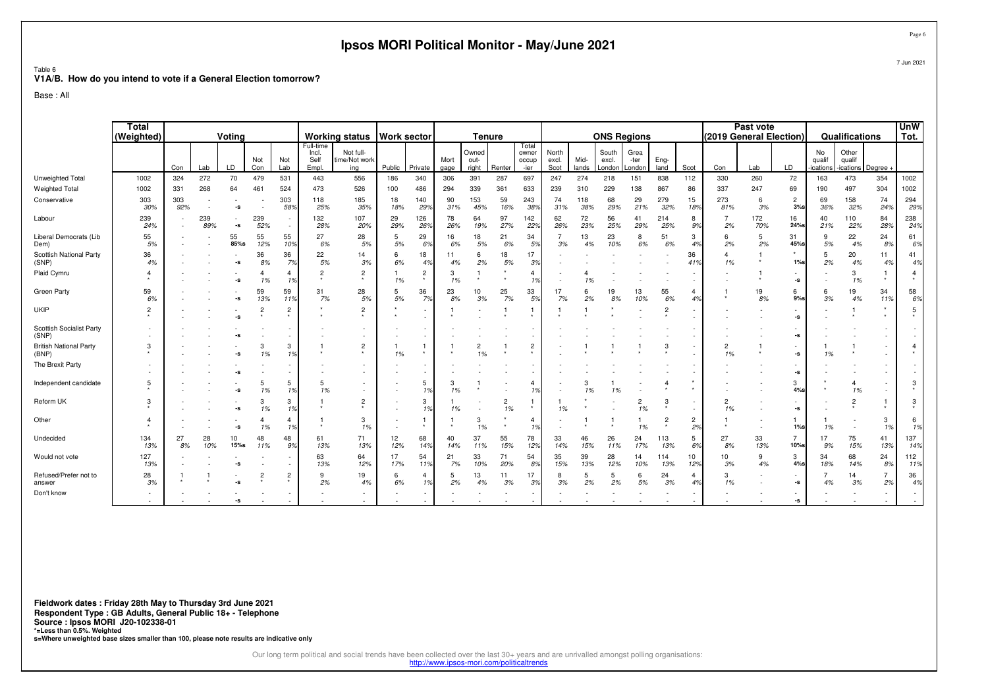|                                                                             |                            |            |            |                          |                      |                                  |                                     | Ipsos MORI Political Monitor - May/June 2021 |                    |                           |              |                               |                      |                                 |                        |               |                          |                        |                |                               |                         |            |                                      |                          |                                    |                      | Page (                    |
|-----------------------------------------------------------------------------|----------------------------|------------|------------|--------------------------|----------------------|----------------------------------|-------------------------------------|----------------------------------------------|--------------------|---------------------------|--------------|-------------------------------|----------------------|---------------------------------|------------------------|---------------|--------------------------|------------------------|----------------|-------------------------------|-------------------------|------------|--------------------------------------|--------------------------|------------------------------------|----------------------|---------------------------|
| Table 6<br>V1A/B. How do you intend to vote if a General Election tomorrow? |                            |            |            |                          |                      |                                  |                                     |                                              |                    |                           |              |                               |                      |                                 |                        |               |                          |                        |                |                               |                         |            |                                      |                          |                                    |                      | 7 Jun 2021                |
| Base: All                                                                   |                            |            |            |                          |                      |                                  |                                     |                                              |                    |                           |              |                               |                      |                                 |                        |               |                          |                        |                |                               |                         |            |                                      |                          |                                    |                      |                           |
|                                                                             | <b>Total</b><br>(Weighted) |            |            | Voting                   |                      |                                  |                                     | <b>Working status</b>                        | <b>Work sector</b> |                           |              | <b>Tenure</b>                 |                      |                                 |                        |               | <b>ONS Regions</b>       |                        |                |                               | (2019 General Election) | Past vote  |                                      |                          | Qualifications                     |                      | <b>UnW</b><br>Tot.        |
|                                                                             |                            | Con        | Lab        | LD                       | Not<br>Con           | Not<br>Lab                       | Full-time<br>Incl.<br>Self<br>Empl. | Not full-<br>time/Not work<br>ing            | Public             | Private                   | Mort<br>gage | Owned<br>out-<br>right        | Renter               | Total<br>owner<br>occup<br>-ier | North<br>excl.<br>Scot | Mid-<br>lands | South<br>excl.<br>_ondon | Grea<br>-ter<br>London | Eng-<br>land   | Scot                          | Con                     | Lab        | LD                                   | No<br>qualif<br>ications | Other<br>qualif<br>ications Degree |                      |                           |
| Unweighted Total                                                            | 1002                       | 324        | 272        | 70                       | 479                  | 531                              | 443                                 | 556                                          | 186                | 340                       | 306          | 391                           | 287                  | 697                             | 247                    | 274           | 218                      | 151                    | 838            | 112                           | 330                     | 260        | 72                                   | 163                      | 473                                | 354                  | 1002                      |
| <b>Weighted Total</b>                                                       | 1002                       | 331        | 268        | 64                       | 461                  | 524                              | 473                                 | 526                                          | 100                | 486                       | 294          | 339                           | 361                  | 633                             | 239                    | 310           | 229                      | 138                    | 867            | 86                            | 337                     | 247        | 69                                   | 190                      | 497                                | 304                  | 1002                      |
| Conservative                                                                | 303<br>30%                 | 303<br>92% |            | -s                       |                      | 303<br>589                       | 118<br>25%                          | 185<br>35%                                   | 18<br>18%          | 140<br>29%                | 90<br>31%    | 153<br>45%                    | 59<br>16%            | 243<br>38%                      | 74<br>31%              | 118<br>38%    | 68<br>29%                | 29<br>21%              | 279<br>32%     | 15<br>18%                     | 273<br>81%              | 6<br>3%    | $\overline{c}$<br>$3%$ s             | 69<br>36%                | 158<br>32%                         | 74<br>24%            | 294<br>29%                |
| Labour                                                                      | 239<br>24%                 |            | 239<br>89% | $\sim$<br>-s             | 239<br>52%           | $\sim$                           | 132<br>28%                          | 107<br>20%                                   | 29<br>29%          | 126<br>26%                | 78<br>26%    | 64<br>19%                     | 97<br>27%            | 142<br>22%                      | 62<br>26%              | 72<br>23%     | 56<br>25%                | 41<br>29%              | 214<br>25%     | 8<br>9%                       | $\overline{7}$<br>2%    | 172<br>70% | 16<br>$24%$ s                        | 40<br>21%                | 110<br>22%                         | 84<br>28%            | 238<br>24%                |
| Liberal Democrats (Lib<br>Dem)                                              | 55<br>5%                   |            |            | 55<br>85%s               | 55<br>12%            | 55<br>10%                        | 27<br>6%                            | 28<br>5%                                     | 5<br>5%            | 29<br>6%                  | 16<br>6%     | 18<br>5%                      | 21<br>6%             | 34<br>59                        | $\overline{7}$<br>3%   | 13<br>4%      | 23<br>10%                | 8<br>6%                | 51<br>6%       | 3<br>4%                       | 6<br>2%                 | 5<br>2%    | 31<br>45%s                           | 9<br>5%                  | 22<br>4%                           | 24<br>89             | 61<br>6%                  |
| Scottish National Party<br>(SNP)                                            | 36<br>4%                   |            |            | -S                       | 36<br>8%             | 36<br>7%                         | 22<br>5%                            | 14<br>3%                                     | 6<br>6%            | 18<br>4%                  | 11<br>4%     | 6<br>2%                       | 18<br>5%             | 17<br>3%                        |                        |               |                          |                        |                | 36<br>419                     | $\overline{4}$<br>1%    |            | 1%                                   | 5<br>2%                  | 20<br>4%                           | 11<br>4 <sup>°</sup> | 41<br>4%                  |
| Plaid Cymru                                                                 |                            |            |            | -S                       | $\Delta$<br>1%       | $\overline{4}$<br>1 <sup>9</sup> | $\overline{2}$                      | $\overline{c}$                               | -1<br>1%           | $\overline{c}$<br>$\star$ | 3<br>1%      | 1<br>$\star$                  |                      | $\overline{4}$<br>1%            |                        | 1%            |                          |                        |                | $\sim$                        |                         |            | -s                                   |                          | 3<br>1%                            | -1<br>$\star$        | $\overline{4}$<br>$\star$ |
| Green Party                                                                 | 59<br>6%                   |            |            | -S                       | 59<br>13%            | 59<br>119                        | 31<br>7%                            | 28<br>5%                                     | 5<br>5%            | 36<br>7%                  | 23<br>8%     | 10<br>$3\%$                   | 25<br>7%             | 33<br>5%                        | 17<br>7%               | 6<br>2%       | 19<br>8%                 | 13<br>10%              | 55<br>6%       | $\overline{\mathbf{4}}$<br>4% |                         | 19<br>8%   | 6<br>$9%$ s                          | 6<br>3%                  | 19<br>4%                           | 34<br>11%            | 58<br>6%                  |
| <b>UKIP</b>                                                                 | $\overline{2}$             |            |            | $\overline{\phantom{a}}$ | $\overline{2}$       | $\overline{2}$<br>$\star$        |                                     | $\overline{2}$                               |                    | ÷.                        |              |                               | $\overline{1}$       | 1<br>$\star$                    |                        |               |                          |                        | $\overline{c}$ | $\sim$<br>×                   |                         |            | $\sim$<br>$\textnormal{\texttt{-S}}$ |                          |                                    | $\star$              | 5                         |
| Scottish Socialist Party<br>(SNP)                                           |                            |            |            |                          |                      |                                  |                                     |                                              |                    | $\sim$<br>$\sim$          |              |                               |                      | $\sim$                          |                        |               |                          |                        |                |                               |                         |            | $\sim$<br>$\textnormal{\texttt{-S}}$ |                          |                                    |                      |                           |
| <b>British National Party</b><br>(BNP)                                      | 3                          |            |            | -S                       | 3<br>1%              | 3<br>19                          |                                     | 2                                            | -1<br>1%           |                           |              | $\overline{\mathbf{c}}$<br>1% |                      | $\overline{c}$                  |                        |               |                          |                        | 3              | $\sim$                        | $\overline{c}$<br>1%    |            | $\sim$<br>-s                         | 1%                       |                                    |                      | $\overline{4}$            |
| The Brexit Party                                                            |                            |            |            |                          |                      |                                  |                                     |                                              |                    | $\sim$                    |              |                               |                      | $\sim$                          |                        |               |                          |                        |                | $\sim$                        |                         |            | -s                                   |                          |                                    |                      |                           |
| Independent candidate                                                       | -5                         |            |            |                          | 5<br>1%              | 5<br>19                          | -5<br>1%                            |                                              |                    | 5<br>1%                   | 3<br>1%      |                               |                      | 4<br>1%                         |                        | 3<br>1%       | 1%                       |                        |                |                               |                         |            | 3<br>$4%$ s                          |                          | $\overline{4}$<br>1%               |                      | 3                         |
| Reform UK                                                                   | 3                          |            |            | -S                       | 3<br>1%              | 3<br>1%                          |                                     | $\overline{c}$                               |                    | 3<br>1%                   | 1%           |                               | $\overline{2}$<br>1% | $\mathbf{1}$<br>$\star$         | 1%                     |               |                          | $\overline{2}$<br>1%   | 3              | $\sim$                        | $\overline{2}$<br>1%    |            | $\sim$<br>$\textnormal{\texttt{-S}}$ |                          | $\overline{2}$                     | $\pmb{\ast}$         | 3                         |
| Other                                                                       | 4                          |            |            | -s                       | $\overline{4}$<br>1% | 4<br>1%                          | $\star$                             | 3<br>1%                                      | $\sim$             | -1<br>$\star$             | 1<br>$\star$ | 3<br>1%                       | $\star$              | 4<br>1%                         |                        |               |                          | 1%                     | $\overline{2}$ | $\overline{2}$<br>2%          |                         |            | 1<br>$1\%$ s                         | 1%                       |                                    | 3<br>1%              | 6<br>1%                   |
| Undecided                                                                   | 134<br>13%                 | 27<br>8%   | 28<br>10%  | 10<br>$15%$ s            | 48<br>11%            | 48<br>99                         | 61<br>13%                           | 71<br>13%                                    | 12<br>12%          | 68<br>14%                 | 40<br>14%    | 37<br>11%                     | 55<br>15%            | 78<br>129                       | 33<br>14%              | 46<br>15%     | 26<br>11%                | 24<br>17%              | 113<br>13%     | 5<br>6%                       | 27<br>8%                | 33<br>13%  | $\overline{7}$<br>10%s               | 17<br>9%                 | 75<br>15%                          | 41<br>139            | 137<br>14%                |
| Would not vote                                                              | 127<br>13%                 |            |            | -S                       |                      |                                  | 63<br>13%                           | 64<br>12%                                    | 17<br>17%          | 54<br>11%                 | 21<br>7%     | 33<br>10%                     | 71<br>20%            | 54<br>8 <sup>o</sup>            | 35<br>15%              | 39<br>13%     | 28<br>12%                | 14<br>10%              | 114<br>13%     | 10<br>12%                     | 10<br>3%                | 9<br>4%    | 3<br>$4%$ s                          | 34<br>18%                | 68<br>14%                          | 24<br>8%             | 112<br>11%                |
| Refused/Prefer not to<br>answer                                             | 28<br>3%                   |            |            | -9                       | $\overline{2}$       | $\overline{c}$<br>$\star$        | 9<br>2%                             | 19<br>4%                                     | 6<br>6%            | 4<br>1%                   | 5<br>2%      | 13<br>4%                      | 11<br>3%             | 17<br>3 <sup>o</sup>            | 8<br>3%                | 5<br>2%       | 5<br>2%                  | 6<br>5%                | 24<br>3%       | 4<br>4%                       | 3<br>1%                 |            | -s                                   | $\overline{7}$<br>4%     | 14<br>3%                           | $\overline{7}$<br>2% | 36<br>4%                  |
| Don't know                                                                  |                            |            |            |                          |                      |                                  |                                     |                                              |                    |                           |              |                               |                      | $\sim$<br>×.                    |                        |               |                          |                        |                |                               |                         |            | $\sim$<br>$\textnormal{\texttt{-S}}$ |                          |                                    |                      | ٠<br>÷.                   |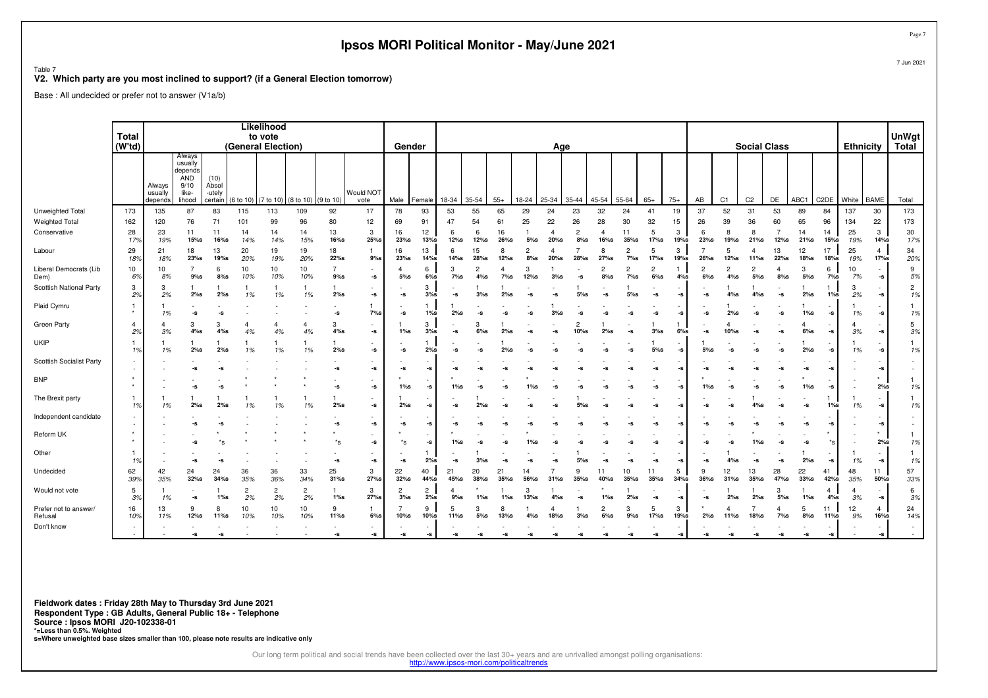|                                                                                               |                          |                              |                                                                |                                    |                      |                                             |                      |                           | Ipsos MORI Political Monitor - May/June 2021           |                           |                          |                          |                         |                     |                          |                  |                          |                          |                           |                           |              |                        |                          |                       |                     |             |                                          |                  |                                                        | Page                   |
|-----------------------------------------------------------------------------------------------|--------------------------|------------------------------|----------------------------------------------------------------|------------------------------------|----------------------|---------------------------------------------|----------------------|---------------------------|--------------------------------------------------------|---------------------------|--------------------------|--------------------------|-------------------------|---------------------|--------------------------|------------------|--------------------------|--------------------------|---------------------------|---------------------------|--------------|------------------------|--------------------------|-----------------------|---------------------|-------------|------------------------------------------|------------------|--------------------------------------------------------|------------------------|
| Table 7<br>V2. Which party are you most inclined to support? (if a General Election tomorrow) |                          |                              |                                                                |                                    |                      |                                             |                      |                           |                                                        |                           |                          |                          |                         |                     |                          |                  |                          |                          |                           |                           |              |                        |                          |                       |                     |             |                                          |                  |                                                        | 7 Jun 2021             |
| Base: All undecided or prefer not to answer (V1a/b)                                           |                          |                              |                                                                |                                    |                      |                                             |                      |                           |                                                        |                           |                          |                          |                         |                     |                          |                  |                          |                          |                           |                           |              |                        |                          |                       |                     |             |                                          |                  |                                                        |                        |
|                                                                                               |                          |                              |                                                                |                                    |                      |                                             |                      |                           |                                                        |                           |                          |                          |                         |                     |                          |                  |                          |                          |                           |                           |              |                        |                          |                       |                     |             |                                          |                  |                                                        |                        |
|                                                                                               | Total<br>(W'td)          |                              |                                                                |                                    |                      | Likelihood<br>to vote<br>(General Election) |                      |                           |                                                        | Gender                    |                          |                          |                         |                     |                          | Age              |                          |                          |                           |                           |              |                        |                          |                       | <b>Social Class</b> |             |                                          | <b>Ethnicity</b> |                                                        | UnWgt<br>Total         |
|                                                                                               |                          | Always<br>usually<br>depends | Always<br>usually<br>depends<br>AND<br>9/10<br>like-<br>lihood | (10)<br>Absol<br>-utely<br>certain | (6 to 10)            | (7 to 10) (8 to 10)                         |                      | (9 to 10)                 | Would NOT<br>vote                                      | Male                      | Female                   | 18-34                    | 35-54                   | $55+$               | 18-24                    | 25-34            | 35-44                    | 45-54                    | 55-64                     | $65+$                     | $75+$        | AB                     | C <sub>1</sub>           | C <sub>2</sub>        | DE                  | ABC1        | C <sub>2</sub> DE                        | White            | <b>BAME</b>                                            | Total                  |
| Unweighted Total                                                                              | 173                      | 135                          | 87                                                             | 83                                 | 115                  | 113                                         | 109                  | 92                        | 17                                                     | 78                        | 93                       | 53                       | 55                      | 65                  | 29                       | 24               | 23                       | 32                       | 24                        | 41                        | 19           | 37                     | 52                       | 31                    | 53                  | 89          | 84                                       | 137              | 30                                                     | 173                    |
| <b>Weighted Total</b>                                                                         | 162                      | 120                          | 76                                                             | 71                                 | 101                  | 99                                          | 96                   | 80                        | 12                                                     | 69                        | 91                       | 47                       | 54                      | 61                  | 25                       | 22               | 26                       | 28                       | 30                        | 32                        | 15           | 26                     | 39                       | 36                    | 60                  | 65          | 96                                       | 134              | 22                                                     | 173                    |
| Conservative                                                                                  | 28<br>17%                | 23<br>19%                    | 11<br>15%s                                                     | 11<br>16%s                         | 14<br>14%            | 14<br>14%                                   | 14<br>15%            | 13<br>$16\%$ s            | 3<br>25%s                                              | 16<br>$23%$ s             | 12<br>13%s               | 6<br>$12%$ s             | 6<br>12%s               | 16<br>26%s          | $5%$ s                   | $\Delta$<br>20%s | $\overline{c}$<br>$8%$ s | $\overline{a}$<br>16%s   | 11<br>$35%$ s             | 5<br>17%s                 | 3<br>19%s    | 6<br>23%s              | 8<br>19%s                | 8<br>$21%$ s          | 7<br>12%s           | 14<br>21%s  | 14<br>15%s                               | 25<br>19%        | 3<br>$14\%$ s                                          | 30<br>17%              |
| Labour                                                                                        | 29<br>18%                | 21<br>18%                    | 18<br>$23%$ s                                                  | 13<br>19%s                         | 20<br>20%            | 19<br>19%                                   | 19<br>20%            | 18<br>$22%$ s             | $\mathbf{1}$<br>$9%$ s                                 | 16<br>$23%$ s             | 13<br>14%s               | 6<br>14%s                | 15<br>28%s              | 8<br>$12%$ s        | $\overline{c}$<br>$8%$ s | 20%s             | $28%$ s                  | 8<br>$27%$ s             | $\overline{c}$<br>$7\%$ s | 5<br>17%s                 | 3<br>19%s    | $\overline{7}$<br>26%s | 5<br>$12%$ s             | 4<br>11%s             | 13<br>22%s          | 12<br>18%s  | 17<br>18%s                               | 25<br>19%        | $\overline{4}$<br>17%s                                 | 34<br>20%              |
| Liberal Democrats (Lib<br>Dem)                                                                | 10<br>6%                 | 10<br>8%                     | $9%$ s                                                         | 6<br>$8%$ s                        | 10<br>10%            | 10<br>10%                                   | 10<br>10%            | $\overline{7}$<br>$9\%$ s | $\overline{\phantom{a}}$<br>-s                         | $5%$ s                    | 6<br>$6%$ s              | 3<br>$7\%$ s             | $\mathcal{P}$<br>$4%$ s | 4<br>$7\%$ s        | 3<br>$12%$ s             | $3%$ s           | -S                       | $\mathcal{P}$<br>8%s     | $\overline{c}$<br>$7\%s$  | $\overline{c}$<br>$6\%$ s | $4%$ s       | $\overline{c}$<br>6%s  | $\mathcal{P}$<br>$4\%$ s | $\overline{c}$<br>5%s | 4<br>$8%$ s         | 3<br>$5%$ s | 6<br>$7\%$ s                             | 10<br>7%         | $\textnormal{\texttt{-S}}$                             | $\boldsymbol{9}$<br>5% |
| Scottish National Party                                                                       | 3<br>2%                  | 3<br>2%                      | -1<br>$2\%s$                                                   | $2\%$ s                            | 1%                   | -1.<br>1%                                   | 1%                   | 2%s                       | $\overline{\phantom{a}}$<br>$\textnormal{\texttt{-S}}$ | -s                        | 3<br>3%s                 | -S                       | $3%$ s                  | 2%s                 |                          |                  | $5%$ s                   | $-S$                     | $5%$ s                    | -s                        | -S           | -S                     | 4%s                      | 4%s                   | -S                  | $2\%s$      | $1\%s$                                   | 3<br>2%          | $\textnormal{\texttt{-S}}$                             | $\overline{c}$<br>1%   |
| Plaid Cymru                                                                                   | 1<br>$\star$             | 1%                           | -s                                                             | -S                                 |                      |                                             |                      | -s                        | 1<br>$7%$ s                                            | -s                        | -1<br>$1\%s$             | 2%s                      |                         |                     |                          | $3%$ s           | -5                       |                          | -s                        | -S                        | -s           | -S                     | $2%$ s                   |                       | -5                  | $1\%s$      | -s                                       | 1%               | $\sim$<br>-s                                           | 1%                     |
| <b>Green Party</b>                                                                            | 4<br>2%                  | 4<br>3%                      | 3<br>$4\%s$                                                    | 3<br>$4\%$ s                       | 4%                   | 4<br>4%                                     | $\overline{4}$<br>4% | 3<br>$4\%s$               | $\textnormal{\texttt{-S}}$                             | $1\%s$                    | 3<br>$3%$ s              | -S                       | з<br>$6%$ s             | 2%s                 | -S                       |                  | 2<br>10%s                | 2%s                      | -s                        | -1<br>$3%$ s              | $6%$ s       | -s                     | 10%s                     | -S                    | -S                  | $6\%$ s     | $\textnormal{\texttt{-S}}$               | 3%               | -s                                                     | 5<br>3%                |
| <b>UKIP</b>                                                                                   | $\mathbf{1}$<br>1%       | 1%                           | 2%s                                                            | $2\%$ s                            | 1%                   | 1%                                          | 1%                   | 2%s                       | $\overline{\phantom{a}}$<br>-s                         | -s                        | 2%s                      | -S                       |                         |                     |                          |                  |                          |                          | -s                        | $5\%$ s                   | -S           | $5\%$ s                |                          |                       | -S                  | 2%s         | $\mathbf{-S}$                            | 1%               | $\overline{\phantom{a}}$<br>$\textnormal{\texttt{-S}}$ | 1<br>1%                |
| Scottish Socialist Party                                                                      | ٠.                       |                              | -s                                                             |                                    |                      |                                             |                      | -s                        | $\textnormal{\texttt{-S}}$                             | -s                        | -S                       | -S                       |                         |                     |                          |                  |                          |                          |                           | -s                        |              | -S                     |                          |                       |                     | -S          | -s                                       |                  | $\textnormal{\texttt{-S}}$                             | $\sim$                 |
| <b>BNP</b>                                                                                    | $\star$<br>$\star$       |                              | -s                                                             | -S                                 |                      |                                             |                      | -s                        | $\textnormal{\texttt{-S}}$                             | $1\%s$                    | -S                       | $1\%$ s                  |                         |                     |                          |                  |                          |                          |                           | -s                        |              | $1\%$ s                |                          |                       | -S                  | $1\%$ s     | -s                                       |                  | $\star$<br>2%s                                         | 1<br>$1\%$             |
| The Brexit party                                                                              | 1<br>1%                  | 1%                           | $2%$ s                                                         | $2%$ s                             | 1%                   | 1%                                          | 1%                   | $2%$ s                    | $\overline{\phantom{a}}$<br>$\textnormal{\texttt{-S}}$ | $2%$ s                    | -S                       | -s                       | 2%s                     |                     |                          |                  | 5%                       |                          |                           |                           |              | -s                     | -S                       | 4%s                   | -s                  | -s          | $1\%s$                                   | 1%               | -s                                                     | 1<br>1%                |
| Independent candidate                                                                         | $\overline{\phantom{a}}$ |                              | -s                                                             |                                    |                      |                                             |                      | -s                        | $\overline{\phantom{a}}$<br>-s                         | -s                        | -S                       | -S                       |                         |                     |                          |                  |                          |                          |                           |                           |              | -S                     |                          |                       |                     |             | -S                                       |                  | $\textnormal{\texttt{-S}}$                             | $\sim$<br>$\sim$       |
| Reform UK                                                                                     | $\star$                  |                              | -s                                                             |                                    |                      |                                             |                      | *s                        | -s                                                     | $^*s$                     | -S                       | 1%s                      |                         |                     |                          |                  |                          |                          |                           |                           |              |                        |                          | 1%s                   |                     | -S          | *s                                       |                  | $\star$<br>2%s                                         | 1<br>1%                |
| Other                                                                                         | $\mathbf{1}$<br>1%       | $\overline{\phantom{a}}$     |                                                                | -s                                 |                      |                                             |                      |                           | $\overline{\phantom{a}}$                               |                           | -1<br>2%s                |                          | $3%$ s                  |                     |                          |                  | 5%                       | -s                       |                           |                           | -s           |                        |                          |                       |                     | 2%s         |                                          |                  | $\overline{\phantom{a}}$                               | 1                      |
| Undecided                                                                                     | 62<br>39%                | 42<br>35%                    | -s<br>24<br>$32%$ s                                            | 24<br>$34%$ s                      | 36<br>35%            | 36<br>36%                                   | 33<br>34%            | -s<br>25<br>$31%$ s       | -S<br>3<br>27%s                                        | -s<br>22<br>$32%$ s       | 40<br>44%s               | -S<br>21<br>45%s         | 20<br>38%s              | -S<br>21<br>$35%$ s | -S<br>14<br>56%s         | $31%$ s          | 9<br>35%s                | 11<br>40%s               | -s<br>10<br>$35%$ s       | -s<br>11<br>$35%$ s       | 5<br>$34%$ s | -S<br>9<br>$36%$ s     | 4%s<br>12<br>31<br>%s    | -s<br>13<br>$35%$ s   | -S<br>28<br>47%s    | 22<br>33%s  | $\textnormal{\texttt{-S}}$<br>41<br>42%s | 1%<br>48<br>35%  | -s<br>11<br>50%s                                       | 1%<br>57<br>33%        |
| Would not vote                                                                                | 5<br>3%                  | 1%                           | -s                                                             | 1%s                                | $\overline{c}$<br>2% | $\overline{2}$<br>2%                        | $\overline{2}$<br>2% | $1\%s$                    | 3<br>$27%$ s                                           | $\overline{2}$<br>$3\%$ s | $\overline{c}$<br>$2\%s$ | $\overline{4}$<br>$9%$ s | $1\%$ s                 | $1\%$ s             | 3<br>$13%$ s             | 4%s              | -s                       | $1\%$ s                  | 2%s                       | -s                        | -s           | $-S$                   | 2%s                      | 2%s                   | 3<br>$5\%s$         | 1%s         | $\overline{4}$<br>$4\%$ s                | 3%               | $\textnormal{\texttt{-S}}$                             | 6<br>3%                |
| Prefer not to answer/<br>Refusal                                                              | 16<br>10%                | 13<br>11%                    | 9<br>$12%$ s                                                   | 8<br>11%s                          | 10<br>10%            | 10<br>10%                                   | 10<br>10%            | 9<br>11%s                 | $6%$ s                                                 | 10%s                      | 9<br>10%s                | 5<br>$11%$ s             | з<br>$5%$ s             | 8<br>13%s           | 4%s                      | 18%s             | 3%                       | $\overline{2}$<br>$6%$ s | 3<br>9%s                  | $\overline{5}$<br>17%s    | 3<br>19%s    | 2%s                    | 11%s                     | 18%s                  | 4<br>$7\%$ s        | 5<br>$8%$ s | 11<br>11%s                               | 12<br>9%         | 4<br>$16%$ s                                           | 24<br>14%              |
| Don't know                                                                                    |                          |                              | -s                                                             | -S                                 |                      |                                             |                      | -s                        | -s                                                     | -s                        | -s                       | -S                       | -S                      | -s                  | -S                       | -S               | -s                       | -s                       | -s                        | -s                        | -s           | -s                     | -s                       | -s                    | -s                  | -s          | -s                                       |                  | $-S$                                                   |                        |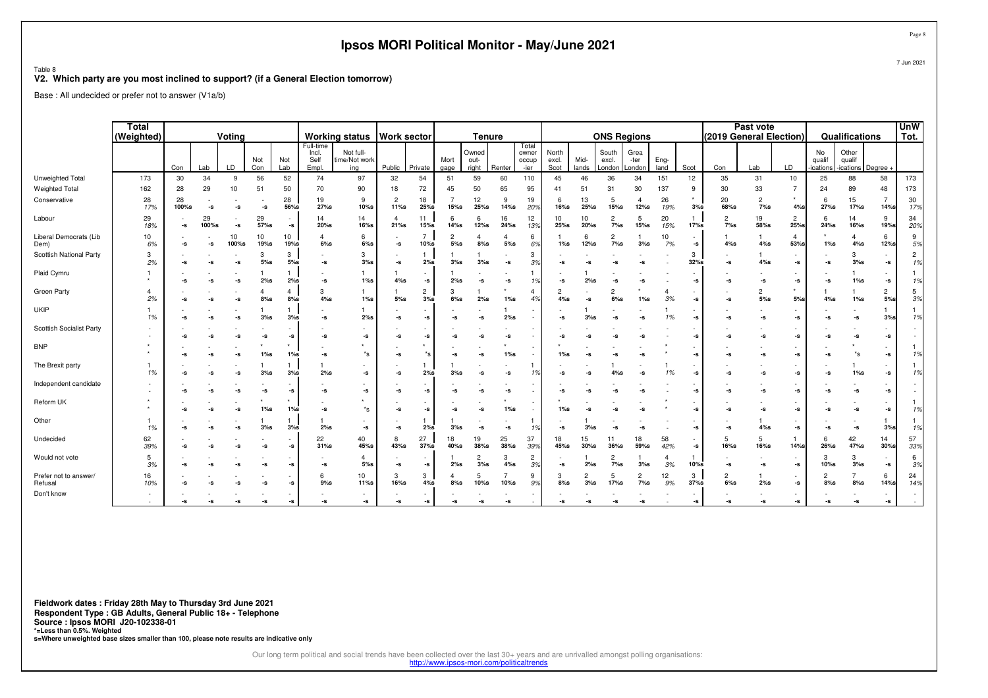|                                  |                            |                                                                                                                                           |             |             |                          |               |                                     | Ipsos MORI Political Monitor - May/June 2021 |                            |                          |                        |                        |              |                                 |                        |               |                          |                          |                      |              |                          |                          |                            |                            |                             |                            | Page 8               |
|----------------------------------|----------------------------|-------------------------------------------------------------------------------------------------------------------------------------------|-------------|-------------|--------------------------|---------------|-------------------------------------|----------------------------------------------|----------------------------|--------------------------|------------------------|------------------------|--------------|---------------------------------|------------------------|---------------|--------------------------|--------------------------|----------------------|--------------|--------------------------|--------------------------|----------------------------|----------------------------|-----------------------------|----------------------------|----------------------|
| Table 8                          |                            | V2. Which party are you most inclined to support? (if a General Election tomorrow)<br>Base: All undecided or prefer not to answer (V1a/b) |             |             |                          |               |                                     |                                              |                            |                          |                        |                        |              |                                 |                        |               |                          |                          |                      |              |                          |                          |                            |                            |                             | 7 Jun 2021                 |                      |
|                                  |                            |                                                                                                                                           |             |             |                          |               |                                     |                                              |                            |                          |                        |                        |              |                                 |                        |               |                          |                          |                      |              |                          |                          |                            |                            |                             |                            |                      |
|                                  | <b>Total</b><br>(Weighted) |                                                                                                                                           |             | Voting      |                          |               |                                     | <b>Working status</b>                        | <b>Work sector</b>         |                          |                        | <b>Tenure</b>          |              |                                 |                        |               | <b>ONS Regions</b>       |                          |                      |              | (2019 General Election)  | Past vote                |                            |                            | Qualifications              |                            | <b>UnW</b><br>Tot.   |
|                                  |                            | Con                                                                                                                                       | Lab         | LD          | Not<br>Con               | Not<br>Lab    | Full-time<br>Incl.<br>Self<br>Empl. | Not full-<br>ime/Not work<br>ing             | Public                     | Private                  | Mort<br>gage           | Owned<br>out-<br>right | Renter       | Total<br>owner<br>occup<br>-ier | North<br>excl.<br>Scot | Mid-<br>lands | South<br>excl.<br>.ondon | Grea<br>-ter<br>.ondon   | Eng-<br>land         | Scot         | Con                      | Lab                      | LD                         | No<br>qualif<br>cations    | Other<br>qualif<br>ications | Degree                     |                      |
| Unweighted Total                 | 173                        | 30                                                                                                                                        | 34          | 9           | 56                       | 52            | 74                                  | 97                                           | 32                         | 54                       | 51                     | 59                     | 60           | 110                             | 45                     | 46            | 36                       | 34                       | 151                  | 12           | 35                       | 31                       | 10                         | 25                         | 88                          | 58                         | 173                  |
| <b>Weighted Total</b>            | 162                        | 28                                                                                                                                        | 29          | 10          | 51                       | 50            | 70                                  | 90                                           | 18                         | 72                       | 45                     | 50                     | 65           | 95                              | 41                     | 51            | 31                       | 30                       | 137                  | 9            | 30                       | 33                       | 7                          | 24                         | 89                          | 48                         | 173                  |
| Conservative                     | 28<br>17%                  | 28<br>100%s                                                                                                                               | -s          | -s          | -s                       | 28<br>56%s    | 19<br>27%s                          | -9<br>10%                                    | $\overline{2}$<br>11%s     | 18<br>25%s               | $\overline{7}$<br>15%s | 12<br>25%s             | 9<br>14%s    | 19<br>20%                       | 6<br>16%s              | 13<br>25%s    | -5<br>15%s               | $\overline{4}$<br>12%s   | 26<br>19%            | $3%$ s       | 20<br>68%s               | $\overline{2}$<br>$7%$ s | 4%                         | 6<br>$27%$ s               | 15<br>17%s                  | 7<br>14%s                  | 30<br>17%            |
| Labour                           | 29<br>18%                  | -s                                                                                                                                        | 29<br>100%s | -s          | 29<br>57%s               | $\sim$<br>-s  | 14<br>20%s                          | 14<br>16%s                                   | -4<br>21%s                 | 11<br>15%s               | -6<br>14%s             | -6<br>12%s             | 16<br>24%s   | 12<br>13%                       | 10<br>25%s             | 10<br>20%s    | $\overline{2}$<br>7%s    | -5<br>15%s               | 20<br>15%            | 17%s         | $\overline{2}$<br>7%s    | 19<br>58%s               | $\overline{2}$<br>25%s     | 6<br>$24%$ s               | 14<br>16%s                  | 9<br>19%s                  | 34<br>20%            |
| Liberal Democrats (Lib<br>Dem)   | 10<br>6%                   | -s                                                                                                                                        | -S          | 10<br>100%s | 10<br><b>19%s</b>        | 10<br>19%s    | $\overline{a}$<br>$6\%$ s           | 6<br>6%                                      | $\mathbf{-S}$              | 7<br>10%s                | $\overline{c}$<br>5%   | $8%$ s                 | 4<br>$5%$ s  | -6<br>69                        | $1\%$ s                | -6<br>12%s    | $\overline{2}$<br>7%s    | $3%$ s                   | 10<br>7%             | -s           | $4%$ s                   | 4%s                      | $\overline{a}$<br>53%      | $1\%s$                     | 4<br>$4\%$ s                | 6<br><b>12%s</b>           | 9<br>5%              |
| Scottish National Party          | 3<br>2%                    | -s                                                                                                                                        | -S          | -s          | 3<br>5%                  | 3<br>5%       | -s                                  | 3<br>$3%$ s                                  | -s                         | 1<br>2%s                 | 3%s                    | $3%$ s                 | -s           | 3%                              | -S                     | -s            | -s                       | -s                       |                      | 3<br>$32%$ s | -S                       | $4\%s$                   | -s                         | -s                         | 3<br>3%s                    | -s                         | $\overline{2}$<br>1% |
| Plaid Cymru                      |                            | -s                                                                                                                                        | -s          | -s          | $2%$ s                   | 2%s           | -s                                  | $1\%$ s                                      | $4\%$ s                    | -s                       | 2%s                    | -s                     | -s           | 1%                              | -S                     | 2%s           | -S                       | -S                       |                      | -s           | -s                       | -s                       | -s                         | -s                         | $1\%s$                      | $\textnormal{\texttt{-S}}$ | 1%                   |
| Green Party                      | $\overline{a}$<br>2%       | -s                                                                                                                                        |             | -s          | $\overline{4}$<br>$8%$ s | 4<br>$8%$ s   | $\mathcal{R}$<br>4%s                | $1\%$ s                                      | $5\%$ s                    | $\overline{c}$<br>$3%$ s | 3<br>$6%$ s            | 2%s                    | $1\%$ s      | 4%                              | $\overline{2}$<br>4%s  | -s            | $\overline{2}$<br>$6%$ s | $1\%s$                   | 3%                   | -s           | -s                       | $\overline{c}$<br>$5%$ s | 5%                         | 4%s                        | $1\%s$                      | $\overline{2}$<br>$5%$ s   | 5<br>3%              |
| <b>UKIP</b>                      | 1%                         | -s                                                                                                                                        | -s          | -s          | $3%$ s                   | $3%$ s        | -s                                  | 2%s                                          | $\mathbf{-S}$              | -S                       | -s                     | -s                     | 2%s          |                                 | -S                     | $3%$ s        | -S                       | -s                       | 1%                   | -s           | $\mathbf{-S}$            | -s                       | -s                         | $\textnormal{-}\mathbf{S}$ | -s                          | $3%$ s                     | 1%                   |
| Scottish Socialist Party         |                            | -s                                                                                                                                        | -s          | -s          | -s                       | -s            | -s                                  | -S                                           | -s                         | -s                       | -s                     | -s                     | -S           |                                 | -S                     | -S            |                          | -S                       |                      | -s           | -S                       | -s                       | $\textnormal{\texttt{-S}}$ | $\textnormal{-}\mathbf{S}$ | -s                          | $\textnormal{\texttt{-S}}$ |                      |
| <b>BNP</b>                       |                            | -s                                                                                                                                        | -S          | -s          | $1%$ s                   | $1\%s$        | $\textnormal{-}\mathbf{S}$          | $^*{\mathsf s}$                              | $\mathbf{-S}$              | *s                       | -S                     | -s                     | $1\%s$       |                                 | $1\%$ s                | -S            |                          | -s                       |                      | -s           | -S                       | -S                       | -s                         | $\textnormal{-}\mathbf{S}$ | $^*{\tt S}$                 | $\textnormal{\texttt{-S}}$ | 1%                   |
| The Brexit party                 | 1%                         | -s                                                                                                                                        | -S          | -s          | -1<br>$3%$ s             | 1<br>3%s      | -1<br>2%s                           | -S                                           | $\textnormal{\texttt{-S}}$ | -1<br>2%s                | $3%$ s                 | -S                     | -S           | 1%                              | -S                     | -S            | 4%s                      | -s                       | -1<br>1%             | -s           | -S                       | -s                       | -s                         | -s                         | $1\%$ s                     | $\textnormal{\texttt{-S}}$ | 1%                   |
| Independent candidate            |                            | -s                                                                                                                                        | -S          | -s          | -s                       | $\mathbf{-S}$ | -s                                  | -s                                           | $\mathbf{-S}$              | -s                       | -S                     | -s                     | -S           |                                 | -S                     |               |                          | -S                       |                      | -s           | -S                       | -s                       | $\textnormal{\texttt{-S}}$ | $\textnormal{-}\mathbb{S}$ | -s                          | $\mathord{\text{-s}}$      |                      |
| Reform UK                        |                            | -s                                                                                                                                        |             | -s          | $1%$ s                   | $1\%$ s       | -S                                  | *s                                           | -s                         | -S                       | -s                     | -s                     | $1\%$ s      |                                 | $1\%$ s                |               |                          | -S                       |                      | -s           | -S                       | -s                       | -s                         | -s                         | -s                          | -s                         | 1%                   |
| Other                            | 1%                         | -s                                                                                                                                        |             | -s          | $3%$ s                   | $3%$ s        | 2%s                                 | $-S$                                         | $\textnormal{\texttt{-S}}$ | 2%s                      | 3%s                    | $-S$                   | -S           | 1%                              | -S                     | $3%$ s        | -5                       | -s                       |                      | -s           | -s                       | 4%s                      | -s                         | $\textnormal{\texttt{-S}}$ | -s                          | $3%$ s                     | 1%                   |
| Undecided                        | 62<br>39%                  | -s                                                                                                                                        |             | -s          | -s                       | -s            | 22<br>31%s                          | 40<br>45%s                                   | 8<br>43%s                  | 27<br>$37%$ s            | 18<br>40%s             | 19<br>$38%$ s          | 25<br>38%s   | 37<br>399                       | 18<br>45%s             | 15<br>30%s    | 11<br>36%s               | 18<br>59%s               | 58<br>42%            | -s           | -5<br>16%s               | 5<br>16%s                | 14%                        | 6<br>26%s                  | 42<br>47%s                  | 14<br>30%s                 | 57<br>33%            |
| Would not vote                   | -5<br>3%                   | -s                                                                                                                                        |             | -s          | -s                       | -s            | -s                                  | 4<br>$5%$ s                                  | -s                         | -S                       | 2%s                    | 2<br>$3%$ s            | 3<br>$4\%$ s | 2<br>3%                         | -s                     | 2%s           | 2<br>$7\%$ s             | 3%s                      | $\overline{4}$<br>3% | 10%s         | -s                       | -s                       | -s                         | 3<br>10%s                  | 3<br>3%s                    | -s                         | 6<br>3%              |
| Prefer not to answer/<br>Refusal | 16<br>10%                  | -s                                                                                                                                        |             | -s          | -s                       | -s            | 6<br>$9%$ s                         | 10<br>11%s                                   | 3<br>16%s                  | 3<br>4%s                 | $8%$ s                 | 10%s                   | 10%s         | 9<br>9%                         | 3<br>$8%$ s            | $3%$ s        | -5<br>$17%$ s            | $\overline{2}$<br>$7\%s$ | 12<br>9%             | 3<br>$37%$ s | $\overline{2}$<br>$6%$ s | 2%s                      | -s                         | 2<br>$8%$ s                | $8%$ s                      | 6<br>$14%$ s               | 24<br>14%            |
| Don't know                       |                            |                                                                                                                                           |             |             | -S                       | -S            | -S                                  | -s                                           | -s                         | -s                       |                        | -s                     | -5           |                                 |                        |               |                          | -S                       |                      | -s           |                          | -S                       | ٠<br>-s                    | -s                         | -s                          | -s                         | $\sim$               |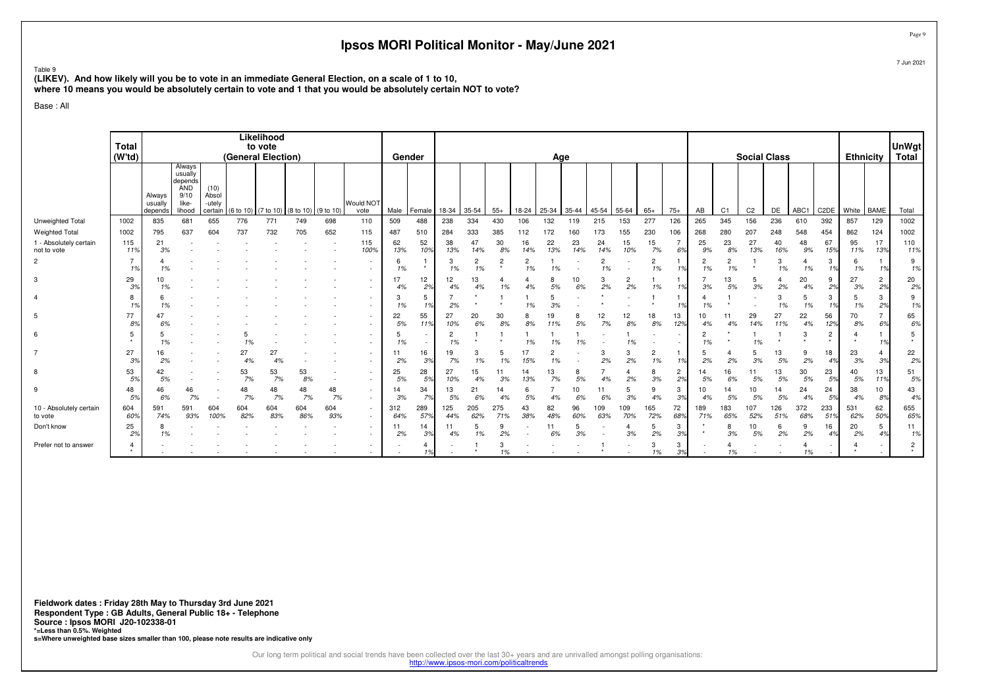Table 9

 **(LIKEV). And how likely will you be to vote in an immediate General Election, on a scale of 1 to 10,where 10 means you would be absolutely certain to vote and 1 that you would be absolutely certain NOT to vote?**

Base : All

|                                                                | <b>Total</b>         |                              |                                                                       |                                    |                    | Likelihood<br>to vote |                               |            |                    |                  |                      |                      |                      |                 |                  |                  |                  |                  |                  |                      |                      |                 |                      |                     |                  |                 |                           |                  |                      | UnWgt                     |
|----------------------------------------------------------------|----------------------|------------------------------|-----------------------------------------------------------------------|------------------------------------|--------------------|-----------------------|-------------------------------|------------|--------------------|------------------|----------------------|----------------------|----------------------|-----------------|------------------|------------------|------------------|------------------|------------------|----------------------|----------------------|-----------------|----------------------|---------------------|------------------|-----------------|---------------------------|------------------|----------------------|---------------------------|
|                                                                | (W <sup>t</sup> td)  |                              |                                                                       |                                    | (General Election) |                       |                               |            |                    | Gender           |                      |                      |                      |                 |                  | Age              |                  |                  |                  |                      |                      |                 |                      | <b>Social Class</b> |                  |                 |                           | <b>Ethnicity</b> |                      | Total                     |
|                                                                |                      | Always<br>usually<br>depends | Always<br>usually<br>depends<br><b>AND</b><br>9/10<br>like-<br>lihood | (10)<br>Absol<br>-utely<br>certain | 6 to 10            |                       | (7 to 10) (8 to 10) (9 to 10) |            | Would NOT<br>vote  | Male             | Female               | 18-34                | 35-54                | $55+$           | $18 - 24$        | 25-34            | 35-44            | 45-54            | 55-64            | $65+$                | $75+$                | AB              | C <sub>1</sub>       | C <sub>2</sub>      | DE               | ABC1            | C <sub>2</sub> DE         | White            | <b>BAME</b>          | Total                     |
| Unweighted Total                                               | 1002                 | 835                          | 681                                                                   | 655                                | 776                | 771                   | 749                           | 698        | 110                | 509              | 488                  | 238                  | 334                  | 430             | 106              | 132              | 119              | 215              | 153              | 277                  | 126                  | 265             | 345                  | 156                 | 236              | 610             | 392                       | 857              | 129                  | 1002                      |
| <b>Weighted Total</b><br>1 - Absolutely certain<br>not to vote | 1002<br>115<br>11%   | 795<br>21<br>3%              | 637                                                                   | 604                                | 737                | 732                   | 705                           | 652        | 115<br>115<br>100% | 487<br>62<br>13% | 510<br>52<br>10%     | 284<br>38<br>13%     | 333<br>47<br>14%     | 385<br>30<br>8% | 112<br>16<br>14% | 172<br>22<br>13% | 160<br>23<br>14% | 173<br>24<br>14% | 155<br>15<br>10% | 230<br>15<br>7%      | 106<br>6%            | 268<br>25<br>9% | 280<br>23<br>8%      | 207<br>27<br>13%    | 248<br>40<br>16% | 548<br>48<br>9% | 454<br>67<br>15%          | 862<br>95<br>11% | 124<br>17<br>13%     | 1002<br>110<br>11%        |
| $\overline{2}$                                                 | $\overline{7}$<br>1% |                              |                                                                       |                                    |                    |                       |                               |            | $\sim$<br>$\sim$   | 6<br>1%          | $\star$              | 3<br>1%              | $\overline{2}$<br>1% |                 | 2<br>1%          |                  |                  |                  |                  | $\overline{2}$<br>1% | 1%                   | 1%              | $\overline{c}$<br>1% |                     | 3<br>1%          | 1%              | 3<br>1%                   | 6<br>1%          |                      | 9<br>1%                   |
| 3                                                              | 29<br>3%             |                              |                                                                       |                                    |                    |                       |                               |            | ٠<br>٠             | 17<br>4%         | 12<br>2%             | 12<br>4%             | 13                   |                 |                  |                  |                  | 2%               | 2<br>2%          | 1%                   | 1%                   | 3%              | 13<br>5%             | 3%                  | 2%               | 20<br>4%        | 9<br>2%                   | 27<br>3%         | $\overline{c}$<br>2% | 20<br>2%                  |
|                                                                | 8<br>1%              |                              |                                                                       |                                    |                    |                       |                               |            | ٠<br>$\sim$        | 3<br>1%          | 5<br>1%              | 2%                   |                      |                 | 1%               | 3%               |                  |                  |                  |                      | 10/                  | 1%              |                      |                     | 3<br>1%          | 1%              | 3<br>1%                   | 5<br>1%          | 3<br>2%              | 9<br>1%                   |
| 5                                                              | 77<br>8%             |                              |                                                                       |                                    |                    |                       |                               |            | ٠<br>٠             | 22<br>5%         | 55<br>11%            | 27<br>10%            | 20<br>6%             | 30<br>8%        |                  |                  |                  | 7%               | 12<br>8%         | 18<br>8%             | 13<br>12%            | 10<br>4%        | 4%                   | 29<br>14%           | 27<br>11%        | 22<br>4%        | 56<br>12%                 | 70<br>8%         | $\overline{7}$<br>6% | 65<br>6%                  |
| 6                                                              | 5<br>$\star$         |                              |                                                                       |                                    |                    |                       |                               |            | ٠<br>$\sim$        | 1%               | $\sim$               | $\overline{2}$<br>1% |                      |                 |                  |                  | 1%               |                  | 1%               |                      |                      | 1%              |                      | 1%                  |                  |                 | $\overline{c}$<br>$\star$ |                  |                      | 5<br>$\star$              |
| $\overline{7}$                                                 | 27<br>3%             | 16<br>2%                     |                                                                       |                                    | 27<br>4%           | 27<br>4%              |                               |            | ٠<br>٠             | 11<br>2%         | 16<br>3 <sup>o</sup> | 19<br>7%             | 1%                   |                 |                  |                  |                  | 2%               | 3<br>2%          | $\overline{2}$<br>1% | 1%                   | 2%              | 2%                   | 3%                  | 13<br>5%         | 2%              | 18<br>4%                  | 23<br>3%         | $\overline{4}$<br>3% | 22<br>2%                  |
| 8                                                              | 53<br>5%             | 5%                           |                                                                       |                                    | 53<br>7%           | 53<br>7%              | 53<br>8%                      |            | ٠                  | 25<br>5%         | 28<br>5%             | 27<br>10%            | 15                   | 3%              | 13%              | 13<br>7%         | 5%               | 4%               | 2%               | 3%                   | $\overline{c}$<br>2% | 14<br>5%        |                      | 5%                  | 13<br>5%         | 30<br>5%        | 23<br>5%                  | 40<br>5%         | 13<br>11%            | 51<br>5%                  |
| 9                                                              | 48<br>5%             | 46<br>6%                     | 46<br>7%                                                              |                                    | 48<br>7%           | 48<br>7%              | 48<br>7%                      | 48<br>7%   | ٠<br>$\sim$        | 14<br>3%         | 34<br>7%             | 13<br>5%             | 21                   | 14              | 6<br>.5%         |                  |                  | 6%               | 5<br>3%          | 9<br>4%              | 3<br>3%              | 4%              | 5%                   | 10<br>5%            | 5%               | 24<br>4%        | 24<br>5%                  | 38<br>4%         | 10<br>8%             | 43<br>4%                  |
| 10 - Absolutely certain<br>to vote                             | 604<br>60%           | 591<br>74%                   | 591<br>93%                                                            | 604<br>100%                        | 604<br>82%         | 604<br>83%            | 604<br>86%                    | 604<br>93% | $\sim$<br>$\sim$   | 312<br>64%       | 289<br>57%           | 125<br>44%           | 205<br>62%           | 275<br>71%      | 38%              | 82<br>48%        | 96<br>60%        | 109<br>63%       | 09<br>70%        | 165<br>72%           | 72<br>68%            | 189<br>71%      | 183<br>65%           | 107<br>52%          | 126<br>51%       | 372<br>68%      | 233<br>51%                | 531<br>62%       | 62<br>50%            | 655<br>65%                |
| Don't know                                                     | 25<br>2%             |                              |                                                                       |                                    |                    |                       |                               |            | ٠<br>$\sim$        | 11<br>2%         | 14<br>39             | 11<br>4%             | 1%                   | 2%              |                  | 6%               | 3%               |                  | 4<br>3%          | 2%                   | 3<br>3%              | $\star$         | 8<br>3%              | 10<br>5%            | 6<br>2%          | -9<br>2%        | 16<br>4%                  | 20<br>2%         | 5<br>4%              | 11<br>1%                  |
| Prefer not to answer                                           |                      |                              |                                                                       |                                    |                    |                       |                               |            | ٠<br>$\sim$        |                  | 4<br>1%              |                      |                      |                 |                  |                  |                  |                  |                  | 3<br>1%              | 3<br>3%              |                 | 1%                   |                     |                  | 1%              | $\sim$                    |                  |                      | $\overline{2}$<br>$\star$ |

**Fieldwork dates : Friday 28th May to Thursday 3rd June 2021 Respondent Type : GB Adults, General Public 18+ - TelephoneSource : Ipsos MORI J20-102338-01 \*=Less than 0.5%. Weighted s=Where unweighted base sizes smaller than 100, please note results are indicative only**

Our long term political and social trends have been collected over the last 30+ years and are unrivalled amongst polling organisations:<br>http://www.ipsos-mori.com/politicaltrends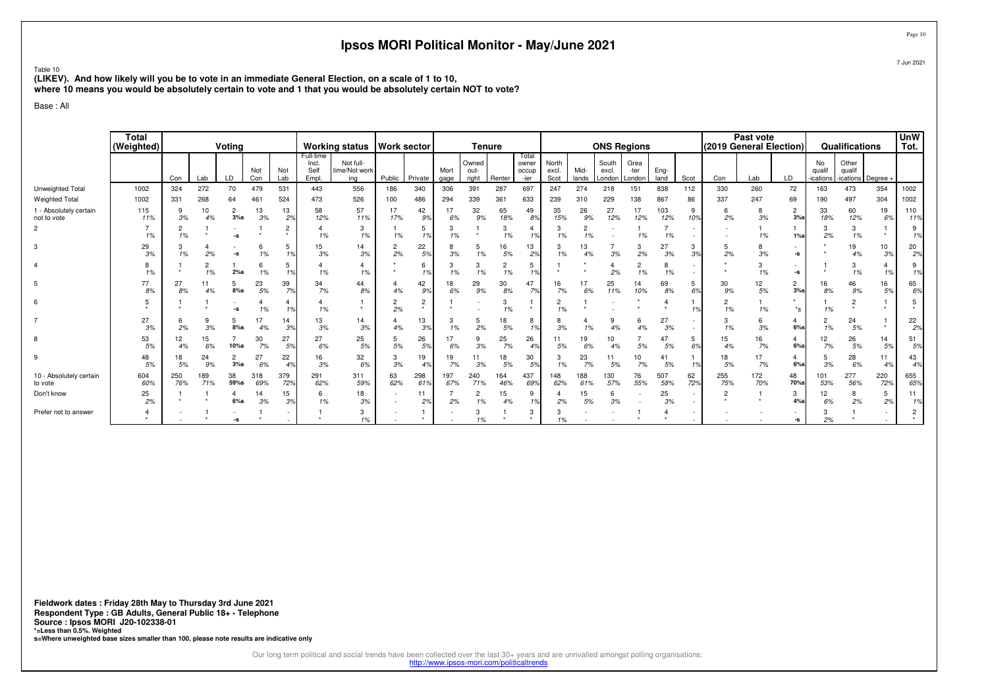Table 10

 **(LIKEV). And how likely will you be to vote in an immediate General Election, on a scale of 1 to 10,where 10 means you would be absolutely certain to vote and 1 that you would be absolutely certain NOT to vote?**

Base : All

|                                       | <b>Total</b><br>(Weighted) |            |            | Voting                |            |                           |                                     | <b>Working status</b>             | <b>Work sector</b>   |              |              | <b>Tenure</b>          |            |                                 |                        |               | <b>ONS Regions</b>         |                        |              |                | (2019 General Election) | Past vote  |                          |                          | Qualifications                        |            | <b>UnW</b><br>Tot. |
|---------------------------------------|----------------------------|------------|------------|-----------------------|------------|---------------------------|-------------------------------------|-----------------------------------|----------------------|--------------|--------------|------------------------|------------|---------------------------------|------------------------|---------------|----------------------------|------------------------|--------------|----------------|-------------------------|------------|--------------------------|--------------------------|---------------------------------------|------------|--------------------|
|                                       |                            | Con        | Lab        | LD                    | Not<br>Con | Not<br>Lab                | Full-time<br>Incl.<br>Self<br>Empl. | Not full-<br>time/Not work<br>ina | Public               | Private      | Mort<br>gage | Owned<br>out-<br>right | Renter     | Total<br>owner<br>occup<br>-ier | North<br>excl.<br>Scot | Mid-<br>lands | South<br>excl.<br>London l | Grea<br>-ter<br>London | Eng-<br>land | Scot           | Con                     | Lab        | LD                       | No<br>qualif<br>ications | Other<br>qualif<br>-ications Degree + |            |                    |
| Unweighted Total                      | 1002                       | 324        | 272        | 70                    | 479        | 531                       | 443                                 | 556                               | 186                  | 340          | 306          | 391                    | 287        | 697                             | 247                    | 274           | 218                        | 151                    | 838          | 112            | 330                     | 260        | 72                       | 163                      | 473                                   | 354        | 1002               |
| <b>Weighted Total</b>                 | 1002                       | 331        | 268        | 64                    | 461        | 524                       | 473                                 | 526                               | 100                  | 486          | 294          | 339                    | 361        | 633                             | 239                    | 310           | 229                        | 138                    | 867          | 86             | 337                     | 247        | 69                       | 190                      | 497                                   | 304        | 1002               |
| 1 - Absolutely certain<br>not to vote | 115<br>11%                 | 9<br>3%    | 10<br>4%   | $\overline{c}$<br>3%s | 13<br>3%   | 13<br>2%                  | 58<br>12%                           | 57<br>11%                         | 17<br>17%            | 42<br>9%     | 17<br>6%     | 32<br>9%               | 65<br>18%  | 49<br>8%                        | 35<br>15%              | 26<br>9%      | 27<br>12%                  | 17<br>12%              | 103<br>12%   | 9<br>10%       | 6<br>2%                 | 8<br>3%    | $\overline{2}$<br>$3%$ s | 33<br>18%                | 60<br>12%                             | 19<br>6%   | 110<br>11%         |
| $\overline{2}$                        | 1%                         | 1%         |            | -9                    |            | $\overline{2}$<br>$\star$ | 1%                                  | 3<br>1%                           | 1%                   | 5<br>1%      | 3<br>1%      | $\star$                | 3<br>1%    | 1%                              | 3<br>1%                | 2<br>1%       |                            | 1%                     | 1%           |                |                         | 1%         | $1\%$ s                  | 3<br>2%                  | 3<br>1%                               |            | 9<br>1%            |
| 3                                     | 29<br>3%                   | 1%         | 2%         | -S                    | 1%         | 5<br>1%                   | 15<br>3%                            | 14<br>3%                          | $\overline{c}$<br>2% | 22<br>5%     | 3%           | 1%                     | 16<br>5%   | 13<br>2%                        | 3<br>1%                | 13<br>4%      | 3%                         | 3<br>2%                | 27<br>3%     | 3<br>3%        | 5<br>2%                 | 3%         | -s                       |                          | 19<br>4%                              | 10<br>3%   | 20<br>2%           |
|                                       | 1%                         |            | 1%         | 2%s                   | 6<br>1%    | 5<br>10/                  | 1%                                  | 1%                                |                      | 6<br>1%      | 3<br>1%      | 3<br>1%                | 2<br>1%    | 5<br>1%                         |                        |               | 2%                         | 2<br>1%                | 8<br>1%      |                |                         | 3<br>1%    | $-S$                     |                          | 3<br>1%                               | 1%         | 9<br>1%            |
| 5                                     | 77<br>8%                   | 27<br>8%   | 4%         | 5<br>$8%$ s           | 23<br>5%   | 39<br>7%                  | 34<br>7%                            | 44<br>8%                          | 4%                   | 42<br>9%     | 18<br>6%     | 29<br>9%               | 30<br>8%   | 47<br>7%                        | 16<br>7%               | 17<br>6%      | 25<br>11%                  | 14<br>10%              | 69<br>8%     | 5<br>6%        | 30<br>9%                | 12<br>5%   | $\overline{2}$<br>$3%$ s | 16<br>8%                 | 46<br>9%                              | 16<br>5%   | 65<br>6%           |
| 6                                     |                            |            |            |                       | 1%         |                           | $\overline{4}$<br>1%                |                                   | 2<br>2%              | 2<br>$\star$ |              |                        | 1%         | $\star$                         | 2<br>1%                |               |                            |                        |              | 1 <sub>c</sub> | 2<br>1%                 | 1%         | $^*$ s                   | 1%                       |                                       |            | 5<br>$\star$       |
|                                       | 27<br>3%                   | 2%         | 3%         | 5<br>$8%$ s           | 17<br>4%   | 14<br>3%                  | 13<br>3%                            | 14<br>3%                          | 4%                   | 13<br>3%     | 3<br>1%      | 5<br>2%                | 18<br>5%   | 8<br>1%                         | 3%                     | 1%            | 4%                         | 6<br>4%                | 27<br>3%     |                | 3<br>1%                 | 6<br>3%    | 4<br>$6\%$ s             | 1%                       | 24<br>5%                              |            | 22<br>2%           |
| 8                                     | 53<br>5%                   | 12<br>4%   | 15<br>6%   | 10%s                  | 30<br>7%   | 27<br>5%                  | 27<br>6%                            | 25<br>5%                          | 5%                   | 26<br>5%     | 17<br>6%     | 9<br>3%                | 25<br>7%   | 26<br>4 <sup>°</sup>            | 11<br>5%               | 19<br>6%      | 4%                         | 5%                     | 47<br>5%     | 5<br>6%        | 15<br>4%                | 16<br>7%   | 4<br>$6\%$ s             | 12<br>7%                 | 26<br>5%                              | 14<br>5%   | 51<br>5%           |
| 9                                     | 48<br>5%                   | 18<br>5%   | 24<br>9%   | $\overline{c}$<br>3%s | 27<br>6%   | 22<br>4%                  | 16<br>3%                            | 32<br>6%                          | 3<br>3%              | 19<br>4%     | 19<br>7%     | 11<br>3%               | 18<br>5%   | 30<br>5%                        | 3<br>1%                | 23<br>7%      | 11<br>5%                   | 10<br>7%               | 41<br>5%     | 10/            | 18<br>5%                | 17<br>7%   | 4<br>$6\%$ s             | 5<br>3%                  | 28<br>6%                              | 11<br>4%   | 43<br>4%           |
| 10 - Absolutely certain<br>to vote    | 604<br>60%                 | 250<br>76% | 189<br>71% | 38<br>59%s            | 318<br>69% | 379<br>72%                | 291<br>62%                          | 311<br>59%                        | 63<br>62%            | 298<br>61%   | 197<br>67%   | 240<br>71%             | 164<br>46% | 437<br>69%                      | 148<br>62%             | 188<br>61%    | 130<br>57%                 | 76<br>55%              | 507<br>58%   | 62<br>72%      | 255<br>75%              | 172<br>70% | 48<br>70%s               | 101<br>53%               | 277<br>56%                            | 220<br>72% | 655<br>65%         |
| Don't know                            | 25<br>2%                   |            |            | 4<br>$6\%$ s          | 14<br>3%   | 15<br>3%                  | 6<br>1%                             | 18<br>3%                          |                      | 2%           | 2%           | 2<br>1%                | 15<br>4%   | 9<br>1%                         | 2%                     | 15<br>5%      | 3%                         |                        | 25<br>3%     |                | 2                       |            | 3<br>$4%$ s              | 12<br>6%                 | 8<br>2%                               | 5<br>2%    | 11<br>1%           |
| Prefer not to answer                  |                            |            |            | -9                    |            |                           |                                     | 3<br>1%                           |                      |              |              | 3<br>1%                |            | 3<br>$\star$                    | З<br>1%                |               |                            |                        |              |                |                         |            | -s                       | 3<br>2%                  |                                       |            | 2<br>$\star$       |

**Fieldwork dates : Friday 28th May to Thursday 3rd June 2021 Respondent Type : GB Adults, General Public 18+ - TelephoneSource : Ipsos MORI J20-102338-01 \*=Less than 0.5%. Weighted s=Where unweighted base sizes smaller than 100, please note results are indicative only**

Our long term political and social trends have been collected over the last 30+ years and are unrivalled amongst polling organisations:<br>http://www.ipsos-mori.com/politicaltrends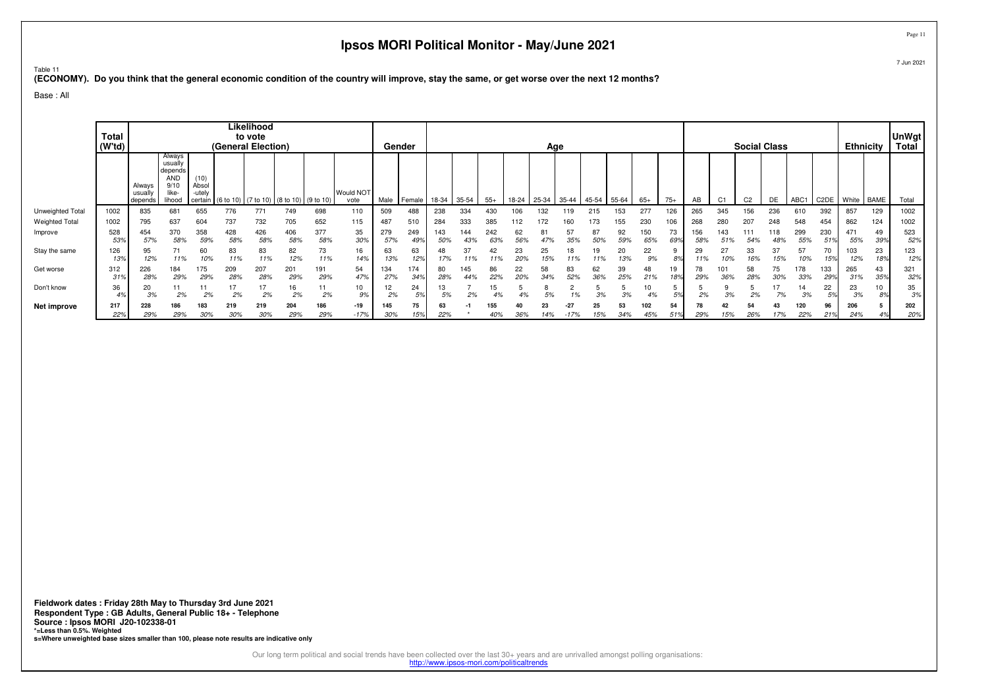Table 11

**(ECONOMY). Do you think that the general economic condition of the country will improve, stay the same, or get worse over the next 12 months?**

Base : All

|                       | <b>Total</b><br>(W'td) |                              |                                                                |                                    | (General Election)  | Likelihood<br>to vote |                        |            |                   |            | Gender      |            |            |            |           | Age        |           |            |           |            |           |            |            |                | <b>Social Class</b> |            |                   | <b>Ethnicity</b> |             | <b>UnWgt</b><br>Total |
|-----------------------|------------------------|------------------------------|----------------------------------------------------------------|------------------------------------|---------------------|-----------------------|------------------------|------------|-------------------|------------|-------------|------------|------------|------------|-----------|------------|-----------|------------|-----------|------------|-----------|------------|------------|----------------|---------------------|------------|-------------------|------------------|-------------|-----------------------|
|                       |                        | Always<br>usually<br>depends | Always<br>usually<br>depends<br>AND<br>9/10<br>like-<br>lihood | (10)<br>Absol<br>-utely<br>certain | (6 to 10) (7 to 10) |                       | 0) (8 to 10) (9 to 10) |            | Would NOT<br>vote | Male       | Female I    | 18-34      | 35-54      | $55+$      | 18-24     | 25-34      | 35-44     | $145 - 54$ | 55-64     | $65+$      | $75+$     | AB         | C1         | C <sub>2</sub> | DE                  | ABC1       | C <sub>2</sub> DE | White            | <b>BAME</b> | Total                 |
| Unweighted Total      | 1002                   | 835                          | 68                                                             | 655                                | 776                 | 771                   | 749                    | 698        | 110               | 509        | 488         | 238        | 334        |            | 106       | 32         | 119       |            | 153       | 277        | 126       | 265        | 345        | 56             | 236                 | 610        | 392               | 857              | 129         | 1002                  |
| <b>Weighted Total</b> | 1002                   | 795                          | 637                                                            | 604                                | 737                 | 732                   | 705                    | 652        | 115               | 487        | 510         | 284        | 333        | 385        | 112       | 172        | 160       | 173        | 155       | 230        | 106       | 268        | 280        | 207            | 248                 | 548        | 454               | 862              | 124         | 1002                  |
| Improve               | 528<br>53%             | 454<br>57%                   | 370<br>58%                                                     | 358<br>59%                         | 428<br>58%          | 426<br>58%            | 406<br>58%             | 377<br>58% | 35<br>30%         | 279<br>57% | 249<br>49°, | 143<br>50% | 144        | 242<br>63% | 62<br>56% | 81<br>47%  | 57<br>35% | 87<br>50%  | 92<br>59% | 150<br>65% | 73<br>69% | 156<br>589 | 143        | 54%            | 118<br>48%          | 299<br>55% | 230<br>519        | 471<br>55%       | 49<br>39%   | 523<br>52%            |
| Stay the same         | 126<br>13%             | 95<br>12%                    | 71<br>11%                                                      | 60<br>10%                          | 83<br>11%           | 83<br>11%             | 82<br>12%              | 73<br>11%  | 16<br>14%         | 63<br>13%  | 63<br>12%   | 48<br>17%  | 37<br>11%  | 42<br>11%  | 23<br>20% | 25<br>15%  | 18        | 19         | 20<br>13% | 22<br>9%   | 8%        | 29<br>11%  | '0%        | 33<br>16%      | 37<br>15%           | 57<br>10%  | 70<br>15%         | 103<br>12%       | 23<br>18%   | 123<br>12%            |
| Get worse             | 312<br>31%             | 226<br>28%                   | 184<br>29%                                                     | 175<br>29%                         | 209<br>28%          | 207<br>28%            | 201<br>29%             | 191<br>29% | 54<br>47%         | 134<br>27% | 174<br>34%  | 80<br>28%  | 145<br>44% | 86<br>22%  | 22<br>20% | 58<br>.34% | 83<br>52% | 62<br>36%  | 39<br>25% | 48<br>21%  | 19<br>18% | 78<br>29%  | 101<br>36% | 58<br>28%      | 75<br>30%           | 178<br>33% | 133<br>29'        | 265<br>31%       | 43<br>35%   | 321<br>32%            |
| Don't know            | 36<br>4%               | 20<br>3%                     | 2%                                                             | 2%                                 | 2%                  | 2%                    | 2%                     | 11<br>2%   | 10<br>9%          | 12<br>2%   | 24          | 13<br>5%   | 2%         |            |           |            |           | 3%         | 3%        | 10<br>4%   | Γo,       | 2%         |            |                | 7%                  | 14<br>3%   | 22                | 23<br>3%         | 89          | 35<br>3%              |
| Net improve           | 217<br>22%             | 228<br>29%                   | 186<br>29%                                                     | 183<br>30%                         | 219<br>30%          | 219<br>30%            | 204<br>29%             | 186<br>29% | $-19$<br>$-17%$   | 145<br>30% | 75<br>15%   | 63<br>22%  |            | 155<br>40% | 36%       | 14%        | $-27$     | 25<br>15%  | 53<br>34% | 102<br>45% | 54        | 29%        | 42<br>15%  | 54<br>26%      | 43<br>17%           | 120<br>22% | 96<br>21%         | 206<br>24%       | 4%          | 202<br>20%            |

Page 11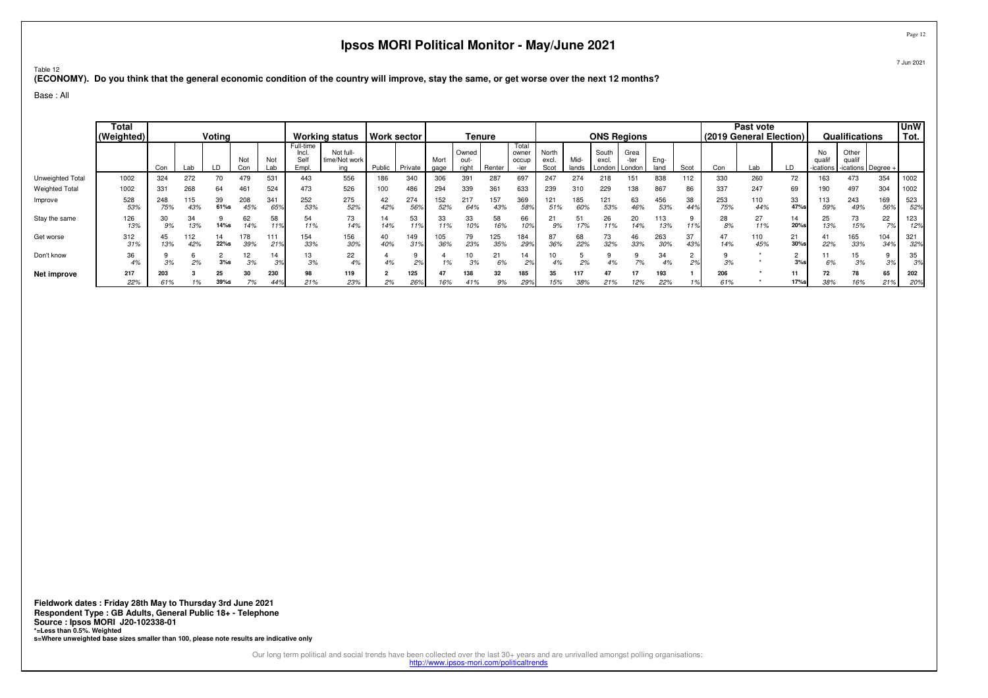Table 12

**(ECONOMY). Do you think that the general economic condition of the country will improve, stay the same, or get worse over the next 12 months?**

Base : All

|                       | Total<br>(Weighted) | Voting     |            |               |            |                        |                                     | <b>Working status</b>             | Work sector |            |              | Tenure                 |            |                         |                        |               |                          | <b>ONS Regions</b>     |              |           |            | Past vote<br>(2019 General Election) |               |                         | Qualifications                        |                      | <b>UnW</b><br>Tot. |
|-----------------------|---------------------|------------|------------|---------------|------------|------------------------|-------------------------------------|-----------------------------------|-------------|------------|--------------|------------------------|------------|-------------------------|------------------------|---------------|--------------------------|------------------------|--------------|-----------|------------|--------------------------------------|---------------|-------------------------|---------------------------------------|----------------------|--------------------|
|                       |                     | Con        | Lab        |               | Not<br>Con | Not<br>Lab             | Full-time<br>Incl.<br>Self<br>Empl. | Not full-<br>time/Not work<br>ina | Public      | Private    | Mort<br>gage | Owned<br>out-<br>riaht | Renter     | Total<br>owner<br>occup | North<br>excl.<br>Scot | Mid-<br>lands | South<br>excl.<br>London | Grea<br>-ter<br>London | Eng-<br>land | Scot      | Con        | Lab                                  | LD            | No<br>quali<br>ications | Other<br>qualif<br>-ications   Degree |                      |                    |
| Unweighted Total      | 1002                | 324        | 272        | 70            | 479        | 531                    | 443                                 | 556                               | 186         | 340        | 306          | 391                    | 287        | 697                     | 247                    | 274           | 218                      | 151                    | 838          | 112       | 330        | 260                                  | 72            | 163                     | 473                                   | 354                  | 1002               |
| <b>Weighted Total</b> | 1002                | 331        | 268        | 64            | 461        | 524                    | 473                                 | 526                               | 100         | 486        | 294          | 339                    | 361        | 633                     | 239                    | 310           | 229                      | 138                    | 867          | 86        | 337        | 247                                  | 69            | 190                     | 497                                   | 304                  | 1002               |
| Improve               | 528<br>53%          | 248<br>75% | 115<br>43% | 39<br>61%s    | 208<br>45% | 341<br>65 <sup>°</sup> | 252<br>53%                          | 275<br>52%                        | 42<br>42%   | 274<br>56% | 152<br>52%   | 217<br>64%             | 157<br>43% | 369<br>589              | 121<br>51%             | 185<br>60%    | 53%                      | 63<br>46%              | 456<br>53%   | 38<br>449 | 253<br>75% | 110<br>44%                           | 33<br>47%s    | 113<br>59%              | 243<br>49%                            | 169<br>56%           | 523<br>52%         |
| Stay the same         | 126<br>13%          | 9%         | 34<br>13%  | 14%s          | 62<br>14%  | 58<br>11%              | 54<br>11%                           | 73<br>14%                         | 14<br>14%   | 53<br>11%  | 33<br>11%    | 33<br>10%              | 58<br>16%  | 66<br>10%               | 21<br>9%               |               | 26<br>11%                | 20<br>14%              | 113<br>13%   | 11%       | 28<br>8%   | 27<br>11%                            | 14<br>20%s    | 25<br>13%               | 73<br>15%                             | 22<br>$\overline{z}$ | 123<br>12%         |
| Get worse             | 312<br>31%          | 13%        | 112<br>42% | 14<br>$22%$ s | 178<br>39% | 111<br>21%             | 154<br>33%                          | 156<br>30%                        | 40<br>40%   | 149        | 105<br>36%   | 79<br>23%              | 125<br>35% | 184<br>29%              | 87<br>36%              | 68<br>22%     | 73<br>32%                | 46<br>33%              | 263<br>30%   | 37<br>43% | 47<br>14%  | 110<br>45%                           | 21<br>$30%$ s | 41<br>22%               | 165<br>33%                            | 104<br>34%           | 321<br>32%         |
| Don't know            | 36<br>4%            | 3%         | 2%         | $3%$ s        | 12<br>3%   | 14<br>3%               | 13<br>3%                            | 22<br>4%                          | 4%          | 2%         | 1%           | 3%                     | 21         | 14<br>2%                |                        | 2%            | 4%                       | 7%                     | 34           | 2%        | 3%         |                                      | 3%            | 11<br>6%                | 15<br>3%                              | 9<br>00              | 35<br>3%           |
| Net improve           | 217<br>22%          | 203<br>61% |            | 25<br>39%s    |            | 230<br>44%             | 98<br>21%                           | 119<br>23%                        | 2%          | 125<br>26% | 47<br>16%    | 138<br>41%             | 32         | 185<br>29%              | 35<br>15%              | 117<br>38%    | 21%                      | 12%                    | 193<br>22%   |           | 206<br>61% |                                      | 17%s          | 72<br>38%               | 16%                                   | 65<br>21%            | 202<br>20%         |

Page 12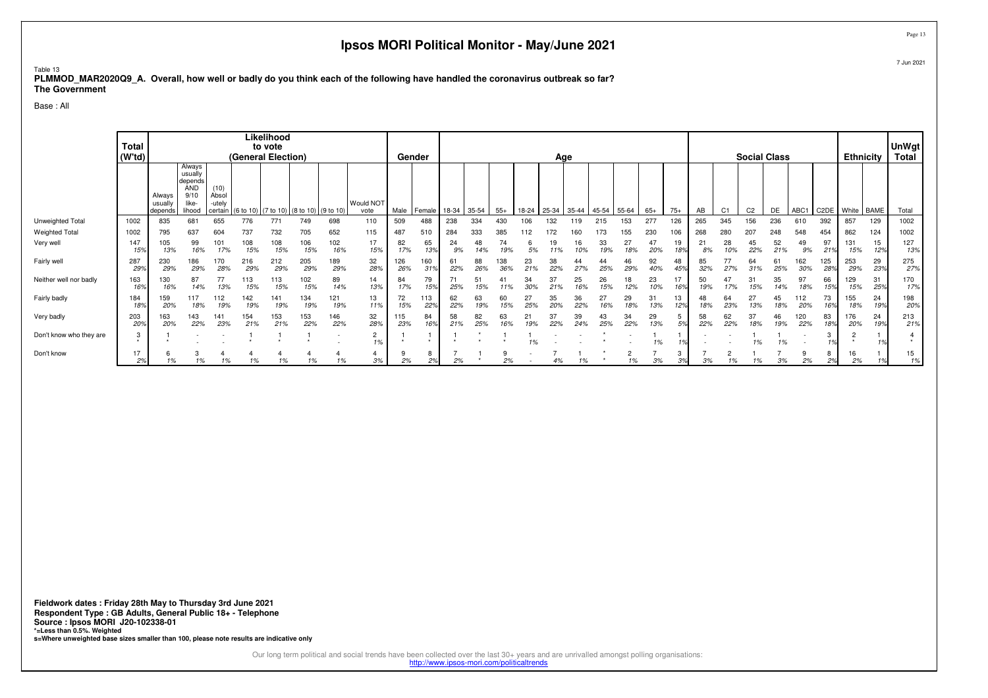### Table 13 **PLMMOD\_MAR2020Q9\_A. Overall, how well or badly do you think each of the following have handled the coronavirus outbreak so far?The Government**

Base : All

|                         | Total<br>(W'td) |                              |                                                                       |                                    | (General Election) | Likelihood<br>to vote |                                         |                          |                   |            | Gender     |           |           |            |           | Age       |           |           |                      |           |           |           |                | <b>Social Class</b> |           |            |            | <b>Ethnicity</b> |           | UnWgt<br>Total |
|-------------------------|-----------------|------------------------------|-----------------------------------------------------------------------|------------------------------------|--------------------|-----------------------|-----------------------------------------|--------------------------|-------------------|------------|------------|-----------|-----------|------------|-----------|-----------|-----------|-----------|----------------------|-----------|-----------|-----------|----------------|---------------------|-----------|------------|------------|------------------|-----------|----------------|
|                         |                 | Always<br>usually<br>depends | Always<br>usually<br>depends<br><b>AND</b><br>9/10<br>like-<br>lihood | (10)<br>Absol<br>-utely<br>certain |                    |                       | (6 to 10) (7 to 10) (8 to 10) (9 to 10) |                          | Would NOT<br>vote | Male       | Female     | 18-34     | 35-54     | $55+$      | 18-24     | $25-34$   | 35-44     | 45-54     | 55-64                | $65+$     | $75+$     | AB        | C1             | C <sub>2</sub>      | DE        | ABC1       | C2DE       | White BAME       |           | Total          |
| Unweighted Total        | 1002            | 835                          | 681                                                                   | 655                                | 776                | 771                   | 749                                     | 698                      | 110               | 509        | 488        | 238       | 334       | 430        |           | 32        | 119       | 215       |                      | 277       | 126       | 265       | 345            | 156                 | 236       | 610        | 392        | 857              | 129       | 1002           |
| Weighted Total          | 1002            | 795                          | 637                                                                   | 604                                | 737                | 732                   | 705                                     | 652                      | 115               | 487        | 510        | 284       | 333       | 385        | 112       |           | 160       |           | 155                  | 230       | 106       | 268       | 280            | 207                 | 248       | 548        | 454        | 862              | 124       | 1002           |
| Very well               | 147<br>15%      | 105<br>13%                   | 99<br>16%                                                             | 101<br>17%                         | 108<br>15%         | 108<br>15%            | 106<br>15%                              | 102<br>16%               | 17<br>15%         | 82<br>17%  | 65<br>13%  | 24<br>9%  | 48        | 74         |           |           |           | 33        | 27<br>18%            | 20%       | 19<br>18% | 21<br>8%  | 28<br>10%      | 45<br>22%           | 52<br>21% | 49<br>9%   | 97<br>219  | 131<br>15%       | 15<br>12% | 127<br>13%     |
| Fairly well             | 287<br>29%      | 230<br>29%                   | 186<br>29%                                                            | 170<br>28%                         | 216<br>29%         | 212<br>29%            | 205<br>29%                              | 189<br>29%               | 32<br>28%         | 126<br>26% | 160<br>31% | 61<br>22% | 88<br>26% | 138<br>36% | 23<br>21% | 38<br>22% | 27%       | 25%       | 46<br>29%            | 92<br>40% | 48<br>45% | 85<br>32% | 77<br>27%      | 64<br>31%           | 61<br>25% | 62<br>30%  | 125<br>28% | 253<br>29%       | 29<br>23% | 275<br>27%     |
| Neither well nor badly  | 163<br>16%      | 130<br>16%                   | 87<br>14%                                                             | 13%                                | 113<br>15%         | 113<br>15%            | 102<br>15%                              | 89<br>14%                | 14<br>13%         | 84<br>17%  | 79<br>15%  | 71<br>25% | 5         |            |           | 37<br>21% | 25        | 26<br>15% | 18<br>12%            | 23<br>10% | 16%       | 50<br>19% | 47             | 15%                 | 35<br>14% | 97<br>18%  | 66<br>15%  | 129<br>15%       | 31<br>25% | 170<br>17%     |
| Fairly badly            | 184<br>18%      | 159<br>20%                   | 117<br>18%                                                            | 19%                                | 142<br>19%         | 141<br>19%            | 134<br>19%                              | 121<br>19%               | 13<br>11%         | 72<br>15%  | 113<br>22% | 62<br>22% | 63<br>19% | 150/       | 25%       | 35<br>20% | 36<br>22% | 27        | 29<br>18%            | 31<br>13% | 13<br>12% | 18%       | 64<br>23%      | 27<br>13%           | 18%       | 20%        | 73<br>16%  | 155<br>18%       | 24<br>19% | 198<br>20%     |
| Very badly              | 203<br>20%      | 163<br>20%                   | 143<br>22%                                                            | 141<br>23%                         | 154<br>21%         | 153<br>21%            | 153<br>22%                              | 146<br>22%               | 32<br>28%         | 115<br>23% | 84<br>16%  | 58<br>21% | 82<br>25% | 63<br>16%  | 19%       | 37<br>22% | 39        | 43<br>25% | 34<br>22%            | 29<br>13% | 5<br>50   | 58<br>22% | 62<br>22%      | 37<br>18%           | 46<br>19% | 120<br>22% | 83<br>18%  | 176<br>20%       | 24<br>19% | 213<br>21%     |
| Don't know who they are | 3               |                              |                                                                       |                                    |                    |                       |                                         | $\overline{\phantom{a}}$ | 2<br>1%           |            |            |           |           |            | 1%        |           |           |           |                      | 1%        |           |           |                | 1%                  | 1%        |            |            |                  |           |                |
| Don't know              | 17<br>2%        | 1%                           | 3<br>1%                                                               | 1%                                 | 1%                 | 1%                    | 1%                                      | 1%                       | 4<br>3%           | 2%         | 8<br>2%    | 2%        |           | 9<br>2%    |           | 4%        |           |           | $\overline{2}$<br>1% | 3%        | 3<br>3%   | 3%        | $\overline{c}$ | 1%                  | 3%        | 2%         | 8<br>2%    | 16<br>2%         |           | 15<br>1%       |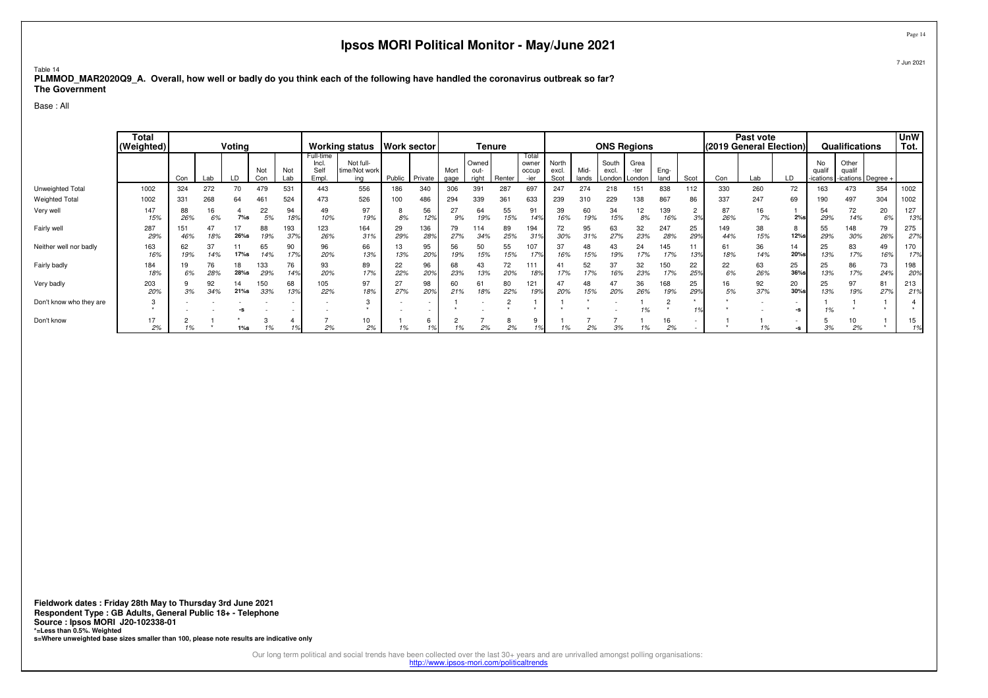### Table 14 **PLMMOD\_MAR2020Q9\_A. Overall, how well or badly do you think each of the following have handled the coronavirus outbreak so far?The Government**

Base : All

|                         | <b>Total</b><br>(Weighted) |            |           | Voting     |            |            |                                     | Working status   Work sector      |           |                          |              |                        | <b>Tenure</b> |                                 |                        |               | <b>ONS Regions</b>       |                        |              |                       | (2019 General Election) | Past vote |             |                           | Qualifications                          |           | <b>UnW</b><br>Tot. |
|-------------------------|----------------------------|------------|-----------|------------|------------|------------|-------------------------------------|-----------------------------------|-----------|--------------------------|--------------|------------------------|---------------|---------------------------------|------------------------|---------------|--------------------------|------------------------|--------------|-----------------------|-------------------------|-----------|-------------|---------------------------|-----------------------------------------|-----------|--------------------|
|                         |                            | Con        | Lab       | LD         | Not<br>Con | Not<br>Lab | Full-time<br>Incl.<br>Self<br>Empl. | Not full-<br>time/Not work<br>ina | Public    | Private                  | Mort<br>gage | Owned<br>out-<br>right | Renter        | Total<br>owner<br>occup<br>-ier | North<br>excl.<br>Scot | Mid-<br>lands | South<br>excl.<br>London | Grea<br>-ter<br>London | Eng-<br>land | Scot                  | Con                     | Lab       | LD          | No<br>qualif<br>-ications | Other<br>qualif<br>-ications   Degree - |           |                    |
| Unweighted Total        | 1002                       | 324        | 272       | 70         | 479        | 53         | 443                                 | 556                               | 186       | 340                      | 306          | 391                    | 287           | 697                             | 247                    | 274           | 218                      |                        | 838          | 112                   | 330                     | 260       | 72          | 163                       | 473                                     | 354       | 1002               |
| <b>Weighted Total</b>   | 1002                       | 331        | 268       | 64         | 461        | 524        | 473                                 | 526                               | 100       | 486                      | 294          | 339                    | 361           | 633                             | 239                    | 310           | 229                      | 138                    | 867          | 86                    | 337                     | 247       | 69          | 190                       | 497                                     | 304       | 1002               |
| Very well               | 147<br>15%                 | 88<br>26%  | 16<br>6%  | $7\%s$     | 22<br>5%   | 94<br>18%  | 49<br>10%                           | 97<br>19%                         | 8%        | 56<br>12%                | 27<br>9%     | 64<br>19%              | 55<br>15%     | 91<br>14%                       | 39<br>16%              | 60<br>19%     | 34<br>15%                | 12<br>8%               | 139<br>16%   | 2<br>3%               | 87<br>26%               | 16<br>7%  | $2%$ s      | 54<br>29%                 | 72<br>14%                               | 20<br>6%  | 127<br>13%         |
| Fairly well             | 287<br>29%                 | 151<br>46% | 47<br>18% | 26%s       | 88<br>19%  | 193<br>37% | 123<br>26%                          | 164<br>31%                        | 29<br>29% | 136<br>28%               | 79<br>27%    | 114<br>34%             | 89<br>25%     | 194<br>319                      | 72<br>30%              | 95<br>31%     | 63<br>27%                | 32<br>23%              | 247<br>28%   | 25<br>29%             | 149<br>44%              | 38<br>15% | <b>12%s</b> | 55<br>29%                 | 148<br>30%                              | 79<br>26% | 275<br>27%         |
| Neither well nor badly  | 163<br>16%                 | 62<br>19%  | 37<br>14% | 17%s       | 65<br>14%  | 90<br>179  | 96<br>20%                           | 66<br>13%                         | 13<br>13% | 95<br>20%                | 56<br>19%    | 50<br>15%              | 55<br>15%     | 107<br>179                      | 37<br>16%              |               |                          | 24<br>17%              | 145<br>17%   |                       | 61<br>18%               | 36<br>14% | 14<br>20%s  | 25<br>13%                 | 83<br>17%                               | 49<br>16% | 170<br>17%         |
| Fairly badly            | 184<br>18%                 | 19<br>6%   | 76<br>28% | 18<br>28%s | 133<br>29% | 76<br>149  | 93<br>20%                           | 89<br>17%                         | 22<br>22% | 96<br>20%                | 68<br>23%    | 43<br>13%              | 72<br>20%     | 111<br>18%                      | 41<br>17%              | 52<br>17%     | 37<br>16%                | 32<br>23%              | 150<br>17%   | 22<br>25 <sup>9</sup> | 22<br>6%                | 63<br>26% | 25<br>36%s  | 25<br>13%                 | 86<br>17%                               | 73<br>24% | 198<br>20%         |
| Very badly              | 203<br>20%                 | 3%         | 92<br>34% | 14<br>21%s | 150<br>33% | 68<br>13%  | 105<br>22%                          | 97<br>18%                         | 27<br>27% | 98<br>20%                | 60<br>21%    | 61<br>18%              | 80<br>22%     | 121<br>19%                      | 47<br>20%              | 48<br>15%     | 47<br>20%                | 36<br>26%              | 168<br>19%   | 25<br>29%             | 16<br>5%                | 92<br>37% | 20<br>30%s  | 25<br>13%                 | 97<br>19%                               | 81<br>27% | 213<br>21%         |
| Don't know who they are |                            |            |           |            |            |            |                                     | 3                                 |           | $\overline{\phantom{a}}$ |              |                        |               |                                 |                        |               |                          |                        |              |                       |                         |           | $\sim$      |                           |                                         |           |                    |
| Don't know              | 17<br>2%                   |            |           | $1%$ s     | 1%         |            | 2%                                  | 10<br>2%                          |           |                          |              | 2%                     | 2%            |                                 |                        | 2%            | 3%                       |                        | 16<br>2%     |                       |                         |           |             | 3%                        | 2%                                      |           | 15<br>1%           |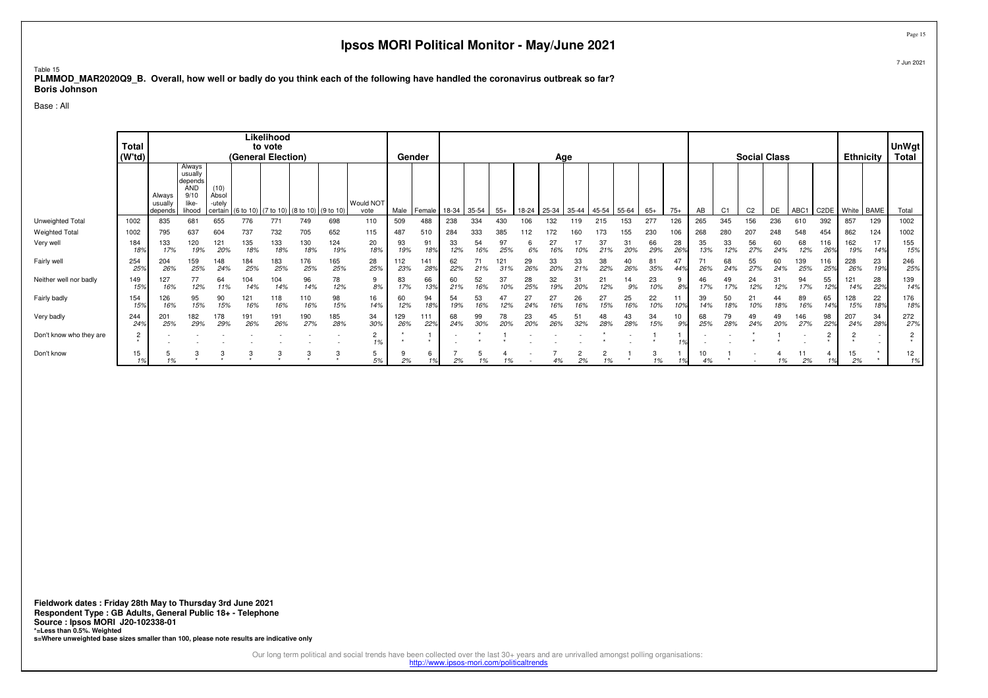### Table 15 **PLMMOD\_MAR2020Q9\_B. Overall, how well or badly do you think each of the following have handled the coronavirus outbreak so far?Boris Johnson**

Base : All

|                         | Total<br>(W'td) |                             |                                                                       |                                    | (General Election) | Likelihood<br>to vote |                                 |            |                   | Gender     |            |           |           |            |           | Age               |           |               |           |           |           |           |                | <b>Social Class</b> |           |                  |                   | <b>Ethnicity</b> |           | <b>UnWgt</b><br>Total |
|-------------------------|-----------------|-----------------------------|-----------------------------------------------------------------------|------------------------------------|--------------------|-----------------------|---------------------------------|------------|-------------------|------------|------------|-----------|-----------|------------|-----------|-------------------|-----------|---------------|-----------|-----------|-----------|-----------|----------------|---------------------|-----------|------------------|-------------------|------------------|-----------|-----------------------|
|                         |                 | Always<br>usuall<br>depends | Always<br>usually<br>depends<br><b>AND</b><br>9/10<br>like-<br>lihood | (10)<br>Absol<br>-utely<br>certain | (6 to 10)          |                       | $(7 to 10)$ (8 to 10) (9 to 10) |            | Would NOT<br>vote | Male       | Female     | 18-34     | 35-54     | $55+$      |           | 18-24 25-34 35-44 |           | $45-54$ 55-64 |           | $65+$     | $75+$     | AB        | C <sub>1</sub> | C <sub>2</sub>      | DE        | ABC <sub>1</sub> | C <sub>2</sub> DE | White BAME       |           | Total                 |
| Unweighted Total        | 1002            | 835                         | 681                                                                   | 655                                | 776                | 771                   | 749                             | 698        | 110               | 509        | 488        | 238       | 334       | 430        | 106       | 132               | 19        | 215           | 153       | 277       | 126       | 265       | 345            | 156                 | 236       | 610              | 392               | 857              | 129       | 1002                  |
| <b>Weighted Total</b>   | 1002            | 795                         | 637                                                                   | 604                                | 737                | 732                   | 705                             | 652        | 115               | 487        | 510        | 284       | 333       | 385        | 112       |                   |           | 173           | 155       | 230       | 106       | 268       | 280            | 207                 | 248       | 548              | 454               | 862              | 124       | 1002                  |
| Very well               | 184<br>18%      | 133                         | 120<br>19%                                                            | 121<br>20%                         | 135<br>18%         | 133<br>18%            | 130<br>18%                      | 124<br>19% | 20<br>18%         | 93<br>19%  | 91<br>18%  | 33<br>12% | 54<br>16% | 97<br>25%  | 6<br>6%   | 27<br>16%         | 10%       | 37<br>21%     | 31<br>20% | 66<br>29% | 28<br>269 | 35<br>13% | 33<br>12%      | 56<br>27%           | 60<br>24% | 68<br>12%        | 116<br>26%        | 162<br>19%       | 17<br>14% | 155<br>15%            |
| Fairly well             | 254<br>25%      | 204<br>26%                  | 159<br>25%                                                            | 148<br>24%                         | 184<br>25%         | 183<br>25%            | 176<br>25%                      | 165<br>25% | 28<br>25%         | 112<br>23% | 141<br>28% | 62<br>22% | 71<br>21% | 121<br>31% | 29<br>26% | 33<br>20%         | 33<br>21% | 38<br>22%     | 40<br>26% | 81<br>35% | 44        | 26%       | 68<br>24%      | 55<br>27%           | 60<br>24% | 139<br>25%       | 116<br>25%        | 228<br>26%       | 23<br>19% | 246<br>25%            |
| Neither well nor badly  | 149<br>15%      | 127<br>16%                  | 77<br>12%                                                             | 64<br>11%                          | 104<br>14%         | 104<br>14%            | 96<br>14%                       | 78<br>12%  | 9<br>8%           | 83<br>17%  | 66<br>13%  | 60<br>21% | 52<br>16% | 37<br>10%  | 28<br>25% | 32<br>19%         | 31<br>20% | 21<br>12%     | 14<br>9%  | 23<br>10% | 8%        | 46<br>17% | 49<br>17%      | 24<br>12%           | 31<br>12% | 94<br>17%        | 55<br>12%         | 121<br>14%       | 28<br>22% | 139<br>14%            |
| Fairly badly            | 154<br>15%      | 126<br>16%                  | 95<br>15%                                                             | 90<br>15%                          | 121<br>16%         | 118<br>16%            | 110<br>16%                      | 98<br>15%  | 16<br>14%         | 60<br>12%  | 94<br>18%  | 54<br>19% | 53<br>16% | 47<br>12%  | 27<br>24% | 27<br>16%         | 26<br>16% | 15%           | 25<br>16% | 22<br>10% | 11        | 39<br>14% | 50<br>18%      | 21                  | 44<br>18% | 89<br>16%        | 65<br>14%         | 128<br>15%       | 22<br>18% | 176<br>18%            |
| Very badly              | 244<br>24%      | 201<br>25%                  | 182<br>29%                                                            | 178<br>29%                         | 191<br>26%         | 191<br>26%            | 190<br>27%                      | 185<br>28% | 34<br>30%         | 129<br>26% | 111<br>22% | 68<br>24% | 99<br>30% | 78<br>20%  | 23<br>20% | 26%               | 32%       | 28%           | 43<br>28% | 34<br>15% | 10<br>9%  | 68<br>25% | 79<br>28%      | 49<br>24%           | 49<br>20% | 146<br>27%       | 98<br>22%         | 207<br>24%       | 34<br>28% | 272<br>27%            |
| Don't know who they are | $\overline{2}$  |                             |                                                                       |                                    |                    |                       |                                 |            | 2<br>1%           |            |            |           |           |            |           |                   |           |               |           |           |           |           |                |                     |           |                  |                   |                  |           |                       |
| Don't know              | 15<br>1%        | 1%                          |                                                                       |                                    |                    | 3                     |                                 | 3          | 5<br>5%           | 2%         | 6          | 2%        | 1%        | 1%         |           | 4%                | 2%        | 1%            |           | 3<br>1%   |           | 10<br>4%  |                |                     | 1%        | 11<br>2%         | 1%                | 15<br>2%         |           | 12<br>1%              |

**Fieldwork dates : Friday 28th May to Thursday 3rd June 2021 Respondent Type : GB Adults, General Public 18+ - TelephoneSource : Ipsos MORI J20-102338-01 \*=Less than 0.5%. Weighted s=Where unweighted base sizes smaller than 100, please note results are indicative only**

Our long term political and social trends have been collected over the last 30+ years and are unrivalled amongst polling organisations:<br>http://www.ipsos-mori.com/politicaltrends

Page 15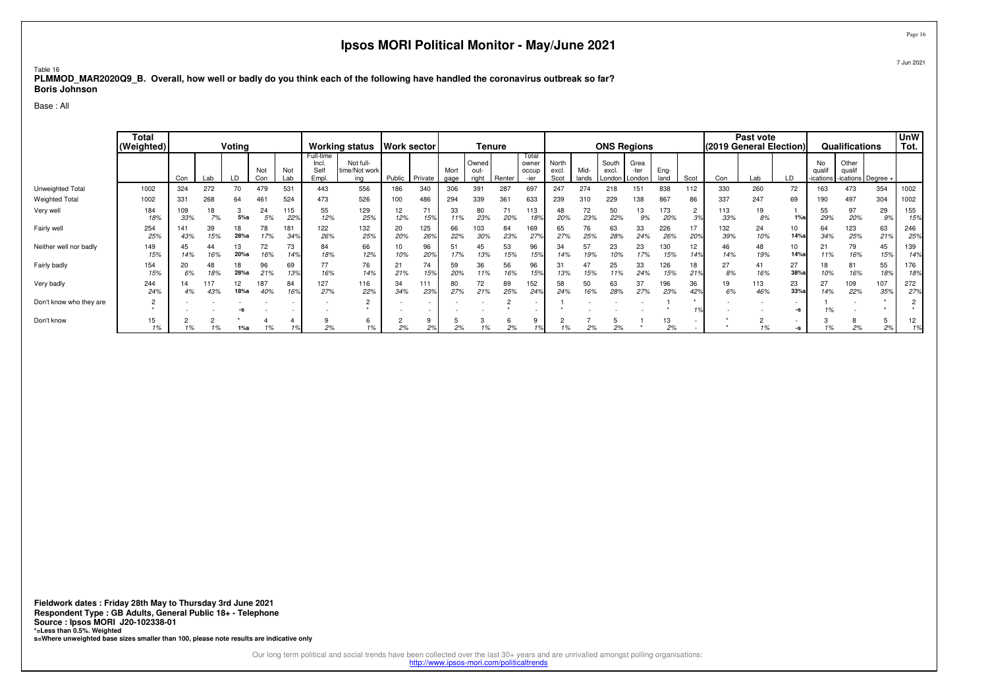### Table 16 **PLMMOD\_MAR2020Q9\_B. Overall, how well or badly do you think each of the following have handled the coronavirus outbreak so far?Boris Johnson**

Base : All

|                         | Total<br>(Weighted) |            |           | Voting                |            |            |                                     | Working status   Work sector      |           |                          |              |                        | <b>Tenure</b> |                                 |                        |               |                | <b>ONS Regions</b>              |              |                       | (2019 General Election) | Past vote  |              |                                    | Qualifications                        |            | <b>UnW</b><br>Tot. |
|-------------------------|---------------------|------------|-----------|-----------------------|------------|------------|-------------------------------------|-----------------------------------|-----------|--------------------------|--------------|------------------------|---------------|---------------------------------|------------------------|---------------|----------------|---------------------------------|--------------|-----------------------|-------------------------|------------|--------------|------------------------------------|---------------------------------------|------------|--------------------|
|                         |                     | Con        | Lab       | LD                    | Not<br>Con | Not<br>Lab | Full-time<br>Incl.<br>Selt<br>Empl. | Not full-<br>time/Not work<br>ina | Public    | Private                  | Mort<br>gage | Owned<br>out-<br>right | Renter        | Total<br>owner<br>occup<br>-ier | North<br>excl.<br>Scot | Mid-<br>lands | South<br>excl. | Grea<br>-ter<br>London   London | Eng-<br>land | Scot                  | Con                     | Lab        | LD           | No<br>qualif<br>-ications <b>I</b> | Other<br>qualif<br>-ications Degree + |            |                    |
| Unweighted Total        | 1002                | 324        | 272       | 70                    | 479        | 531        | 443                                 | 556                               | 186       | 340                      | 306          | 391                    | 287           | 697                             | 247                    | 274           | 218            | 151                             | 838          | 112                   | 330                     | 260        | 72           | 163                                | 473                                   | 354        | 1002               |
| <b>Weighted Total</b>   | 1002                | 331        | 268       | 64                    | 461        | 524        | 473                                 | 526                               | 100       | 486                      | 294          | 339                    | 361           | 633                             | 239                    | 310           | 229            | 138                             | 867          | 86                    | 337                     | 247        | 69           | 190                                | 497                                   | 304        | 1002               |
| Very well               | 184<br>18%          | 109<br>33% | 18<br>7%  | $\sim$<br>P<br>$5%$ s | 24<br>5%   | 115<br>22% | 55<br>12%                           | 129<br>25%                        | 12<br>12% | 71<br>15%                | 33<br>11%    | 80<br>23%              | 71<br>20%     | 113<br>18%                      | 48<br>20%              | 72<br>23%     | 50<br>22%      | 13<br>9%                        | 173<br>20%   | $\Omega$<br>∠<br>3%   | 113<br>33%              | 19<br>8%   | $1\%$ s      | 55<br>29%                          | 97<br>20%                             | 29<br>9%   | 155<br>15%         |
| Fairly well             | 254<br>25%          | 141<br>43% | 39<br>15% | 18<br>28%s            | 78<br>17%  | 181<br>34% | 122<br>26%                          | 132<br>25%                        | 20<br>20% | 125<br>26%               | 66<br>22%    | 103<br>30%             | 84<br>23%     | 169<br>27%                      | 65<br>27%              | 76<br>25%     | 63<br>28%      | 33<br>24%                       | 226<br>26%   | 17<br>20°             | 132<br>39%              | 24<br>10%  | 10<br>14%s   | 64<br>34%                          | 123<br>25%                            | 63<br>21%  | 246<br>259         |
| Neither well nor badly  | 149<br>15%          | 45<br>14%  | 44<br>16% | 20%s                  | 72<br>16%  | 73<br>14%  | 84<br>18%                           | 66<br>12%                         | 10%       | 96<br>20%                | 51<br>17%    | 45<br>13%              | 53<br>15%     | 96<br>15%                       | 34<br>14%              | 57<br>19%     | 23             | 23<br>17%                       | 130<br>15%   | 12<br>14 <sup>°</sup> | 46<br>14%               | 48<br>19%  | 10<br>14%s   | 21<br>11%                          | 79<br>16%                             | 45<br>15%  | 139<br>14%         |
| Fairly badly            | 154<br>15%          | 20<br>6%   | 48<br>18% | 18<br>28%s            | 96<br>21%  | 69<br>13%  | 77<br>16%                           | 76<br>14%                         | 21%       | 74<br>15%                | 59<br>20%    | 36<br>11%              | 56<br>16%     | 96<br>15%                       | 31<br>13%              | 47<br>15%     | 25<br>11%      | 33<br>24%                       | 126<br>15%   | 18<br>21 <sup>9</sup> | 27<br>8%                | 41<br>16%  | 27<br>38%s   | 18<br>10%                          | 81<br>16%                             | 55<br>18%  | 176<br>18%         |
| Very badly              | 244<br>24%          | 14<br>4%   | 17<br>43% | 12<br>18%s            | 187<br>40% | 84<br>16%  | 127<br>27%                          | 116<br>22%                        | 34<br>34% | 111<br>23%               | 80<br>27%    | 72<br>21%              | 89<br>25%     | 152<br>249                      | 58<br>24%              | 50<br>16%     | 63<br>28%      | 37<br>27%                       | 196<br>23%   | 36<br>42%             | 19<br>6%                | 113<br>46% | 23<br>33%s   | 27<br>14%                          | 109<br>22%                            | 107<br>35% | 272<br>27%         |
| Don't know who they are | $\overline{2}$      |            |           |                       |            |            |                                     | $\overline{2}$                    |           | $\overline{\phantom{a}}$ |              |                        |               |                                 |                        |               |                |                                 |              |                       |                         |            | $\sim$<br>-S |                                    |                                       |            |                    |
| Don't know              | 15<br>1%            |            | 101       | $1\%$ s               | 1%         |            | 2%                                  | 1%                                | 2%        | 2%                       | 2%           |                        | O<br>2%       |                                 | c<br>1%                | 2%            | 2%             |                                 | 13<br>2%     |                       |                         |            | -S           |                                    | 2%                                    | 5<br>2%    | 12                 |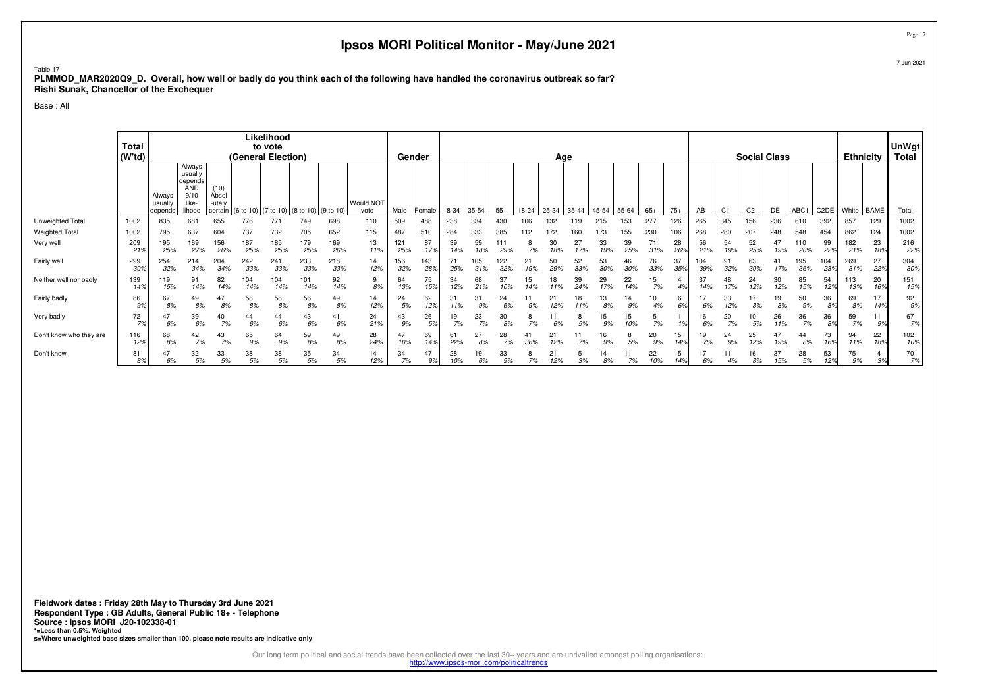### Table 17

 **PLMMOD\_MAR2020Q9\_D. Overall, how well or badly do you think each of the following have handled the coronavirus outbreak so far?Rishi Sunak, Chancellor of the Exchequer**

Base : All

|                         | Total<br>(W'td)        |                              |                                                                       |                                    |            | Likelihood<br>to vote<br>(General Election) |                                 |            |                          |            | Gender                |           |            |            |           | Age       |           |             |           |           |           |            |                | <b>Social Class</b> |           |            |                   |            | <b>Ethnicity</b> | <b>UnWgt</b><br>Total |
|-------------------------|------------------------|------------------------------|-----------------------------------------------------------------------|------------------------------------|------------|---------------------------------------------|---------------------------------|------------|--------------------------|------------|-----------------------|-----------|------------|------------|-----------|-----------|-----------|-------------|-----------|-----------|-----------|------------|----------------|---------------------|-----------|------------|-------------------|------------|------------------|-----------------------|
|                         |                        | Always<br>usually<br>depends | Always<br>usually<br>depends<br><b>AND</b><br>9/10<br>like-<br>lihood | (10)<br>Absol<br>-utely<br>certain | (6 to 10)  |                                             | $(7 to 10)$ (8 to 10) (9 to 10) |            | <b>Would NOT</b><br>vote | Male       | Female                | 18-34     | 35-54      | $55+$      | 18-24     | 25-34     | $35 - 44$ | 45-54 55-64 |           | $65+$     | $75+$     | AB         | C <sub>1</sub> | C <sub>2</sub>      | DE        | ABC1       | C <sub>2</sub> DE | White BAME |                  | Total                 |
| Unweighted Total        | 1002                   | 835                          | 681                                                                   | 655                                | 776        | 771                                         | 749                             | 698        | 110                      | 509        | 488                   | 238       | 334        | 43C        |           | 32        |           | 215         | 153       | 277       | 126       | 265        | 345            | 156                 | 236       | 610        | 392               | 857        | 129              | 1002                  |
| <b>Weighted Total</b>   | 1002                   | 795                          | 637                                                                   | 604                                | 737        | 732                                         | 705                             | 652        | 115                      | 487        | 510                   | 284       | 333        | 385        | 112       | 172       |           |             | 155       | 230       | 106       | 268        | 280            | 207                 | 248       | 548        | 454               | 862        | 124              | 1002                  |
| Very well               | 209<br>21 <sup>6</sup> | 195<br>25%                   | 169<br>27%                                                            | 156<br>26%                         | 187<br>25% | 185<br>25%                                  | 179<br>25%                      | 169<br>26% | 13<br>11%                | 121<br>25% | 87<br>17%             | 39<br>14% | 59<br>18%  | 111<br>29% | 7%        | 30        | 27<br>17% | 33<br>19%   | 39<br>25% | 71<br>31% | 28<br>26% | 56<br>21%  | 54<br>19%      | 52<br>25%           | 47<br>19% | 110<br>20% | 99<br>22%         | 182<br>21% | 23<br>18%        | 216<br>22%            |
| Fairly well             | 299<br>$30^\circ$      | 254<br>32%                   | 214<br>34%                                                            | 204<br>34%                         | 242<br>33% | 241<br>33%                                  | 233<br>33%                      | 218<br>33% | 14<br>12%                | 156<br>32% | 143<br>289            | 71<br>25% | 105<br>31% | 122<br>32% | 2.<br>19% | 50<br>29% | 52<br>33% | 53<br>30%   | 46<br>30% | 76<br>33% | 37<br>35% | 104<br>39% | 91<br>32%      | 63<br>30%           | 41<br>17% | 195<br>36% | 104<br>23%        | 269<br>31% | 27<br>22%        | 304<br>30%            |
| Neither well nor badly  | 139<br>149             | 119<br>15%                   | 91<br>14%                                                             | 82<br>14%                          | 104<br>14% | 104<br>14%                                  | 101<br>14%                      | 92<br>14%  | 9<br>8%                  | 64<br>13%  | 75<br>15%             | 34<br>12% | 68<br>21%  | 37<br>10%  |           | 18        | 39<br>24% | 29          | 22<br>14% | 15<br>7%  | 4%        | 37<br>14%  | 48<br>17%      | 24<br>12%           | 30<br>12% | 85<br>15%  | 54<br>12%         | 113<br>13% | 20<br>16%        | 151<br>15%            |
| Fairly badly            | 86<br>9%               | 67<br>8%                     | 49<br>8%                                                              | 47<br>8%                           | 58<br>8%   | 58<br>8%                                    | 56<br>8%                        | 49<br>8%   | 14<br>12%                | 24<br>5%   | 62<br>129             | 31<br>11% | 9%         | 24         |           |           |           | 13<br>8%    | 14<br>9%  | 10<br>4%  | n<br>69   | 6%         | 33<br>12%      | 8%                  | 19<br>8%  | 50<br>9%   | 36<br>8%          | 69<br>8%   | 14%              | 92<br>9%              |
| Very badly              | 72                     | 47<br>6%                     | 39<br>6%                                                              | 40<br>7%                           | 44<br>6%   | 44<br>6%                                    | 43<br>6%                        | 41<br>6%   | 24<br>21%                | 43<br>9%   | 26<br>5%              | 19<br>7%  | 23<br>7%   | 30<br>8%   | 7%        |           | 5%        | 15<br>9%    | 15        | 15<br>7%  | 10        | 6%         | 20<br>7%       | 10<br>5%            | 26<br>11% | 36<br>7%   | 36<br>89          | 59<br>7%   | 9%               | 67<br>7%              |
| Don't know who they are | 116<br>12%             | 68<br>8%                     | 42<br>7%                                                              | 43<br>7%                           | 65<br>9%   | 64<br>9%                                    | 59<br>8%                        | 49<br>8%   | 28<br>24%                | 10%        | 69<br>14 <sup>°</sup> | 61<br>22% | 8%         | 28<br>7%   | 36%       | 12%       |           | 16<br>9%    | 8<br>5%   | 20<br>9%  | 15<br>14% | 19<br>7%   | 24<br>9%       | 25<br>12%           | 47<br>19% | 44<br>8%   | 73<br>16%         | 94<br>11%  | 22<br>18%        | 102<br>10%            |
| Don't know              | 81<br>8%               | 6%                           | 32<br>5%                                                              | 33<br>5%                           | 38<br>5%   | 38<br>5%                                    | 35<br>5%                        | 34<br>5%   | 14<br>12%                | 34<br>7%   | 47<br>9%              | 28<br>10% | 19<br>6%   | 33<br>9%   | 7%        | 12%       | 3%        | 14<br>8%    | 7%        | 22<br>10% | 15<br>14% | 6%         |                | 16<br>8%            | 37<br>15% | 28<br>5%   | 53<br>12%         | 75<br>9%   | 3%               | 70<br>7%              |

Page 17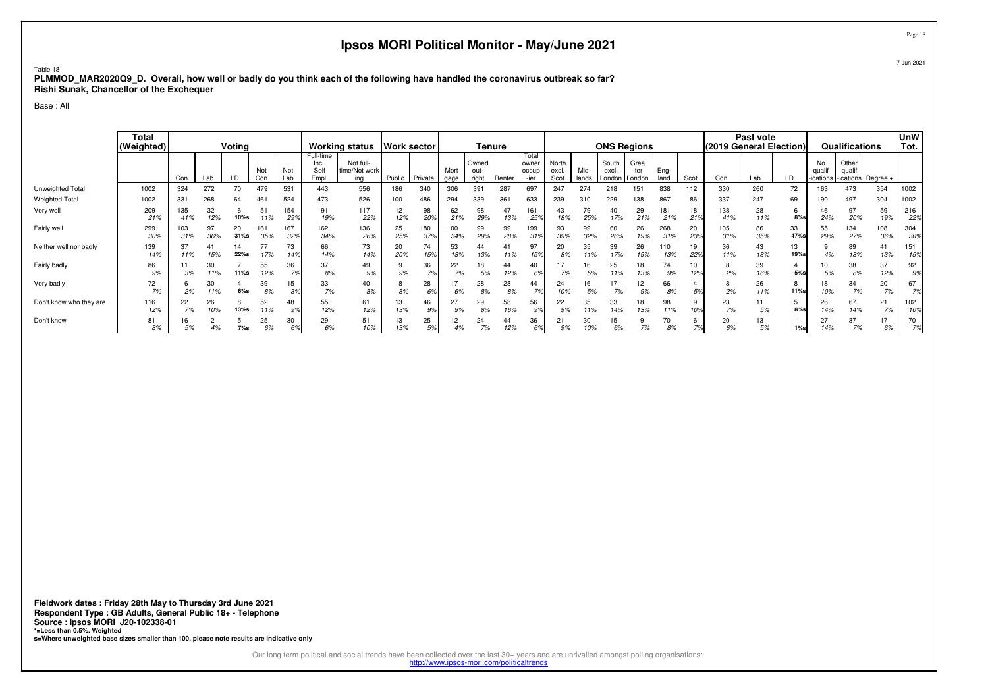### Table 18 **PLMMOD\_MAR2020Q9\_D. Overall, how well or badly do you think each of the following have handled the coronavirus outbreak so far?Rishi Sunak, Chancellor of the Exchequer**

Base : All

|                         | <b>Total</b><br>(Weighted) |            |           | Voting        |            |                       |                                     | Working status   Work sector      |           |              |              |                        | <b>Tenure</b> |                                 |                        |               |                          | <b>ONS Regions</b>     |              |           | (2019 General Election) | Past vote |                  |                           | Qualifications                        |            | <b>UnW</b><br>Tot. |
|-------------------------|----------------------------|------------|-----------|---------------|------------|-----------------------|-------------------------------------|-----------------------------------|-----------|--------------|--------------|------------------------|---------------|---------------------------------|------------------------|---------------|--------------------------|------------------------|--------------|-----------|-------------------------|-----------|------------------|---------------------------|---------------------------------------|------------|--------------------|
|                         |                            | Con        | Lab       | LD            | Not<br>Con | Not<br>Lab            | Full-time<br>Incl.<br>Self<br>Empl. | Not full-<br>time/Not work<br>ina | Public    | Private      | Mort<br>gage | Owned<br>out-<br>right | Renter        | Total<br>owner<br>occup<br>-ier | North<br>excl.<br>Scot | Mid-<br>lands | South<br>excl.<br>London | Grea<br>-ter<br>London | Ena-<br>land | Scot      | Con                     | Lab       | LD               | No<br>qualif<br>-ications | Other<br>qualif<br>-ications Degree + |            |                    |
| Unweighted Total        | 1002                       | 324        | 272       | 70            | 479        | 531                   | 443                                 | 556                               | 186       | 340          | 306          | 391                    | 287           | 697                             | 247                    | 274           | 218                      | 151                    | 838          | 112       | 330                     | 260       | 72               | 163                       | 473                                   | 354        | 1002               |
| <b>Weighted Total</b>   | 1002                       | 331        | 268       | 64            | 461        | 524                   | 473                                 | 526                               | 100       | 486          | 294          | 339                    | 361           | 633                             | 239                    | 310           | 229                      | 38                     | 867          | 86        | 337                     | 247       | 69               | 190                       | 497                                   | 304        | 1002               |
| Very well               | 209<br>21%                 | 135<br>41% | 32<br>12% | 10%s          | 51<br>11%  | 154<br>299            | 91<br>19%                           | 117<br>22%                        | 12<br>12% | 98<br>20%    | 62<br>21%    | 98<br>29%              | 13%           | 161<br>25%                      | 43<br>18%              | 79<br>25%     | 40<br>17%                | 29<br>21%              | 181<br>21%   | 18<br>21% | 138<br>41%              | 28<br>11% | b<br>$8%$ s      | 46<br>24%                 | 97<br>20%                             | 59<br>19%  | 216<br>22%         |
| Fairly well             | 299<br>30%                 | 103<br>31% | 97<br>36% | 20<br>$31%$ s | 161<br>35% | 167<br>329            | 162<br>34%                          | 136<br>26%                        | 25<br>25% | 180<br>37%   | 100<br>34%   | 99<br>29%              | 99<br>28%     | 199<br>319                      | 93<br>39%              | 99<br>32%     | 60<br>26%                | 26<br>19%              | 268<br>31%   | 20<br>23% | 105<br>31%              | 86<br>35% | 33<br>47%        | 55<br>29%                 | 134<br>27%                            | 108<br>36% | 304<br>30%         |
| Neither well nor badly  | 139<br>14%                 | 11%        | 15%       | 14<br>22%s    | 17%        | 73<br>14 <sup>°</sup> | 66<br>14%                           | 73<br>14%                         | 20<br>20% | 74<br>15%    | 53<br>18%    | 44<br>13%              | 11%           | 97<br>15%                       | 20<br>8%               | 35            | 39<br>17%                | 26<br>19%              | 110<br>13%   | 19<br>229 | 36<br>11%               | 43<br>18% | 13<br>19%s       | 4%                        | 89<br>18%                             | 41<br>13%  | 151<br>15%         |
| Fairly badly            | 86<br>9%                   | 3%         | 30<br>11% | 11%s          | 55<br>12%  | 36<br>7%              | 37<br>8%                            | 49<br>9%                          | 9%        | 36<br>7%     | 22<br>7%     | 5%                     | 44<br>12%     | 40<br>6%                        | 7%                     | 16<br>5%      | 25<br>1%                 | 18<br>13%              | 74<br>9%     | 12%       | 8<br>2%                 | 39<br>16% | 5%               | 5%                        | 38<br>8%                              | 37<br>12%  | 92<br>9%           |
| Very badly              | 72<br>7%                   | 2%         | 30<br>11% | $6%$ s        | 39<br>8%   | 15<br>3%              | 33<br>7%                            | 40<br>8%                          | 8%        | 28<br>$\sim$ | 6%           | 28<br>8%               | 28<br>8%      | 44<br>7%                        | 24<br>10%              | 16<br>5%      | 17<br>7%                 | 12<br>9%               | 66<br>8%     | 5%        | 8<br>2%                 | 26<br>11% | 8<br><b>11%s</b> | 18<br>10%                 | 34<br>7%                              | 20<br>7%   | 67<br>7%           |
| Don't know who they are | 116<br>12%                 | 22<br>7%   | 26<br>10% | 13%s          | 52<br>11%  | 48<br>9%              | 55<br>12%                           | 61<br>12%                         | 13<br>13% | 46<br>9%     | 27<br>9%     | 29<br>8%               | 58<br>16%     | 56<br>9%                        | 22<br>9%               | 35            | 33                       | 18<br>13%              | 98<br>11%    |           | 23<br>7%                | 11<br>5%  | $8%$ s           | 26<br>14%                 | 67<br>14%                             | 21<br>7%   | 102<br>10%         |
| Don't know              | 81<br>8%                   |            | 12<br>4%  | $7\%s$        | 25<br>6%   | 6%                    | 29<br>6%                            | 51<br>10%                         | 13<br>13% | 25<br>5%     | 4%           | 24<br>7%               | 44<br>12%     | 36<br>69                        | 9%                     | 30<br>10%     | 6%                       | 7%                     | 8%           |           | 20<br>6%                | 13<br>5%  | 1%s              | 27<br>14%                 | 37<br>7%                              | 17<br>6%   | 70<br>7%           |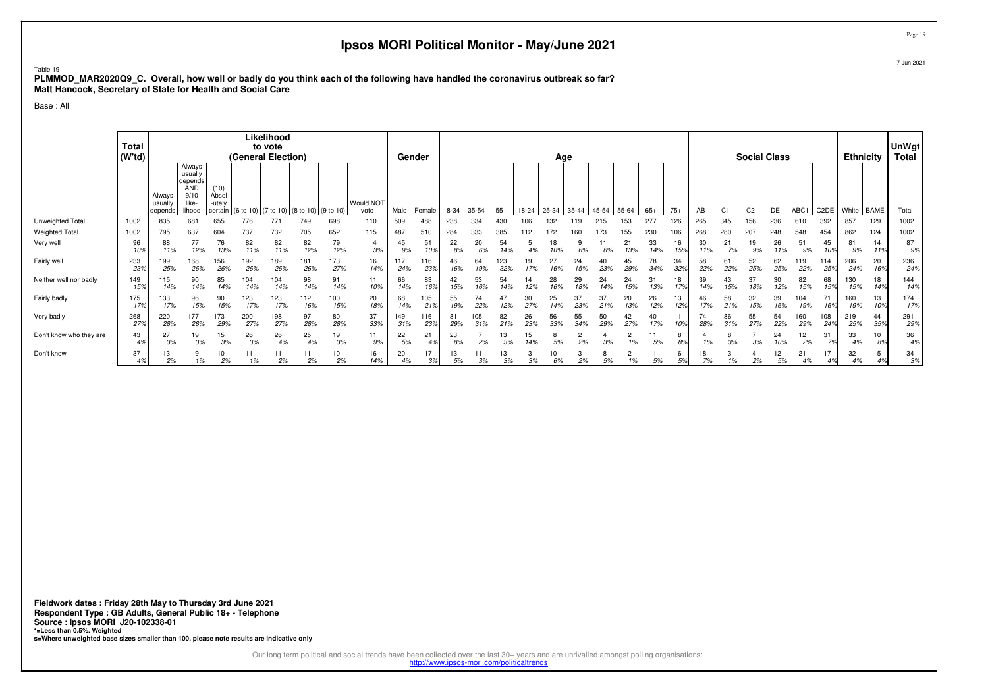### Table 19

 **PLMMOD\_MAR2020Q9\_C. Overall, how well or badly do you think each of the following have handled the coronavirus outbreak so far?Matt Hancock, Secretary of State for Health and Social Care**

Base : All

| Always<br>usually<br>depends<br><b>AND</b><br>(10)<br>9/10<br>Absol<br>Always<br><b>Would NOT</b><br>like-<br>-utelv<br>usually<br>35-54<br>$55+$<br>25-34 35-44<br>45-54<br>55-64<br>$75+$<br>DE<br>ABC1 C2DE<br>White BAME<br>Total<br>(6 to 10) (7 to 10) (8 to 10) (9 to 10)<br>Male<br>$65+$<br>AB<br>C <sub>1</sub><br>C <sub>2</sub><br>lihood<br>l Female<br>18-34<br>18-24<br>vote<br>depends<br>certain<br>655<br>771<br>277<br>681<br>776<br>749<br>698<br>509<br>238<br>132<br>265<br>345<br>156<br>392<br>857<br>129<br>1002<br>1002<br>835<br>110<br>488<br>334<br>430<br>106<br>153<br>126<br>236<br>119<br>215<br>610<br>705<br>652<br>115<br>333<br>207<br>548<br>862<br>1002<br>1002<br>795<br>637<br>604<br>737<br>732<br>284<br>385<br>112<br>172<br>173<br>155<br>230<br>268<br>280<br>248<br>454<br>124<br>487<br>160<br>106<br>510<br>79<br>77<br>76<br>20<br>82<br>82<br>33<br>51<br>87<br>96<br>82<br>22<br>54<br>21<br>30<br>21<br>19<br>26<br>88<br>51<br>45<br>81<br>14<br>4<br>45<br>16<br>12%<br>12%<br>12%<br>3%<br>7%<br>10%<br>13%<br>11%<br>11%<br>10%<br>8%<br>6%<br>14%<br>6%<br>13%<br>14%<br>15%<br>9%<br>11%<br>9%<br>10%<br>9%<br>11%<br>9%<br>4%<br>10%<br>6%<br>11%<br>11%<br>173<br>236<br>168<br>156<br>189<br>123<br>27<br>78<br>52<br>62<br>233<br>192<br>181<br>16<br>64<br>19<br>58<br>206<br>20<br>116<br>46<br>24<br>45<br>34<br>61<br>199<br>117<br>119<br>114<br>27%<br>23%<br>25%<br>26%<br>26%<br>26%<br>14%<br>24%<br>23%<br>16%<br>32%<br>17%<br>23%<br>29%<br>34%<br>32%<br>22%<br>22%<br>25%<br>25%<br>22%<br>25%<br>26%<br>26%<br>19%<br>16%<br>15%<br>24%<br>16%<br>85<br>91<br>53<br>28<br>82<br>144<br>149<br>90<br>104<br>104<br>98<br>83<br>42<br>54<br>29<br>24<br>39<br>37<br>30<br>68<br>130<br>18<br>115<br>11<br>66<br>24<br>43<br>14<br>31<br>18<br>10%<br>12%<br>13%<br>17%<br>12%<br>15%<br>15%<br>14%<br>14%<br>14%<br>16%<br>15%<br>16%<br>14%<br>16%<br>18%<br>15%<br>15%<br>18%<br>15%<br>14%<br>14%<br>14%<br>14%<br>14%<br>14%<br>15%<br>14%<br>14%<br>174<br>175<br>123<br>100<br>20<br>55<br>74<br>25<br>37<br>96<br>90<br>123<br>112<br>105<br>47<br>37<br>20<br>26<br>58<br>32<br>39<br>13<br>30<br>46<br>104<br>71<br>160<br>133<br>68<br>13<br>17%<br>15%<br>15%<br>17%<br>15%<br>18%<br>19%<br>22%<br>27%<br>23%<br>13%<br>12%<br>17%<br>15%<br>16%<br>16%<br>17%<br>17%<br>16%<br>14%<br>21%<br>12%<br>14%<br>21%<br>12%<br>21%<br>19%<br>19%<br>10%<br>177<br>291<br>173<br>200<br>198<br>197<br>180<br>37<br>56<br>55<br>55<br>268<br>105<br>82<br>26<br>50<br>42<br>74<br>86<br>54<br>160<br>108<br>219<br>220<br>149<br>116<br>81<br>40<br>44<br>11<br>27%<br>33%<br>27%<br>28%<br>28%<br>29%<br>27%<br>27%<br>28%<br>28%<br>23%<br>29%<br>31%<br>23%<br>33%<br>29%<br>17%<br>28%<br>27%<br>22%<br>29%<br>25%<br>35%<br>31%<br>21%<br>34%<br>10%<br>.31%<br>24%<br>36<br>25<br>27<br>19<br>26<br>19<br>11<br>22<br>21<br>23<br>13<br>15<br>12<br>33<br>43<br>26<br>$\overline{2}$<br>24<br>31<br>10<br>15<br>8<br>8<br>11<br>2%<br>5%<br>3%<br>3%<br>3%<br>3%<br>9%<br>5%<br>4%<br>8%<br>2%<br>3%<br>5%<br>3%<br>1%<br>3%<br>3%<br>10%<br>2%<br>7%<br>3%<br>4%<br>4%<br>14%<br>8%<br>1%<br>8%<br>4%<br>4%<br>37<br>16<br>17<br>12<br>21<br>32<br>34<br>10<br>20<br>13<br>11<br>13<br>2<br>13<br>9<br>11<br>8<br>11<br>6<br>18<br>3<br>17<br>5 |                  | Total<br>$(W^{\dagger}d)$ |    |    |    | (General Election) | Likelihood<br>to vote |    |    |     |    | Gender |    |    |    |    | Age |    |    |    |    |    |    |    | <b>Social Class</b> |    |    |    | <b>Ethnicity</b> | UnWgt<br>Total |
|-----------------------------------------------------------------------------------------------------------------------------------------------------------------------------------------------------------------------------------------------------------------------------------------------------------------------------------------------------------------------------------------------------------------------------------------------------------------------------------------------------------------------------------------------------------------------------------------------------------------------------------------------------------------------------------------------------------------------------------------------------------------------------------------------------------------------------------------------------------------------------------------------------------------------------------------------------------------------------------------------------------------------------------------------------------------------------------------------------------------------------------------------------------------------------------------------------------------------------------------------------------------------------------------------------------------------------------------------------------------------------------------------------------------------------------------------------------------------------------------------------------------------------------------------------------------------------------------------------------------------------------------------------------------------------------------------------------------------------------------------------------------------------------------------------------------------------------------------------------------------------------------------------------------------------------------------------------------------------------------------------------------------------------------------------------------------------------------------------------------------------------------------------------------------------------------------------------------------------------------------------------------------------------------------------------------------------------------------------------------------------------------------------------------------------------------------------------------------------------------------------------------------------------------------------------------------------------------------------------------------------------------------------------------------------------------------------------------------------------------------------------------------------------------------------------------------------------------------------------------------------------------------------------------------------------------------------------------------------------------------------------------------------------------------------------------------------------------------------------------------------------------------------------------------------------------------------------------------------------------------------------------------------------------------------------------------------------------|------------------|---------------------------|----|----|----|--------------------|-----------------------|----|----|-----|----|--------|----|----|----|----|-----|----|----|----|----|----|----|----|---------------------|----|----|----|------------------|----------------|
|                                                                                                                                                                                                                                                                                                                                                                                                                                                                                                                                                                                                                                                                                                                                                                                                                                                                                                                                                                                                                                                                                                                                                                                                                                                                                                                                                                                                                                                                                                                                                                                                                                                                                                                                                                                                                                                                                                                                                                                                                                                                                                                                                                                                                                                                                                                                                                                                                                                                                                                                                                                                                                                                                                                                                                                                                                                                                                                                                                                                                                                                                                                                                                                                                                                                                                                                         |                  |                           |    |    |    |                    |                       |    |    |     |    |        |    |    |    |    |     |    |    |    |    |    |    |    |                     |    |    |    |                  |                |
| <b>Weighted Total</b><br>Very well<br>Fairly well<br>Neither well nor badly<br>Fairly badly<br>Very badly<br>Don't know who they are<br>Don't know                                                                                                                                                                                                                                                                                                                                                                                                                                                                                                                                                                                                                                                                                                                                                                                                                                                                                                                                                                                                                                                                                                                                                                                                                                                                                                                                                                                                                                                                                                                                                                                                                                                                                                                                                                                                                                                                                                                                                                                                                                                                                                                                                                                                                                                                                                                                                                                                                                                                                                                                                                                                                                                                                                                                                                                                                                                                                                                                                                                                                                                                                                                                                                                      | Unweighted Total |                           |    |    |    |                    |                       |    |    |     |    |        |    |    |    |    |     |    |    |    |    |    |    |    |                     |    |    |    |                  |                |
|                                                                                                                                                                                                                                                                                                                                                                                                                                                                                                                                                                                                                                                                                                                                                                                                                                                                                                                                                                                                                                                                                                                                                                                                                                                                                                                                                                                                                                                                                                                                                                                                                                                                                                                                                                                                                                                                                                                                                                                                                                                                                                                                                                                                                                                                                                                                                                                                                                                                                                                                                                                                                                                                                                                                                                                                                                                                                                                                                                                                                                                                                                                                                                                                                                                                                                                                         |                  |                           |    |    |    |                    |                       |    |    |     |    |        |    |    |    |    |     |    |    |    |    |    |    |    |                     |    |    |    |                  |                |
|                                                                                                                                                                                                                                                                                                                                                                                                                                                                                                                                                                                                                                                                                                                                                                                                                                                                                                                                                                                                                                                                                                                                                                                                                                                                                                                                                                                                                                                                                                                                                                                                                                                                                                                                                                                                                                                                                                                                                                                                                                                                                                                                                                                                                                                                                                                                                                                                                                                                                                                                                                                                                                                                                                                                                                                                                                                                                                                                                                                                                                                                                                                                                                                                                                                                                                                                         |                  |                           |    |    |    |                    |                       |    |    |     |    |        |    |    |    |    |     |    |    |    |    |    |    |    |                     |    |    |    |                  | 9%             |
|                                                                                                                                                                                                                                                                                                                                                                                                                                                                                                                                                                                                                                                                                                                                                                                                                                                                                                                                                                                                                                                                                                                                                                                                                                                                                                                                                                                                                                                                                                                                                                                                                                                                                                                                                                                                                                                                                                                                                                                                                                                                                                                                                                                                                                                                                                                                                                                                                                                                                                                                                                                                                                                                                                                                                                                                                                                                                                                                                                                                                                                                                                                                                                                                                                                                                                                                         |                  |                           |    |    |    |                    |                       |    |    |     |    |        |    |    |    |    |     |    |    |    |    |    |    |    |                     |    |    |    |                  | 24%            |
|                                                                                                                                                                                                                                                                                                                                                                                                                                                                                                                                                                                                                                                                                                                                                                                                                                                                                                                                                                                                                                                                                                                                                                                                                                                                                                                                                                                                                                                                                                                                                                                                                                                                                                                                                                                                                                                                                                                                                                                                                                                                                                                                                                                                                                                                                                                                                                                                                                                                                                                                                                                                                                                                                                                                                                                                                                                                                                                                                                                                                                                                                                                                                                                                                                                                                                                                         |                  |                           |    |    |    |                    |                       |    |    |     |    |        |    |    |    |    |     |    |    |    |    |    |    |    |                     |    |    |    |                  | 14%            |
|                                                                                                                                                                                                                                                                                                                                                                                                                                                                                                                                                                                                                                                                                                                                                                                                                                                                                                                                                                                                                                                                                                                                                                                                                                                                                                                                                                                                                                                                                                                                                                                                                                                                                                                                                                                                                                                                                                                                                                                                                                                                                                                                                                                                                                                                                                                                                                                                                                                                                                                                                                                                                                                                                                                                                                                                                                                                                                                                                                                                                                                                                                                                                                                                                                                                                                                                         |                  |                           |    |    |    |                    |                       |    |    |     |    |        |    |    |    |    |     |    |    |    |    |    |    |    |                     |    |    |    |                  | 17%            |
|                                                                                                                                                                                                                                                                                                                                                                                                                                                                                                                                                                                                                                                                                                                                                                                                                                                                                                                                                                                                                                                                                                                                                                                                                                                                                                                                                                                                                                                                                                                                                                                                                                                                                                                                                                                                                                                                                                                                                                                                                                                                                                                                                                                                                                                                                                                                                                                                                                                                                                                                                                                                                                                                                                                                                                                                                                                                                                                                                                                                                                                                                                                                                                                                                                                                                                                                         |                  |                           |    |    |    |                    |                       |    |    |     |    |        |    |    |    |    |     |    |    |    |    |    |    |    |                     |    |    |    |                  | 29%            |
|                                                                                                                                                                                                                                                                                                                                                                                                                                                                                                                                                                                                                                                                                                                                                                                                                                                                                                                                                                                                                                                                                                                                                                                                                                                                                                                                                                                                                                                                                                                                                                                                                                                                                                                                                                                                                                                                                                                                                                                                                                                                                                                                                                                                                                                                                                                                                                                                                                                                                                                                                                                                                                                                                                                                                                                                                                                                                                                                                                                                                                                                                                                                                                                                                                                                                                                                         |                  |                           |    |    |    |                    |                       |    |    |     |    |        |    |    |    |    |     |    |    |    |    |    |    |    |                     |    |    |    |                  | 4%             |
|                                                                                                                                                                                                                                                                                                                                                                                                                                                                                                                                                                                                                                                                                                                                                                                                                                                                                                                                                                                                                                                                                                                                                                                                                                                                                                                                                                                                                                                                                                                                                                                                                                                                                                                                                                                                                                                                                                                                                                                                                                                                                                                                                                                                                                                                                                                                                                                                                                                                                                                                                                                                                                                                                                                                                                                                                                                                                                                                                                                                                                                                                                                                                                                                                                                                                                                                         |                  | 4%                        | 2% | 1% | 2% | 1%                 | 2%                    | 2% | 2% | 14% | 4% | 3%     | 5% | 3% | 3% | 3% | 6%  | 2% | 5% | 1% | 5% | 5% | 7% | 1% | 2%                  | 5% | 4% | 4% | 4%               | 3%             |

Page 19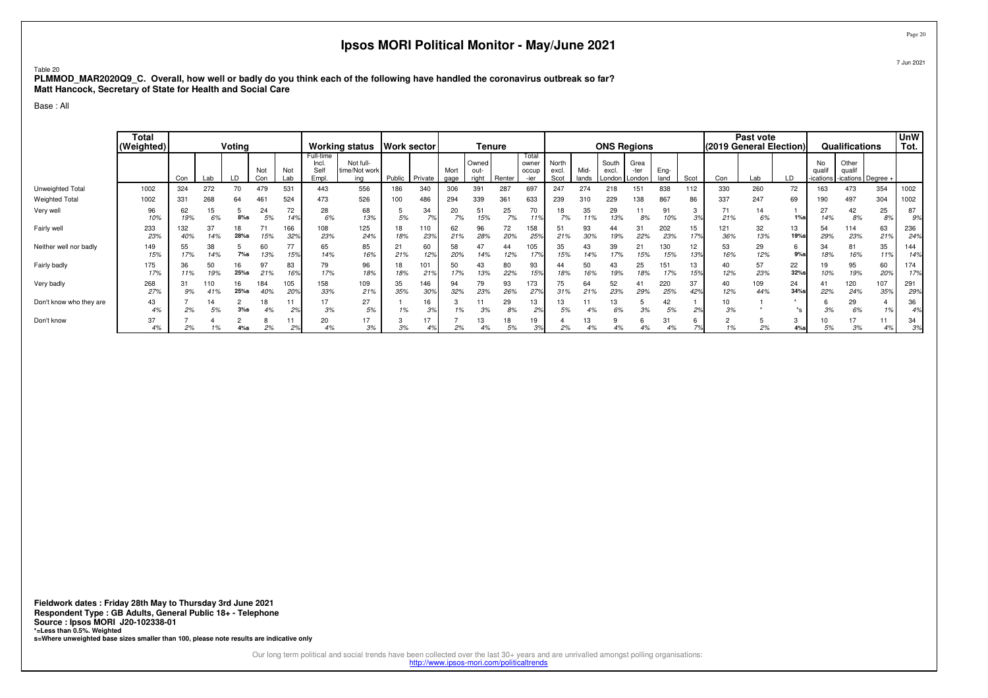### Table 20

 **PLMMOD\_MAR2020Q9\_C. Overall, how well or badly do you think each of the following have handled the coronavirus outbreak so far?Matt Hancock, Secretary of State for Health and Social Care**

Base : All

|                         | <b>Total</b><br>(Weighted) |            |            | Voting     |            |                        |                                     | Working status   Work sector      |           |            |              |                        | <b>Tenure</b> |                                 |                        |               |                                   | <b>ONS Regions</b> |              |           | (2019 General Election) | Past vote  |               |              | Qualifications  |                                  | <b>UnW</b><br>Tot. |
|-------------------------|----------------------------|------------|------------|------------|------------|------------------------|-------------------------------------|-----------------------------------|-----------|------------|--------------|------------------------|---------------|---------------------------------|------------------------|---------------|-----------------------------------|--------------------|--------------|-----------|-------------------------|------------|---------------|--------------|-----------------|----------------------------------|--------------------|
|                         |                            | Con        | Lab        | LD         | Not<br>Con | Not<br>Lab             | Full-time<br>Incl.<br>Self<br>Empl. | Not full-<br>time/Not work<br>ina | Public    | Private    | Mort<br>gage | Owned<br>out-<br>right | Renter        | Total<br>owner<br>occup<br>-ier | North<br>excl.<br>Scot | Mid-<br>lands | South<br>excl.<br>London   London | Grea<br>-ter       | Eng-<br>land | Scot      | Con                     | Lab        |               | No<br>qualif | Other<br>qualif | -ications   -ications   Degree + |                    |
| Unweighted Total        | 1002                       | 324        | 272        | 70         | 479        | 531                    | 443                                 | 556                               | 186       | 340        | 306          | 391                    | 287           | 697                             | 247                    | 274           | 218                               | 151                | 838          | 112       | 330                     | 260        | 72            | 163          | 473             | 354                              | 1002               |
| <b>Weighted Total</b>   | 1002                       | 331        | 268        | 64         | 461        | 524                    | 473                                 | 526                               | 100       | 486        | 294          | 339                    | 361           | 633                             | 239                    | 310           | 229                               | 38                 | 867          | 86        | 337                     | 247        | 69            | 190          | 497             | 304                              | 1002               |
| Very well               | 96<br>10%                  | 62<br>19%  | 15<br>6%   | $8%$ s     | 24<br>5%   | 72<br>149              | 28<br>6%                            | 68<br>13%                         | 5%        | 34<br>70/  | 20<br>7%     | 51<br>15%              | 25<br>7%      | 70<br>11%                       | 18<br>7%               | 35<br>11%     | 29<br>13%                         | 8%                 | 91<br>10%    | 20/       | 71<br>21%               | 14<br>6%   | $1\%$ s       | 27<br>14%    | 42<br>8%        | 25<br>8%                         | 87<br>9%           |
| Fairly well             | 233<br>23%                 | 132<br>40% | 37<br>14%  | 18<br>28%s | ٠.<br>15%  | 166<br>329             | 108<br>23%                          | 125<br>24%                        | 18<br>18% | 110<br>23% | 62<br>21%    | 96<br>28%              | 72<br>20%     | 158<br>259                      | 51<br>21%              | 93<br>30%     | 44<br>19%                         | 31<br>22%          | 202<br>23%   | 15<br>179 | 121<br>36%              | 32<br>13%  | 13<br>19%s    | 54<br>29%    | 114<br>23%      | 63<br>21%                        | 236<br>24%         |
| Neither well nor badly  | 149<br>15%                 | 55<br>17%  | 38<br>14%  | $7\%$ s    | 60<br>13%  | 15%                    | 65<br>14%                           | 85<br>16%                         | 21%       | 60<br>12%  | 58<br>20%    | 14%                    | 44<br>12%     | 105<br>17%                      | 35<br>15%              | 43<br>14%     | 39<br>17%                         | 21<br>15%          | 130<br>15%   | 12<br>13% | 53<br>16%               | 29<br>12%  | 6<br>$9%$ s   | 34<br>18%    | 81<br>16%       | 35<br>11%                        | 144<br>14%         |
| Fairly badly            | 175<br>17%                 | 36<br>11%  | 50<br>19%  | 16<br>25%s | 97<br>21%  | 83<br>16%              | 79<br>17%                           | 96<br>18%                         | 18<br>18% | 101<br>21% | 50<br>17%    | 43<br>13%              | 80<br>22%     | 93<br>15%                       | 44<br>18%              | 50<br>16%     | 43<br>19%                         | 25<br>18%          | 151<br>17%   | 13<br>15% | 40<br>12%               | 57<br>23%  | 22<br>32%s    | 10%          | 95<br>19%       | 60<br>20%                        | 174<br>17%         |
| Very badly              | 268<br>27%                 | 31<br>9%   | 110<br>41% | 16<br>25%s | 184<br>40% | 105<br>20 <sup>s</sup> | 158<br>33%                          | 109<br>21%                        | 35<br>35% | 146<br>30% | 94<br>32%    | 79<br>23%              | 93<br>26%     | 173<br>27%                      | 75<br>31%              | 64<br>21%     | 52<br>23%                         | 41<br>29%          | 220<br>25%   | 37<br>42% | 40<br>12%               | 109<br>44% | 24<br>34%s    | 41<br>22%    | 120<br>24%      | 107<br>35%                       | 291<br>29%         |
| Don't know who they are | 43<br>4%                   | 2%         | 14<br>5%   | $3%$ s     | 18<br>4%   | 2 <sup>9</sup>         | 17<br>3%                            | 27<br>5%                          | 1%        | 16<br>3%   | 1%           | 3%                     | 29<br>8%      | 13<br>2%                        | 13<br>5%               |               | 6%                                | 3%                 | 42<br>5%     | 20        | 10<br>3%                |            | $\star$<br>*s | 3%           | 29<br>6%        | 1%                               | 36                 |
| Don't know              | 37<br>4%                   | 2%         |            | 4%s        | 2%         | 2 <sup>9</sup>         | 20<br>4%                            | 17<br>3%                          | 3%        | $+7$       | 2%           |                        | 18<br>5%      | 19<br>39                        | 2%                     | 13<br>4%      |                                   |                    | 31           |           |                         | 2%         | 3<br>4%s      | 5%           | 3%              | 4%                               | 34<br>3%           |

Page 20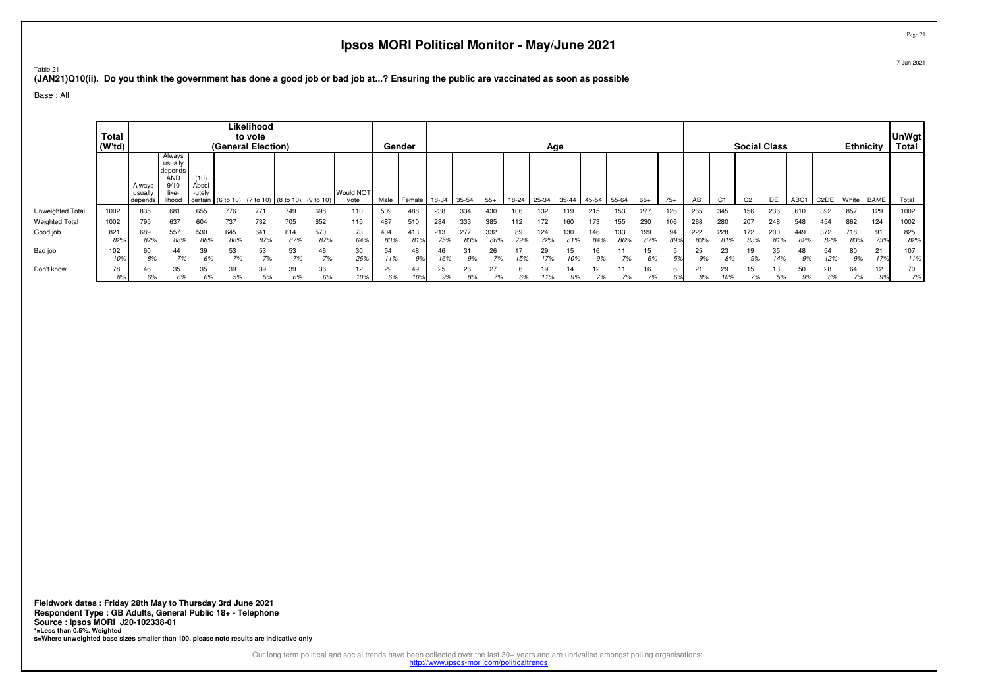Table 21

**(JAN21)Q10(ii). Do you think the government has done a good job or bad job at...? Ensuring the public are vaccinated as soon as possible**

Base : All

|                       | Total<br>(W'td) |                           |                                                                     |                                    | (General Election) | Likelihood<br>to vote |                               |            |                          |            | Gender     |            |            |            |           | Age   |       |            |            |            |           |            |           |                | <b>Social Class</b> |                  |                   | Ethnicity    |           | <b>UnWgt</b><br>Total |
|-----------------------|-----------------|---------------------------|---------------------------------------------------------------------|------------------------------------|--------------------|-----------------------|-------------------------------|------------|--------------------------|------------|------------|------------|------------|------------|-----------|-------|-------|------------|------------|------------|-----------|------------|-----------|----------------|---------------------|------------------|-------------------|--------------|-----------|-----------------------|
|                       |                 | Always<br>usua<br>depends | Always<br>usuall<br>depends<br><b>AND</b><br>9/1<br>like-<br>lihooc | (10)<br>Absol<br>-utelv<br>certain | (6 to 10)          |                       | (7 to 10) (8 to 10) (9 to 10) |            | <b>Would NOT</b><br>vote | Male       | Female     | 18-34      | 35-54      | $55+$      | 18-24     | 25-34 | 35-44 | 45-54      | 55-64      | $65+$      | $75+$     |            |           | C <sub>2</sub> | DE                  | ABC <sub>1</sub> | C <sub>2</sub> DE | White   BAME |           | Total                 |
| Unweighted Total      | 1002            | 835                       | 681                                                                 | 655                                | 776                | 771                   | 749                           | 698        | 110                      | 509        | 488        | 238        | 334        | 430        | 106       | 132   | 119   | 215        | 153        | 277        | 126       | 265        | 345       | 156            | 236                 | 610              | 392               | 857          | 129       | 1002                  |
| <b>Weighted Total</b> | 1002            | 795                       | 637                                                                 | 604                                | 737                | 732                   | 705                           | 652        | 115                      | 487        | 510        | 284        | 333        | 385        |           |       |       | 73         | 155        | 230        | 106       | 268        | 280       |                | 248                 | 548              | 454               | 862          | 124       | 1002                  |
| Good job              | 821<br>82%      | 689<br>87%                | 557<br>88%                                                          | 530<br>88%                         | 645<br>88%         | 641<br>87%            | 614<br>87%                    | 570<br>87% | 73<br>64%                | 404<br>83% | 413<br>81% | 213<br>75% | 277<br>83% | 332<br>86% | 89<br>79% | 124   |       | 146<br>84% | 133<br>86% | 199<br>87% | 94<br>89% | 222<br>83% | 228       | 172<br>83%     | 200<br>81%          | 449<br>82%       | 372<br>82%        | 718<br>83%   | 91<br>73% | 825<br>82%            |
| Bad job               | 102<br>10%      | 60<br>8%                  | 44<br>7%                                                            | 39<br>6%                           | 53                 | 53<br>7%              | 53<br>7%                      | 46<br>7%   | 30<br>26%                | 54<br>11%  | 48<br>9%   | 46<br>16%  | 31<br>9%   | 26         |           | 29    | 15    | 16<br>9%   |            | 15<br>6%   | Eo,       | 25<br>9%   | 23<br>8%  | 9%             | 35<br>14%           | 48<br>9%         | 54                | 80<br>9%     | 21<br>17% | 107<br>11%            |
| Don't know            | 78              | 46<br>6%                  | 35<br>6%                                                            | 35                                 | 39                 | 39<br>5%              | 39<br>6%                      | 36<br>6%   | 12                       | 29<br>6%   | 49         | 25<br>9%   | 26         | 27         |           |       | 14    |            |            | 16         |           |            | 29<br>:0% |                | 13                  | 50               | 28                | 64           | 12        | 70<br>7%              |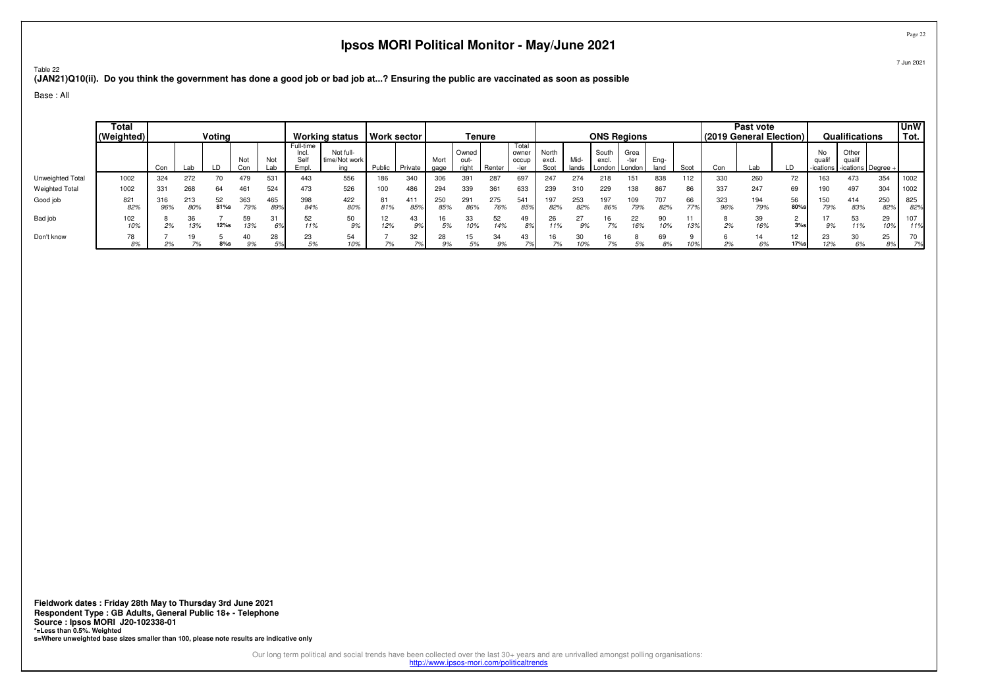Table 22**(JAN21)Q10(ii). Do you think the government has done a good job or bad job at...? Ensuring the public are vaccinated as soon as possible**

Base : All

|                       | Total<br>(Weighted) |            |            | Voting        |            |            |                                    | <b>Working status</b>             |           | Work sector |              | Tenure                 |            |                                 |                        |               | <b>ONS Regions</b>       |                        |              |           | (2019 General Election) | Past vote  |                        |             | Qualifications                                    |            | <b>UnW</b><br>Tot. |
|-----------------------|---------------------|------------|------------|---------------|------------|------------|------------------------------------|-----------------------------------|-----------|-------------|--------------|------------------------|------------|---------------------------------|------------------------|---------------|--------------------------|------------------------|--------------|-----------|-------------------------|------------|------------------------|-------------|---------------------------------------------------|------------|--------------------|
|                       |                     | Con        | ∟ab        |               | Not<br>Con | Not<br>∟ab | Full-time<br>Incl.<br>Self<br>Empl | Not full-<br>time/Not work<br>ina | Public    | Private     | Mort<br>gage | Owned<br>out-<br>riah* | Renter     | Total<br>owner<br>occup<br>.ior | North<br>excl.<br>Scot | Mid-<br>lands | South<br>excl.<br>London | Grea<br>-ter<br>London | Eng-<br>land | Scot      | Con                     | Lab        | LD                     | No<br>quali | Other<br>qualit<br>-ications   -ications   Degree |            |                    |
| Unweighted Total      | 1002                | 324        | 272        | 70            | 479        | 531        | 443                                | 556                               | 186       | 340         |              | 391                    | 287        | 697                             | 247                    | 274           | 218                      | 151                    | 838          | 112       | 330                     | 260        | 72                     | 163         | 473                                               | 354        | 1002               |
| <b>Weighted Total</b> | 1002                | 331        | 268        | 64            | 461        | 524        | 473                                | 526                               | 100       | 486         | 294          | 339                    | 361        | 633                             | 239                    | 310           | 229                      | 138                    | 867          | 86        | 337                     | 247        | 69                     | 190         | 497                                               | 304        | 1002               |
| Good job              | 821<br>82%          | 316<br>96% | 213<br>80% | 52<br>$81%$ s | 363<br>79% | 465<br>89% | 398<br>84%                         | 422<br>80%                        | 81<br>81% | 411<br>859  | 250<br>85%   | 291<br>86%             | 275<br>76% | 541<br>85%                      | 197<br>82%             | 253<br>82%    | 197<br>86%               | 109<br>79%             | 707<br>82%   | 66<br>77% | 323<br>96%              | 194<br>79% | 56<br>80%s             | 150<br>79%  | 414<br>83%                                        | 250<br>82% | 825<br>82%         |
| Bad job               | 102<br>10%          | 2%         | 36<br>13%  | $12%$ s       | 59<br>13%  | 31<br>6%   | 52<br>11%                          | 50<br>9%                          | 12<br>12% | 43<br>9%    |              | 33                     | 52<br>14%  | 49<br>89                        | 26<br>11%              | 27            | 7%                       | 22<br>16%              | 90<br>10%    | 13%       | 2%                      | 39<br>16%  | $3%$ s                 | 9%          | 53<br>11%                                         | 29<br>109  | 107<br>11%         |
| Don't know            | 78<br>8%            | 2%         | 7%         | $8\%$ s       | 9%         | 28         | 23<br>5%                           | 54                                | 7%        | 32          | 28           | 5%                     | 34<br>9%   | 43                              |                        | 30<br>10%     |                          | 5%                     | 69<br>8%     |           | 2%                      | 14<br>6%   | 12 <sup>2</sup><br>17% | 23<br>12%   | 30                                                | 25<br>89   | 70                 |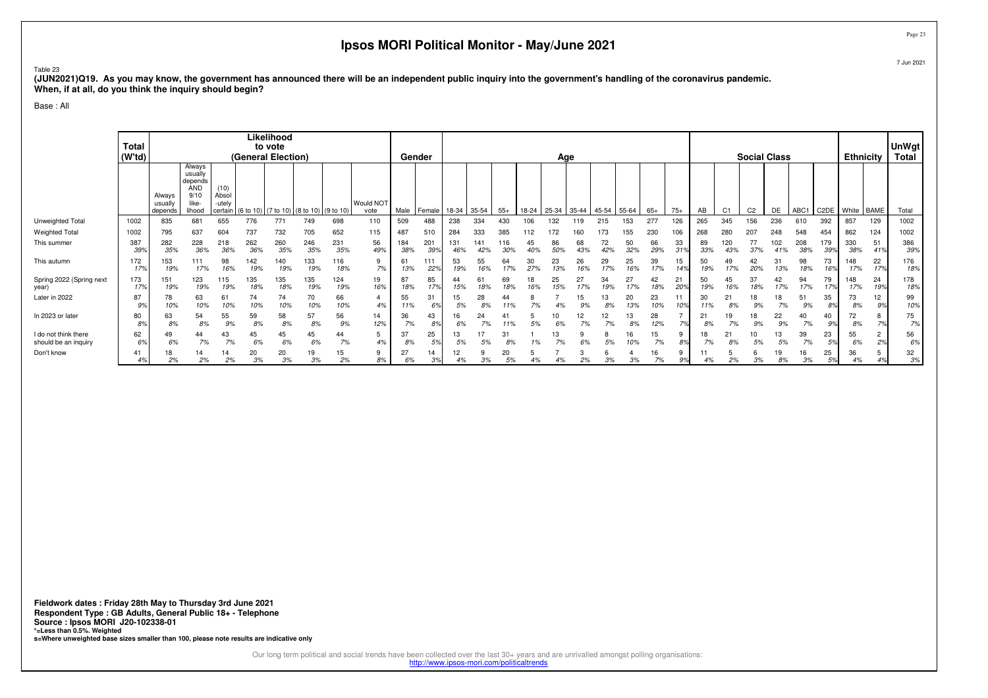### Table 23

 **(JUN2021)Q19. As you may know, the government has announced there will be an independent public inquiry into the government's handling of the coronavirus pandemic.When, if at all, do you think the inquiry should begin?**

Base : All

|                                              | Total<br>(W'td)      |                             |                                                                       |                                    |            | Likelihood<br>to vote<br>(General Election) |            |            |                   |            | Gender     |            |            |           |           | Age       |           |           |           |           |                 |                   |                | <b>Social Class</b> |            |                  |                      | <b>Ethnicity</b> |                      | <b>UnWgt</b><br>Total |
|----------------------------------------------|----------------------|-----------------------------|-----------------------------------------------------------------------|------------------------------------|------------|---------------------------------------------|------------|------------|-------------------|------------|------------|------------|------------|-----------|-----------|-----------|-----------|-----------|-----------|-----------|-----------------|-------------------|----------------|---------------------|------------|------------------|----------------------|------------------|----------------------|-----------------------|
|                                              |                      | Always<br>usuall<br>depends | Always<br>usually<br>depends<br><b>AND</b><br>9/10<br>like-<br>lihood | (10)<br>Absol<br>-utely<br>certain |            | (6 to 10) (7 to 10) (8 to 10) (9 to 10)     |            |            | Would NOT<br>vote | Male       | Female     | 18-34      | 35-54      | $55+$     | 18-24     | 25-34     | $35 - 44$ | 45-54     | 55-64     | $65+$     | $75+$           | AB                | C <sub>1</sub> | C <sub>2</sub>      | DE         | ABC <sub>1</sub> | C2DE                 | White BAME       |                      | Total                 |
| Unweighted Total                             | 1002                 | 835                         | 681                                                                   | 655                                | 776        | 771                                         | 749        | 698        | 110               | 509        | 488        | 238        | 334        |           |           | 132       |           | 215       |           | 277       | 126             | 265               | 345            | 156                 | 236        | 610              | 392                  | 857              | 129                  | 1002                  |
| <b>Weighted Total</b>                        | 1002                 | 795                         | 637                                                                   | 604                                | 737        | 732                                         | 705        | 652        | 115               | 487        | 510        | 284        | 333        | 385       | 112       |           |           |           | 155       | 230       | 106             | 268               | 280            | 207                 | 248        | 548              | 454                  | 862              | 124                  | 1002                  |
| This summer                                  | 387<br>399           | 282<br>35%                  | 228<br>36%                                                            | 218<br>36%                         | 262<br>36% | 260<br>35%                                  | 246<br>35% | 231<br>35% | 56<br>49%         | 184<br>38% | 201<br>39% | 131<br>46% | 141<br>42% | 16<br>30% | 45<br>40% | 86<br>50% | 68<br>43% | 72<br>42% | 50<br>32% | 66<br>29% | 33<br>319       | 89<br>33%         | 120<br>43%     | 77<br>37%           | 102<br>41% | 208<br>38%       | 179<br>39%           | 330<br>38%       | 51<br>41%            | 386<br>39%            |
| This autumn                                  | 172<br>17%           | 153<br>19%                  | 111<br>17%                                                            | 98<br>16%                          | 142<br>19% | 140<br>19%                                  | 133<br>19% | 116<br>18% | 9<br>7%           | 61<br>13%  | 111<br>22% | 53<br>19%  | 55<br>16%  | 64<br>17% | 30        | 23<br>13% | 26<br>16% | 29<br>17% | 25<br>16% | 39<br>17% | 15<br>149       | 50<br>19%         | 49<br>17%      | 42<br>20%           | 31<br>13%  | 98<br>18%        | 73<br>16%            | 148<br>17%       | 22<br>17%            | 176<br>18%            |
| Spring 2022 (Spring next<br>year)            | 173<br>17%           | 151<br>19%                  | 123<br>19%                                                            | 115<br>19%                         | 135<br>18% | 135<br>18%                                  | 135<br>19% | 124<br>19% | 19<br>16%         | 87<br>18%  | 85<br>179  | 15%        | 61         | 69<br>18% | 18<br>16% | 25<br>15% | 27<br>17% | 34<br>19% | 27<br>17% | 42<br>18% | 21<br>20%       | 50<br>19%         | 45<br>16%      | 37<br>18%           | 42<br>17%  | 94<br>17%        | 79<br>17%            | 148<br>17%       | 24<br>19%            | 178<br>18%            |
| Later in 2022                                | 87<br>9%             | 78<br>10%                   | 63<br>10%                                                             | 61<br>10%                          | 74<br>10%  | 74<br>10%                                   | 70<br>10%  | 66<br>10%  | 4%                | 55<br>11%  | 31<br>6%   | 5%         | 28         | 44        |           |           |           | 13<br>8%  | 20<br>13% | 23<br>10% | 10 <sup>9</sup> | 30<br>11%         | 21<br>8%       | 18                  |            | 51<br>9%         | 35<br>8 <sup>°</sup> | 73<br>8%         | 12<br>9%             | 99<br>10%             |
| In 2023 or later                             | 80<br>8 <sup>°</sup> | 63<br>8%                    | 54<br>8%                                                              | 55<br>9%                           | 59<br>8%   | 58<br>8%                                    | 57<br>8%   | 56<br>9%   | 14<br>12%         | 36<br>7%   | 43<br>8%   | 6%         | 24         |           | 5%        | 10<br>6%  | 12<br>7%  | 12<br>7%  | 13<br>8%  | 28<br>12% | 70/             | $2^{\circ}$<br>8% | 19<br>7%       | 18<br>9%            | 22<br>9%   | 40<br>7%         | 40<br>9%             | 72<br>8%         | 70/                  | 75<br>7%              |
| I do not think there<br>should be an inquiry | 62<br>6%             | 49<br>6%                    | 44<br>7%                                                              | 43<br>7%                           | 45<br>6%   | 45<br>6%                                    | 45<br>6%   | 44<br>7%   | 4%                | 37<br>8%   | 25<br>5%   | 5%         | 5%         | 31<br>8%  | 1%        | 13<br>7%  | 6%        | 8<br>5%   | 16<br>10% | 15<br>7%  | 9<br>8%         | 18<br>7%          | 21<br>8%       | 10<br>5%            | 13<br>5%   | 39<br>7%         | 23<br>5%             | 55<br>6%         | $\overline{2}$<br>2% | 56<br>6%              |
| Don't know                                   | 4%                   | 18<br>2%                    | 14<br>2%                                                              | 14<br>2%                           | 20<br>3%   | 20<br>3%                                    | 19<br>3%   | 15<br>2%   | 8%                | 27<br>6%   | 14<br>3%   |            | 3%         | 20<br>5%  |           | 4%        | 2%        | 3%        | 3%        | 16<br>7%  | 9%              | 4%                | 2%             | 3%                  | 19<br>8%   | 16<br>3%         | 25<br>5%             | 36<br>4%         |                      | 32<br>3%              |

Page 23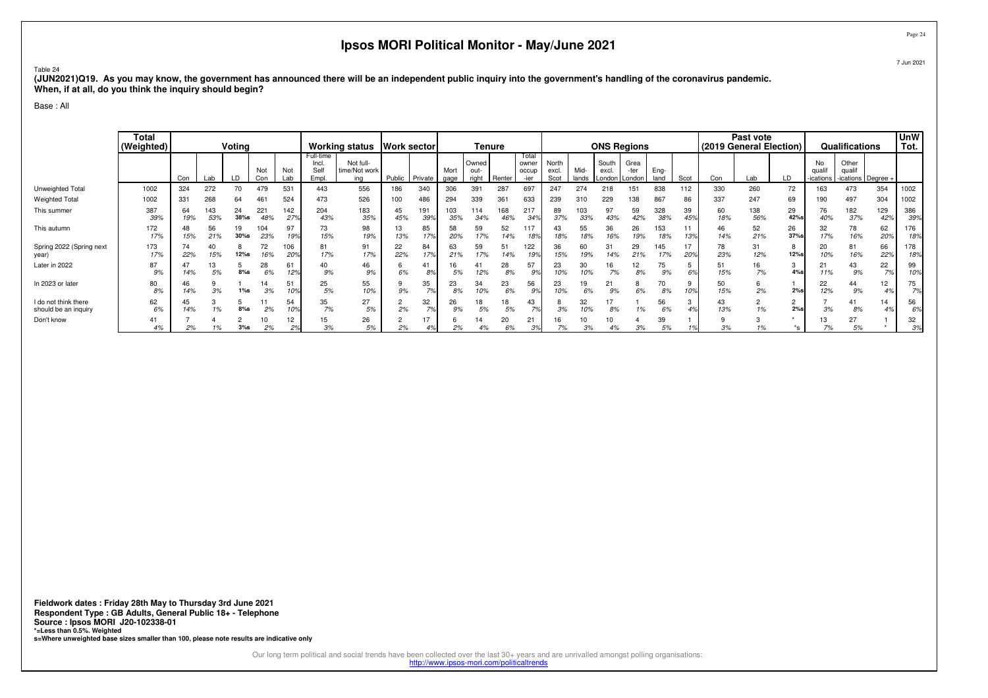### Table 24

 **(JUN2021)Q19. As you may know, the government has announced there will be an independent public inquiry into the government's handling of the coronavirus pandemic.When, if at all, do you think the inquiry should begin?**

Base : All

|                                              | <b>Total</b><br>(Weighted) | Voting<br>Not<br>Not |            |            |            |                   | <b>Working status</b>               |                                   | <b>Work sector</b> |                       |              | Tenure                 |            |                                 |                        |               | <b>ONS Regions</b> |                                 |              |           | Past vote<br>(2019 General Election) |            |             | Qualifications            |                                         | <b>UnW</b><br>Tot. |              |
|----------------------------------------------|----------------------------|----------------------|------------|------------|------------|-------------------|-------------------------------------|-----------------------------------|--------------------|-----------------------|--------------|------------------------|------------|---------------------------------|------------------------|---------------|--------------------|---------------------------------|--------------|-----------|--------------------------------------|------------|-------------|---------------------------|-----------------------------------------|--------------------|--------------|
|                                              |                            | Con                  | Lab        |            | Con        | Lab               | Full-time<br>Incl.<br>Self<br>Empl. | Not full-<br>time/Not work<br>ina | Public             | Private               | Mort<br>gage | Owned<br>out-<br>right | Renter     | Total<br>owner<br>occur<br>-ier | North<br>excl.<br>Scot | Mid-<br>lands | South<br>excl.     | Grea<br>-ter<br>London   London | Eng-<br>land | Scot      | Con                                  | ∟ab        | LD          | No<br>qualif<br>-ications | Other<br>qualit<br>-ications   Degree - |                    |              |
| Unweighted Total<br><b>Weighted Total</b>    | 1002<br>1002               | 324<br>331           | 272<br>268 | 70<br>64   | 479<br>46  | 53<br>524         | 443<br>473                          | 556<br>526                        | 186<br>100         | 340<br>486            | 306<br>294   | 391<br>339             | 287<br>361 | 697<br>633                      | 247<br>239             | 274<br>310    | 218<br>229         | 151<br>138                      | 838<br>867   | 112<br>86 | 330<br>337                           | 260<br>247 | 72<br>69    | 163<br>190                | 473<br>497                              | 354<br>304         | 1002<br>1002 |
| This summer                                  | 387<br>39%                 | 64<br>19%            | 143<br>53% | 24<br>38%s | 221<br>48% | 142<br>279        | 204<br>43%                          | 183<br>35%                        | 45<br>45%          | 191<br>39%            | 103<br>35%   | 114<br>34%             | 168<br>46% | 217<br>349                      | 89<br>37%              | 103<br>33%    | 97<br>43%          | 59<br>42%                       | 328<br>38%   | 39<br>45% | 60<br>18%                            | 138<br>56% | 29<br>42%s  | 76<br>40%                 | 182<br>37%                              | 129<br>42%         | 386<br>39%   |
| This autumn                                  | 172<br>17%                 | 48<br>15%            | 56<br>21%  | 19<br>30%s | 104<br>23% | 97<br>19%         | 73<br>15%                           | 98<br>19%                         | 13<br>13%          | 85<br>17%             | 58<br>20%    | 59<br>17%              | 52<br>14%  | 117<br>18%                      | 43<br>18%              | 55<br>18%     | 36<br>16%          | 26<br>19%                       | 153<br>18%   | 13%       | 46<br>14%                            | 52<br>21%  | 26<br>37%s  | 32<br>17%                 | 78<br>16%                               | 62<br>20%          | 176<br>18%   |
| Spring 2022 (Spring next<br>year)            | 173<br>17%                 | 74<br>22%            | 40<br>15%  | 12%s       | 72<br>16%  | 06'<br><b>20%</b> | 81<br>17%                           | 91<br>17%                         | 22<br>22%          | 84<br>17 <sub>9</sub> | 63<br>21%    | 59<br>17%              | 51<br>14%  | 122                             | 36<br>15%              | 60<br>19%     | 14%                | 29<br>21%                       | 145<br>17%   | 20%       | 78<br>23%                            | 31<br>12%  | 8<br>12%s   | 20<br>10%                 | 81<br>16%                               | 66<br>22%          | 178<br>18%   |
| Later in 2022                                | 87<br>9%                   | 14%                  | 13<br>5%   | $8\%$ s    | 28<br>6%   | 61<br>129         | 40<br>9%                            | 46<br>9%                          | 6%                 | 8%                    | 16<br>5%     | 41<br>12%              | 28<br>8%   | 57<br>9%                        | 23<br>10%              | 30<br>10%     | 16<br>7%           | 12<br>8%                        | 75<br>9%     | 6%        | 51<br>15%                            | 16<br>7%   | 3<br>$4%$ s | 21<br>11%                 | 43<br>9%                                | 22<br>7%           | 99<br>10%    |
| In 2023 or later                             | 80<br>8%                   | 46<br>14%            | 3%         | $1%$ s     | 3%         | 51                | 25<br>5%                            | 55<br>10%                         | 9%                 | 35<br>7%              | 23<br>8%     | 34<br>10%              | 23<br>6%   | 56<br>9%                        | 23<br>10%              | 19<br>6%      | 21<br>9%           | ŏ<br>6%                         | 70<br>8%     | 9<br>10%  | 50<br>15%                            | b<br>2%    | $2%$ s      | 22<br>12%                 | 44<br>9%                                | 12<br>4%           | 75<br>7%     |
| I do not think there<br>should be an inquiry | 62<br>6%                   | 45<br>14%            |            | $8%$ s     | 2%         | 54                | 35<br>7%                            | 27<br>$5%$                        | 2%                 | 32<br>7%              | 26<br>9%     | 18<br>5%               | 18<br>5%   | 43                              | 3%                     | 32<br>10%     | 8%                 |                                 | 56<br>6%     |           | 43<br>13%                            |            | 2<br>2%s    |                           | 41<br>8%                                | 14                 | 56<br>6%     |
| Don't know                                   | 41<br>4%                   | 2%                   |            | 3%s        | 2%         | 12<br>2%          | 15<br>3%                            | 26<br>5%                          | 2%                 | 17                    | 2%           |                        | 20<br>6%   | 21<br>39                        | 16<br>7%               | 10<br>3%      | 10<br>4%           | 3%                              | 39<br>5%     |           | 3%                                   |            |             | 7%                        | 27<br>5%                                |                    | 32<br>3%     |

**Fieldwork dates : Friday 28th May to Thursday 3rd June 2021 Respondent Type : GB Adults, General Public 18+ - TelephoneSource : Ipsos MORI J20-102338-01 \*=Less than 0.5%. Weighted s=Where unweighted base sizes smaller than 100, please note results are indicative only**

Our long term political and social trends have been collected over the last 30+ years and are unrivalled amongst polling organisations:<br>http://www.ipsos-mori.com/politicaltrends

Page 24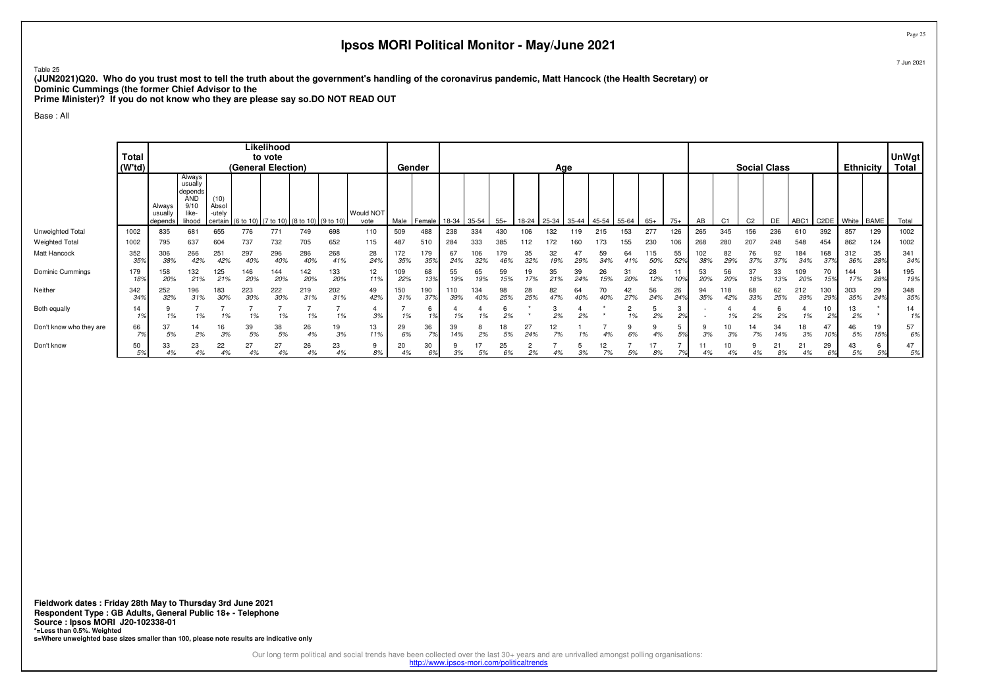Table 25

 **(JUN2021)Q20. Who do you trust most to tell the truth about the government's handling of the coronavirus pandemic, Matt Hancock (the Health Secretary) orDominic Cummings (the former Chief Advisor to the**

**Prime Minister)? If you do not know who they are please say so.DO NOT READ OUT**

### Base : All

|                         | Total<br>(W <sup>†</sup> td) | Likelihood<br>to vote<br>(General Election) |                                                                       |                                    |            |            |                                                    |            |                          | Gender     |               | Age         |            |            |           |                                       |           |           |           |            |           |            | <b>Social Class</b> |                |           |            |            |                     | <b>Ethnicity</b> | <b>UnWgt</b><br>Total |
|-------------------------|------------------------------|---------------------------------------------|-----------------------------------------------------------------------|------------------------------------|------------|------------|----------------------------------------------------|------------|--------------------------|------------|---------------|-------------|------------|------------|-----------|---------------------------------------|-----------|-----------|-----------|------------|-----------|------------|---------------------|----------------|-----------|------------|------------|---------------------|------------------|-----------------------|
|                         |                              | Always<br>usually<br>depends                | Always<br>usually<br>depends<br><b>AND</b><br>9/10<br>like-<br>lihood | (10)<br>Absol<br>-utely<br>certain |            |            | $(6 \text{ to } 10)$ (7 to 10) (8 to 10) (9 to 10) |            | <b>Would NOT</b><br>vote |            | Male   Female | 18-34 35-54 |            | $55+$      |           | 18-24   25-34   35-44   45-54   55-64 |           |           |           | $65+$      | $75+$     | AB         | C <sub>1</sub>      | C <sub>2</sub> | DE        | ABC1       |            | C2DE   White   BAME |                  | Total                 |
| Unweighted Total        | 1002                         | 835                                         | 681                                                                   | 655                                | 776        | 771        | 749                                                | 698        | 110                      | 509        | 488           | 238         | 334        | 430        | 106       | 132                                   | 119       | 215       | 153       | 277        | 126       | 265        | 345                 | 156            | 236       | 610        | 392        | 857                 | 129              | 1002                  |
| <b>Weighted Total</b>   | 1002                         | 795                                         | 637                                                                   | 604                                | 737        | 732        | 705                                                | 652        | 115                      | 487        | 510           | 284         | 333        | 385        | 12        |                                       |           | 173       | 155       | 230        | 106       | 268        | 280                 | 207            | 248       | 548        | 454        | 862                 | 124              | 1002                  |
| Matt Hancock            | 352<br>359                   | 306<br>38%                                  | 266<br>42%                                                            | 251<br>42%                         | 297<br>40% | 296<br>40% | 286<br>40%                                         | 268<br>41% | 28<br>24%                | 172<br>35% | 179<br>35%    | 67<br>24%   | 106<br>32% | 179<br>46% | 35<br>32% | 32<br>19%                             | 47<br>29% | 59<br>34% | 64        | 115<br>50% | 55<br>52% | 102<br>38% | 82<br>29%           | 76<br>37%      | 92<br>37% | 184<br>34% | 168<br>37% | 312<br>36%          | 35<br>28%        | 341<br>34%            |
| Dominic Cummings        | 179<br>18%                   | 158<br>20%                                  | 132<br>21%                                                            | 125<br>21%                         | 146<br>20% | 144<br>20% | 142<br>20%                                         | 133<br>20% | 12<br>11%                | 109<br>22% | 68<br>13%     | 55<br>19%   | 65<br>19%  | 59<br>15%  | 19<br>17% | 35<br>21%                             | 39<br>24% | 26<br>15% | 31<br>20% | 28<br>12%  |           | 53<br>20%  | 56<br>20%           | 37<br>18%      | 33<br>13% | 109<br>20% | 70<br>15%  | 144<br>17%          | 34<br>28%        | 195<br>19%            |
| Neither                 | 342<br>34%                   | 252<br>32%                                  | 196<br>31%                                                            | 183<br>30%                         | 223<br>30% | 222<br>30% | 219<br>31%                                         | 202<br>31% | 49<br>42%                | 150<br>31% | 190<br>37%    | 110<br>39%  | 134<br>40% | 98<br>25%  | 28<br>25% | 82<br>47%                             | 64<br>40% | 40%       | 42<br>27% | 56<br>24%  | 26<br>24% | 94<br>35%  | 118<br>42%          | 68<br>33%      | 62<br>25% | 212<br>39% | 130<br>29% | 303<br>35%          | 29<br>24%        | 348<br>35%            |
| Both equally            | 14                           | 1%                                          | 1%                                                                    | 1%                                 | 1%         | 1%         | 1%                                                 | 1%         | 3%                       | 1%         |               | 1%          | 1%         | 2%         |           | 2%                                    | 2%        |           | 1%        | 2%         | د.        |            |                     | 2%             | 2%        | 1%         | ιv<br>2%   | 13<br>2%            |                  | 14                    |
| Don't know who they are | 66                           | 37<br>5%                                    | 14<br>2%                                                              | 16<br>3%                           | 39<br>5%   | 38<br>5%   | 26<br>4%                                           | 19<br>3%   | 13<br>11%                | 29<br>6%   | 36<br>70      | 39<br>14%   | 8<br>2%    | 18<br>5%   | 27<br>24% | 12<br>7%                              | 1%        | 4%        | 6%        |            | 50/       |            | 3%                  | 7%             | 34<br>14% | 18<br>3%   | 109        | 46<br>5%            | 19<br>15%        | 57<br>6%              |
| Don't know              | 50<br>5%                     | 33<br>4%                                    | 23<br>4%                                                              | 22<br>4%                           | 27<br>4%   | 27<br>4%   | 26<br>4%                                           | 23<br>4%   | 9<br>8%                  | 20<br>4%   | 30<br>6%      | 3%          | 5%         | 25<br>6%   | 2%        |                                       | 3%        | 12<br>7%  | 5%        | 8%         |           | 11         |                     |                | 21<br>8%  | 21<br>4%   | 29<br>69   | 43<br>5%            |                  | 47<br>5%              |

Page 25